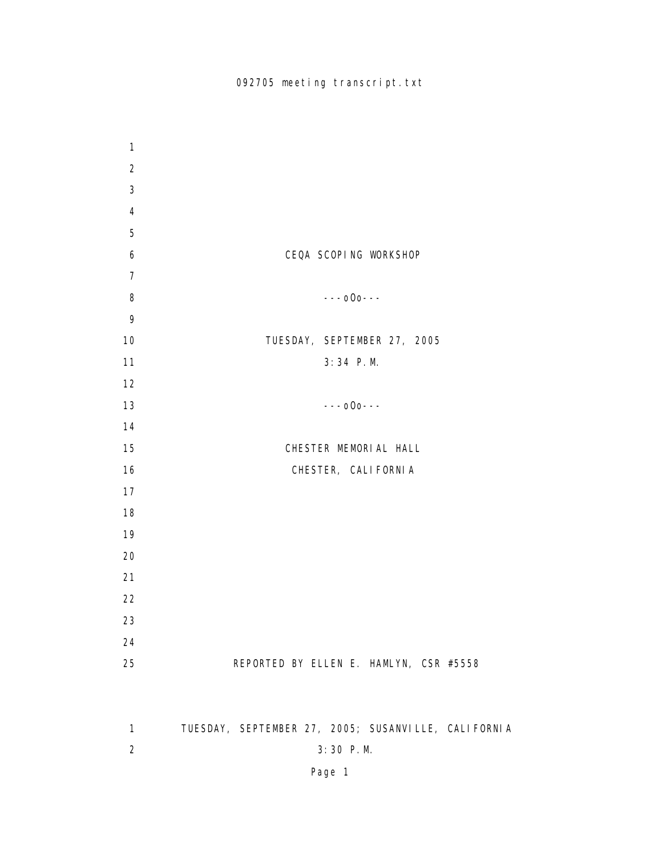| $\mathbf{1}$   |                                                     |
|----------------|-----------------------------------------------------|
| $\overline{2}$ |                                                     |
| 3              |                                                     |
| 4              |                                                     |
| 5              |                                                     |
| 6              | CEQA SCOPING WORKSHOP                               |
| $\overline{7}$ |                                                     |
| 8              | $---000---$                                         |
| 9              |                                                     |
| 10             | TUESDAY, SEPTEMBER 27, 2005                         |
| 11             | 3:34 P.M.                                           |
| 12             |                                                     |
| 13             | $---000---$                                         |
| 14             |                                                     |
| 15             | CHESTER MEMORIAL HALL                               |
| 16             | CHESTER, CALI FORNI A                               |
| 17             |                                                     |
| 18             |                                                     |
| 19             |                                                     |
| 20             |                                                     |
| 21             |                                                     |
| 22             |                                                     |
| 23             |                                                     |
| 24             |                                                     |
| 25             | REPORTED BY ELLEN E. HAMLYN, CSR #5558              |
|                |                                                     |
|                |                                                     |
| $\mathbf{1}$   | TUESDAY, SEPTEMBER 27, 2005; SUSANVILLE, CALIFORNIA |
| $\overline{c}$ | 3:30 P.M.                                           |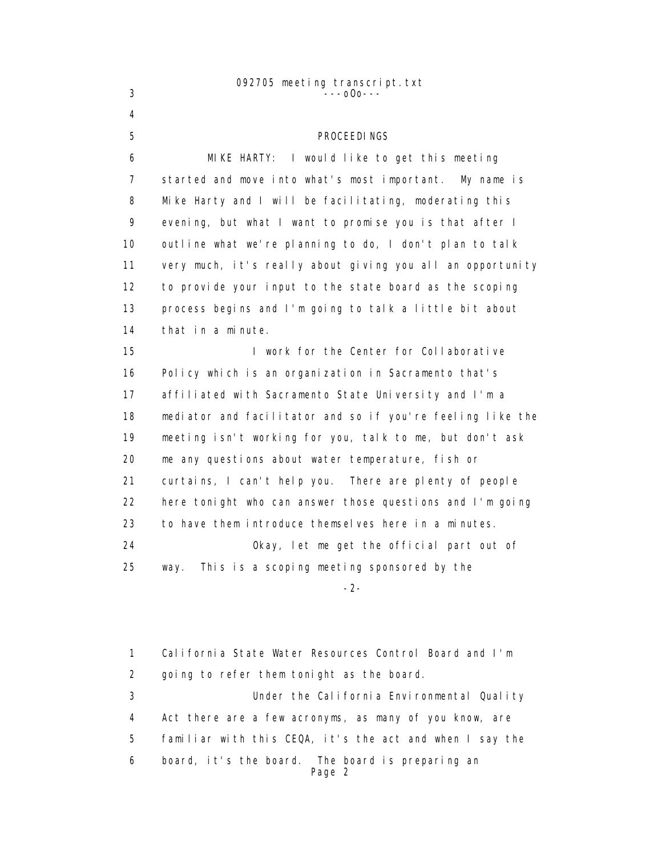#### 092705 meeting transcript.txt  $3 - -000 - -$

 4 5 PROCEEDINGS 6 MIKE HARTY: I would like to get this meeting 7 started and move into what's most important. My name is 8 Mike Harty and I will be facilitating, moderating this 9 evening, but what I want to promise you is that after I 10 outline what we're planning to do, I don't plan to talk 11 very much, it's really about giving you all an opportunity 12 to provide your input to the state board as the scoping 13 process begins and I'm going to talk a little bit about 14 that in a minute. 15 I work for the Center for Collaborative 16 Policy which is an organization in Sacramento that's 17 affiliated with Sacramento State University and I'm a 18 mediator and facilitator and so if you're feeling like the 19 meeting isn't working for you, talk to me, but don't ask 20 me any questions about water temperature, fish or 21 curtains, I can't help you. There are plenty of people 22 here tonight who can answer those questions and I'm going 23 to have them introduce themselves here in a minutes. 24 Okay, let me get the official part out of 25 way. This is a scoping meeting sponsored by the -2-

> 1 California State Water Resources Control Board and I'm 2 going to refer them tonight as the board. 3 Under the California Environmental Quality 4 Act there are a few acronyms, as many of you know, are 5 familiar with this CEQA, it's the act and when I say the 6 board, it's the board. The board is preparing an Page 2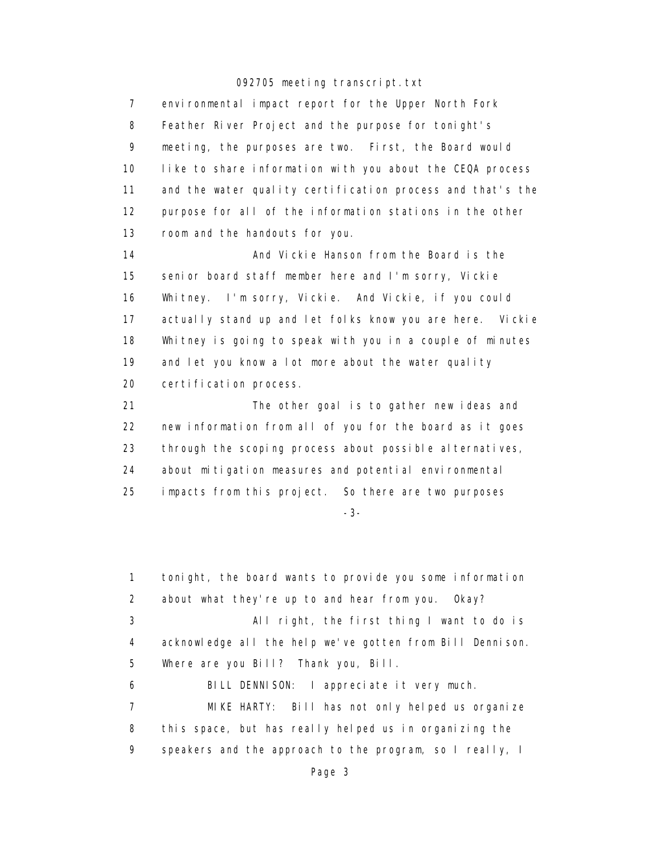7 environmental impact report for the Upper North Fork 8 Feather River Project and the purpose for tonight's 9 meeting, the purposes are two. First, the Board would 10 like to share information with you about the CEQA process 11 and the water quality certification process and that's the 12 purpose for all of the information stations in the other 13 room and the handouts for you.

14 **And Vickie Hanson from the Board is the** 14 15 senior board staff member here and I'm sorry, Vickie 16 Whitney. I'm sorry, Vickie. And Vickie, if you could 17 actually stand up and let folks know you are here. Vickie 18 Whitney is going to speak with you in a couple of minutes 19 and let you know a lot more about the water quality 20 certification process.

 21 The other goal is to gather new ideas and 22 new information from all of you for the board as it goes 23 through the scoping process about possible alternatives, 24 about mitigation measures and potential environmental 25 impacts from this project. So there are two purposes

-3-

 1 tonight, the board wants to provide you some information 2 about what they're up to and hear from you. Okay? 3 All right, the first thing I want to do is 4 acknowledge all the help we've gotten from Bill Dennison. 5 Where are you Bill? Thank you, Bill. 6 BILL DENNISON: I appreciate it very much. 7 MIKE HARTY: Bill has not only helped us organize 8 this space, but has really helped us in organizing the 9 speakers and the approach to the program, so I really, I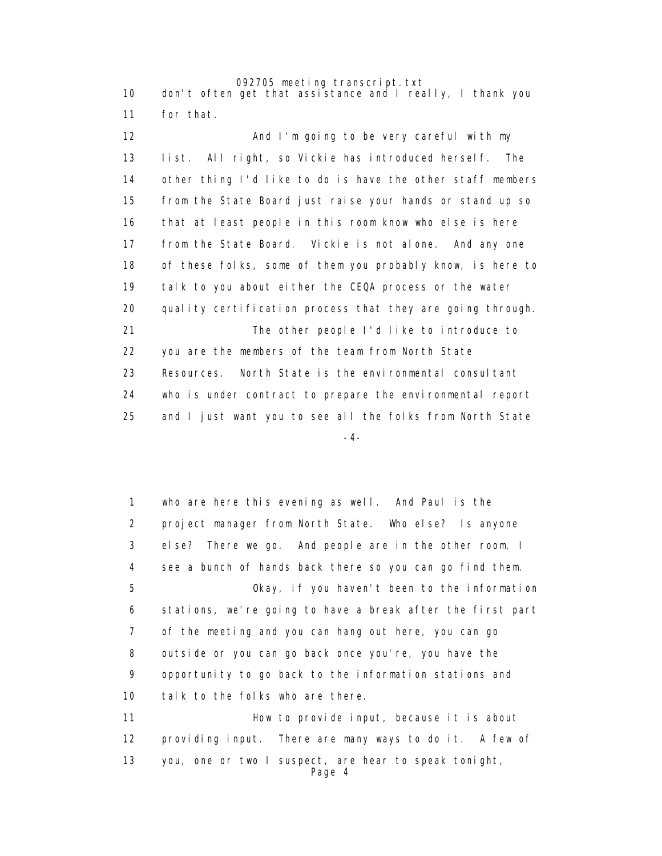092705 meeting transcript.txt 10 don't often get that assistance and I really, I thank you 11 for that.

12 **And I'm going to be very careful with my**  13 list. All right, so Vickie has introduced herself. The 14 other thing I'd like to do is have the other staff members 15 from the State Board just raise your hands or stand up so 16 that at least people in this room know who else is here 17 from the State Board. Vickie is not alone. And any one 18 of these folks, some of them you probably know, is here to 19 talk to you about either the CEQA process or the water 20 quality certification process that they are going through. 21 The other people I'd like to introduce to 22 you are the members of the team from North State 23 Resources. North State is the environmental consultant 24 who is under contract to prepare the environmental report 25 and I just want you to see all the folks from North State -4-

> 1 who are here this evening as well. And Paul is the 2 project manager from North State. Who else? Is anyone 3 else? There we go. And people are in the other room, I 4 see a bunch of hands back there so you can go find them. 5 Okay, if you haven't been to the information 6 stations, we're going to have a break after the first part 7 of the meeting and you can hang out here, you can go 8 outside or you can go back once you're, you have the 9 opportunity to go back to the information stations and 10 talk to the folks who are there. 11 **How to provide input, because it is about** 12 providing input. There are many ways to do it. A few of

 13 you, one or two I suspect, are hear to speak tonight, Page 4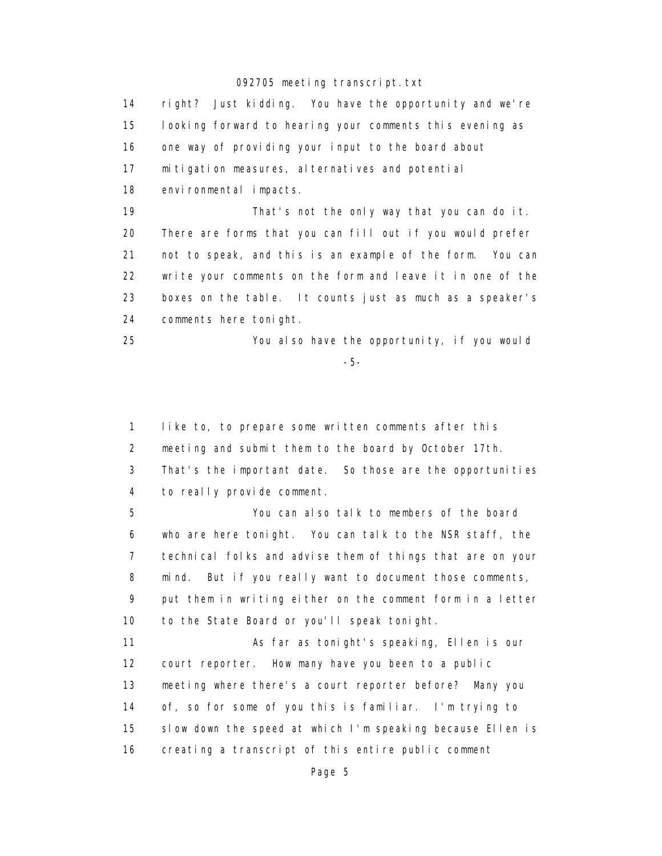14 right? Just kidding. You have the opportunity and we're 15 looking forward to hearing your comments this evening as 16 one way of providing your input to the board about 17 mitigation measures, alternatives and potential 18 environmental impacts. 19 That's not the only way that you can do it. 20 There are forms that you can fill out if you would prefer 21 not to speak, and this is an example of the form. You can 22 write your comments on the form and leave it in one of the 23 boxes on the table. It counts just as much as a speaker's 24 comments here tonight.

 25 You also have the opportunity, if you would -5-

> 1 like to, to prepare some written comments after this 2 meeting and submit them to the board by October 17th. 3 That's the important date. So those are the opportunities 4 to really provide comment.

 5 You can also talk to members of the board 6 who are here tonight. You can talk to the NSR staff, the 7 technical folks and advise them of things that are on your 8 mind. But if you really want to document those comments, 9 put them in writing either on the comment form in a letter 10 to the State Board or you'll speak tonight.

11 As far as tonight's speaking, Ellen is our 12 court reporter. How many have you been to a public 13 meeting where there's a court reporter before? Many you 14 of, so for some of you this is familiar. I'm trying to 15 slow down the speed at which I'm speaking because Ellen is 16 creating a transcript of this entire public comment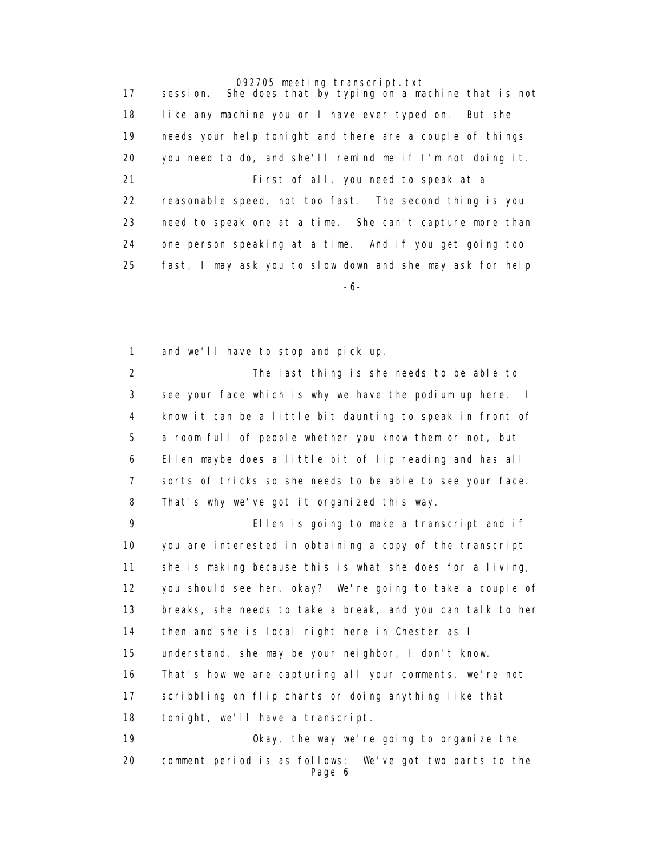17 session. She does that by typing on a machine that is not 18 like any machine you or I have ever typed on. But she 19 needs your help tonight and there are a couple of things 20 you need to do, and she'll remind me if I'm not doing it. 21 First of all, you need to speak at a 22 reasonable speed, not too fast. The second thing is you 23 need to speak one at a time. She can't capture more than 24 one person speaking at a time. And if you get going too 25 fast, I may ask you to slow down and she may ask for help -6-

1 and we'll have to stop and pick up.

 2 The last thing is she needs to be able to 3 see your face which is why we have the podium up here. I 4 know it can be a little bit daunting to speak in front of 5 a room full of people whether you know them or not, but 6 Ellen maybe does a little bit of lip reading and has all 7 sorts of tricks so she needs to be able to see your face. 8 That's why we've got it organized this way.

 9 Ellen is going to make a transcript and if 10 you are interested in obtaining a copy of the transcript 11 she is making because this is what she does for a living, 12 you should see her, okay? We're going to take a couple of 13 breaks, she needs to take a break, and you can talk to her 14 then and she is local right here in Chester as I 15 understand, she may be your neighbor, I don't know. 16 That's how we are capturing all your comments, we're not 17 scribbling on flip charts or doing anything like that 18 tonight, we'll have a transcript. 19 Okay, the way we're going to organize the 20 comment period is as follows: We've got two parts to the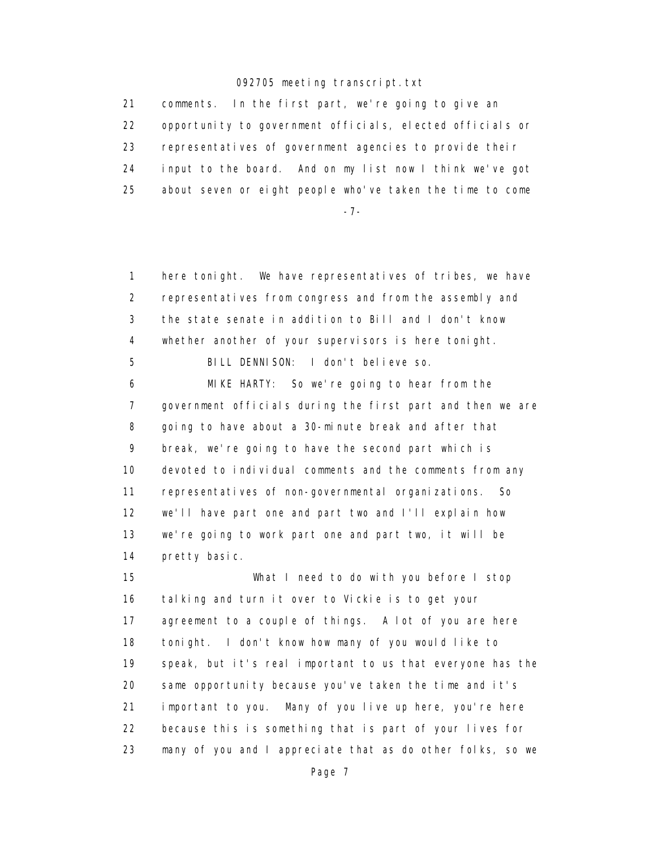21 comments. In the first part, we're going to give an 22 opportunity to government officials, elected officials or 23 representatives of government agencies to provide their 24 input to the board. And on my list now I think we've got 25 about seven or eight people who've taken the time to come

-7-

 1 here tonight. We have representatives of tribes, we have 2 representatives from congress and from the assembly and 3 the state senate in addition to Bill and I don't know 4 whether another of your supervisors is here tonight. 5 BILL DENNISON: I don't believe so.

 6 MIKE HARTY: So we're going to hear from the 7 government officials during the first part and then we are 8 going to have about a 30-minute break and after that 9 break, we're going to have the second part which is 10 devoted to individual comments and the comments from any 11 representatives of non-governmental organizations. So 12 we'll have part one and part two and I'll explain how 13 we're going to work part one and part two, it will be 14 pretty basic.

 15 What I need to do with you before I stop 16 talking and turn it over to Vickie is to get your 17 agreement to a couple of things. A lot of you are here 18 tonight. I don't know how many of you would like to 19 speak, but it's real important to us that everyone has the 20 same opportunity because you've taken the time and it's 21 important to you. Many of you live up here, you're here 22 because this is something that is part of your lives for 23 many of you and I appreciate that as do other folks, so we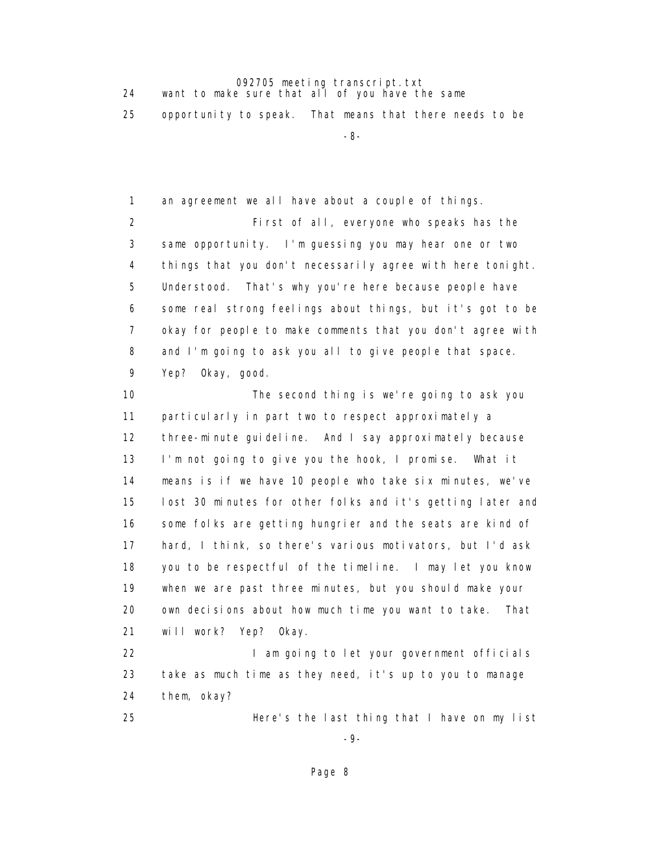24 want to make sure that all of you have the same

25 opportunity to speak. That means that there needs to be

-8-

1 an agreement we all have about a couple of things.

 2 First of all, everyone who speaks has the 3 same opportunity. I'm guessing you may hear one or two 4 things that you don't necessarily agree with here tonight. 5 Understood. That's why you're here because people have 6 some real strong feelings about things, but it's got to be 7 okay for people to make comments that you don't agree with 8 and I'm going to ask you all to give people that space. 9 Yep? Okay, good.

 10 The second thing is we're going to ask you 11 particularly in part two to respect approximately a 12 three-minute guideline. And I say approximately because 13 I'm not going to give you the hook, I promise. What it 14 means is if we have 10 people who take six minutes, we've 15 lost 30 minutes for other folks and it's getting later and 16 some folks are getting hungrier and the seats are kind of 17 hard, I think, so there's various motivators, but I'd ask 18 you to be respectful of the timeline. I may let you know 19 when we are past three minutes, but you should make your 20 own decisions about how much time you want to take. That 21 will work? Yep? Okay.

22 **I am going to let your government officials**  23 take as much time as they need, it's up to you to manage 24 them, okay?

25 Here's the last thing that I have on my list

-9-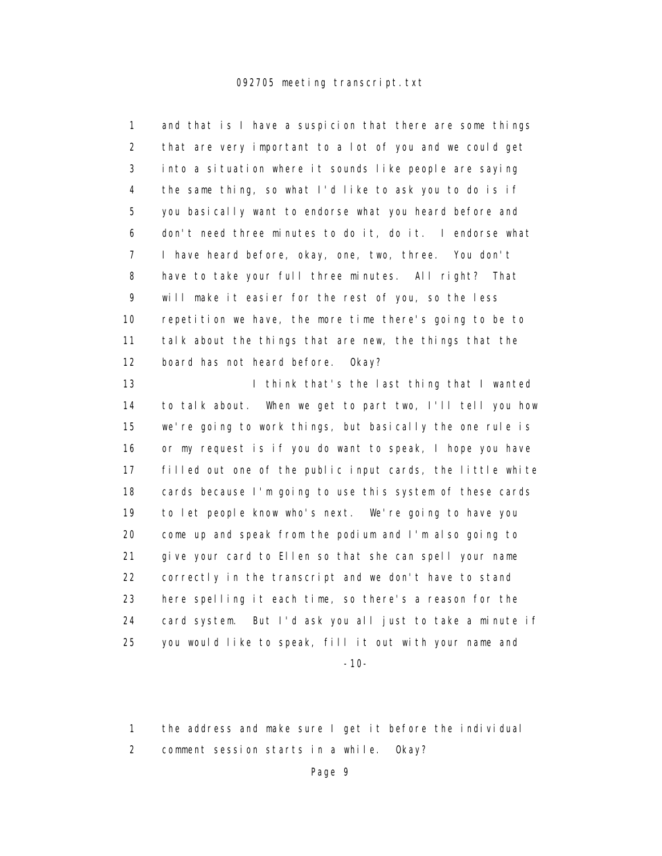1 and that is I have a suspicion that there are some things 2 that are very important to a lot of you and we could get 3 into a situation where it sounds like people are saying 4 the same thing, so what I'd like to ask you to do is if 5 you basically want to endorse what you heard before and 6 don't need three minutes to do it, do it. I endorse what 7 I have heard before, okay, one, two, three. You don't 8 have to take your full three minutes. All right? That 9 will make it easier for the rest of you, so the less 10 repetition we have, the more time there's going to be to 11 talk about the things that are new, the things that the 12 board has not heard before. Okay?

13 **I think that's the last thing that I wanted**  14 to talk about. When we get to part two, I'll tell you how 15 we're going to work things, but basically the one rule is 16 or my request is if you do want to speak, I hope you have 17 filled out one of the public input cards, the little white 18 cards because I'm going to use this system of these cards 19 to let people know who's next. We're going to have you 20 come up and speak from the podium and I'm also going to 21 give your card to Ellen so that she can spell your name 22 correctly in the transcript and we don't have to stand 23 here spelling it each time, so there's a reason for the 24 card system. But I'd ask you all just to take a minute if 25 you would like to speak, fill it out with your name and

-10-

 1 the address and make sure I get it before the individual 2 comment session starts in a while. Okay?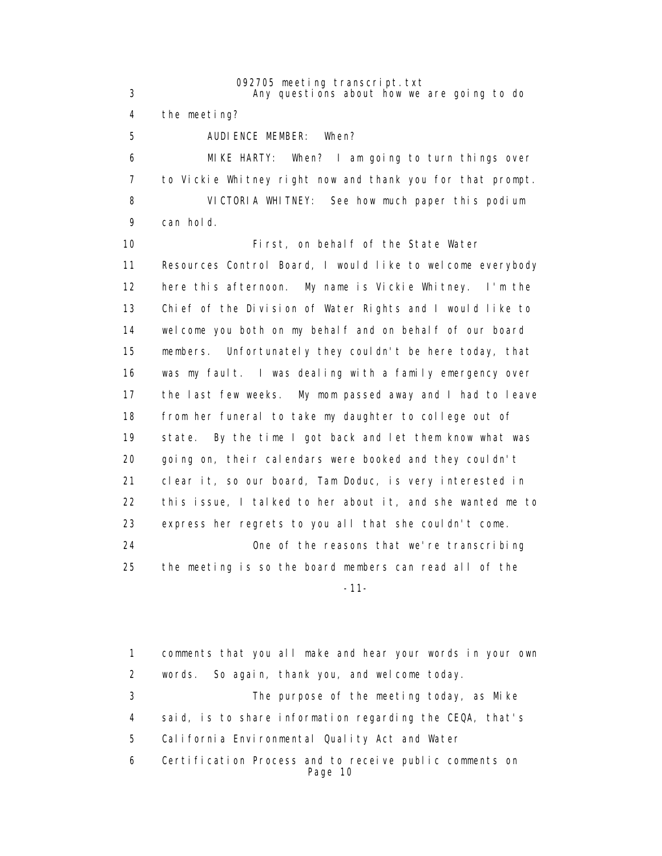3 Any questions about how we are going to do

4 the meeting?

5 AUDIENCE MEMBER: When?

 6 MIKE HARTY: When? I am going to turn things over 7 to Vickie Whitney right now and thank you for that prompt. 8 VICTORIA WHITNEY: See how much paper this podium 9 can hold.

 10 First, on behalf of the State Water 11 Resources Control Board, I would like to welcome everybody 12 here this afternoon. My name is Vickie Whitney. I'm the 13 Chief of the Division of Water Rights and I would like to 14 welcome you both on my behalf and on behalf of our board 15 members. Unfortunately they couldn't be here today, that 16 was my fault. I was dealing with a family emergency over 17 the last few weeks. My mom passed away and I had to leave 18 from her funeral to take my daughter to college out of 19 state. By the time I got back and let them know what was 20 going on, their calendars were booked and they couldn't 21 clear it, so our board, Tam Doduc, is very interested in 22 this issue, I talked to her about it, and she wanted me to 23 express her regrets to you all that she couldn't come. 24 One of the reasons that we're transcribing 25 the meeting is so the board members can read all of the

-11-

 1 comments that you all make and hear your words in your own 2 words. So again, thank you, and welcome today. 3 The purpose of the meeting today, as Mike 4 said, is to share information regarding the CEQA, that's 5 California Environmental Quality Act and Water 6 Certification Process and to receive public comments on Page 10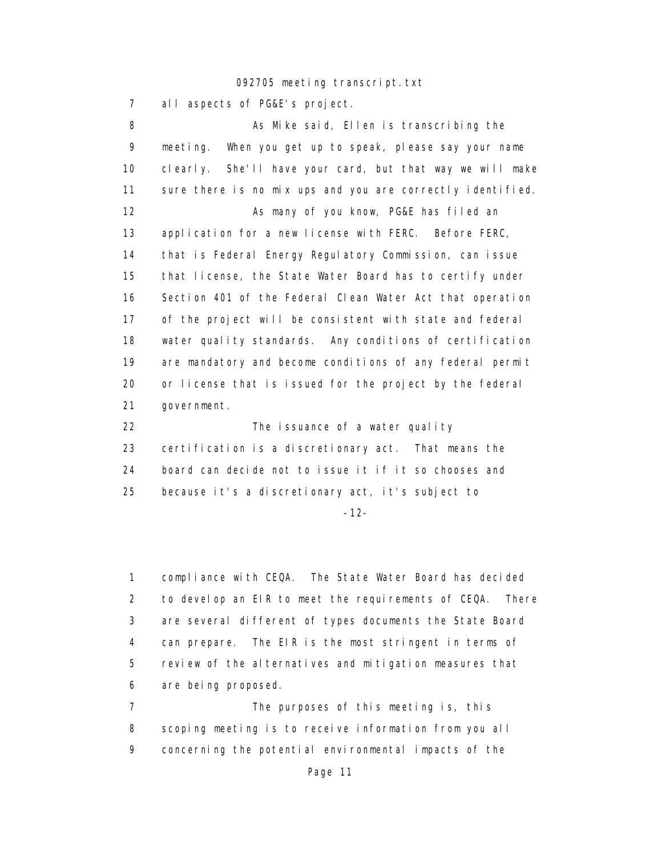7 all aspects of PG&E's project.

 8 As Mike said, Ellen is transcribing the 9 meeting. When you get up to speak, please say your name 10 clearly. She'll have your card, but that way we will make 11 sure there is no mix ups and you are correctly identified. 12 As many of you know, PG&E has filed an 13 application for a new license with FERC. Before FERC, 14 that is Federal Energy Regulatory Commission, can issue 15 that license, the State Water Board has to certify under 16 Section 401 of the Federal Clean Water Act that operation 17 of the project will be consistent with state and federal 18 water quality standards. Any conditions of certification 19 are mandatory and become conditions of any federal permit 20 or license that is issued for the project by the federal 21 government. 22 The issuance of a water quality

 23 certification is a discretionary act. That means the 24 board can decide not to issue it if it so chooses and 25 because it's a discretionary act, it's subject to

-12-

 1 compliance with CEQA. The State Water Board has decided 2 to develop an EIR to meet the requirements of CEQA. There 3 are several different of types documents the State Board 4 can prepare. The EIR is the most stringent in terms of 5 review of the alternatives and mitigation measures that 6 are being proposed.

 7 The purposes of this meeting is, this 8 scoping meeting is to receive information from you all 9 concerning the potential environmental impacts of the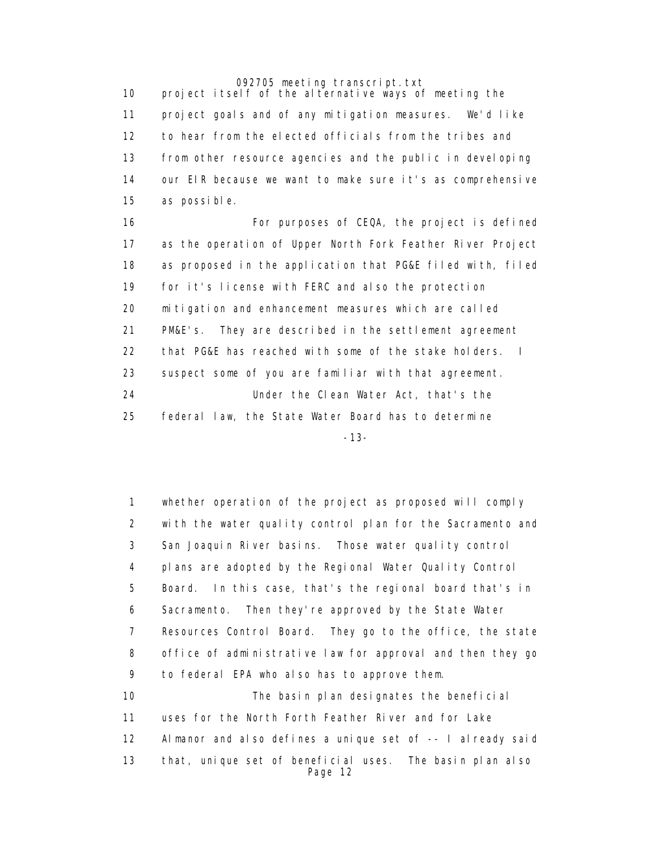10 project itself of the alternative ways of meeting the 11 project goals and of any mitigation measures. We'd like 12 to hear from the elected officials from the tribes and 13 from other resource agencies and the public in developing 14 our EIR because we want to make sure it's as comprehensive 15 as possible.

16 **For purposes of CEQA, the project is defined**  17 as the operation of Upper North Fork Feather River Project 18 as proposed in the application that PG&E filed with, filed 19 for it's license with FERC and also the protection 20 mitigation and enhancement measures which are called 21 PM&E's. They are described in the settlement agreement 22 that PG&E has reached with some of the stake holders. I 23 suspect some of you are familiar with that agreement. 24 Under the Clean Water Act, that's the 25 federal law, the State Water Board has to determine -13-

> 1 whether operation of the project as proposed will comply 2 with the water quality control plan for the Sacramento and 3 San Joaquin River basins. Those water quality control 4 plans are adopted by the Regional Water Quality Control 5 Board. In this case, that's the regional board that's in 6 Sacramento. Then they're approved by the State Water 7 Resources Control Board. They go to the office, the state 8 office of administrative law for approval and then they go 9 to federal EPA who also has to approve them. 10 The basin plan designates the beneficial 11 uses for the North Forth Feather River and for Lake 12 Almanor and also defines a unique set of -- I already said 13 that, unique set of beneficial uses. The basin plan also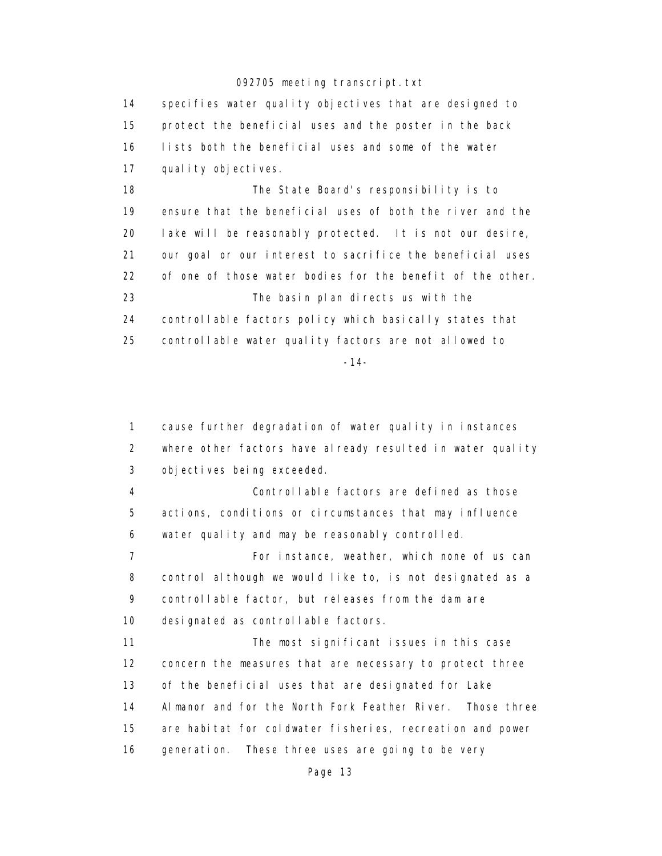14 specifies water quality objectives that are designed to 15 protect the beneficial uses and the poster in the back 16 lists both the beneficial uses and some of the water 17 quality objectives.

 18 The State Board's responsibility is to 19 ensure that the beneficial uses of both the river and the 20 lake will be reasonably protected. It is not our desire, 21 our goal or our interest to sacrifice the beneficial uses 22 of one of those water bodies for the benefit of the other. 23 The basin plan directs us with the 24 controllable factors policy which basically states that 25 controllable water quality factors are not allowed to -14-

 1 cause further degradation of water quality in instances 2 where other factors have already resulted in water quality 3 objectives being exceeded.

 4 Controllable factors are defined as those 5 actions, conditions or circumstances that may influence 6 water quality and may be reasonably controlled.

 7 For instance, weather, which none of us can 8 control although we would like to, is not designated as a 9 controllable factor, but releases from the dam are 10 designated as controllable factors.

11 The most significant issues in this case 12 concern the measures that are necessary to protect three 13 of the beneficial uses that are designated for Lake 14 Almanor and for the North Fork Feather River. Those three 15 are habitat for coldwater fisheries, recreation and power 16 generation. These three uses are going to be very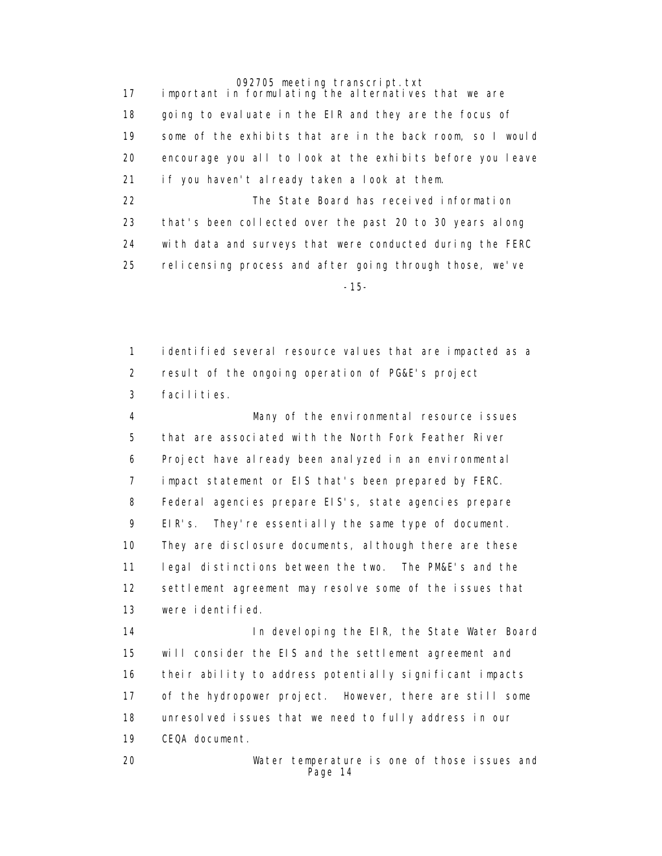17 important in formulating the alternatives that we are 18 going to evaluate in the EIR and they are the focus of 19 some of the exhibits that are in the back room, so I would 20 encourage you all to look at the exhibits before you leave 21 if you haven't already taken a look at them.

 22 The State Board has received information 23 that's been collected over the past 20 to 30 years along 24 with data and surveys that were conducted during the FERC 25 relicensing process and after going through those, we've -15-

> 1 identified several resource values that are impacted as a 2 result of the ongoing operation of PG&E's project 3 facilities.

 4 Many of the environmental resource issues 5 that are associated with the North Fork Feather River 6 Project have already been analyzed in an environmental 7 impact statement or EIS that's been prepared by FERC. 8 Federal agencies prepare EIS's, state agencies prepare 9 EIR's. They're essentially the same type of document. 10 They are disclosure documents, although there are these 11 legal distinctions between the two. The PM&E's and the 12 settlement agreement may resolve some of the issues that 13 were identified.

14 **In developing the EIR, the State Water Board**  15 will consider the EIS and the settlement agreement and 16 their ability to address potentially significant impacts 17 of the hydropower project. However, there are still some 18 unresolved issues that we need to fully address in our 19 CEQA document.

 20 Water temperature is one of those issues and Page 14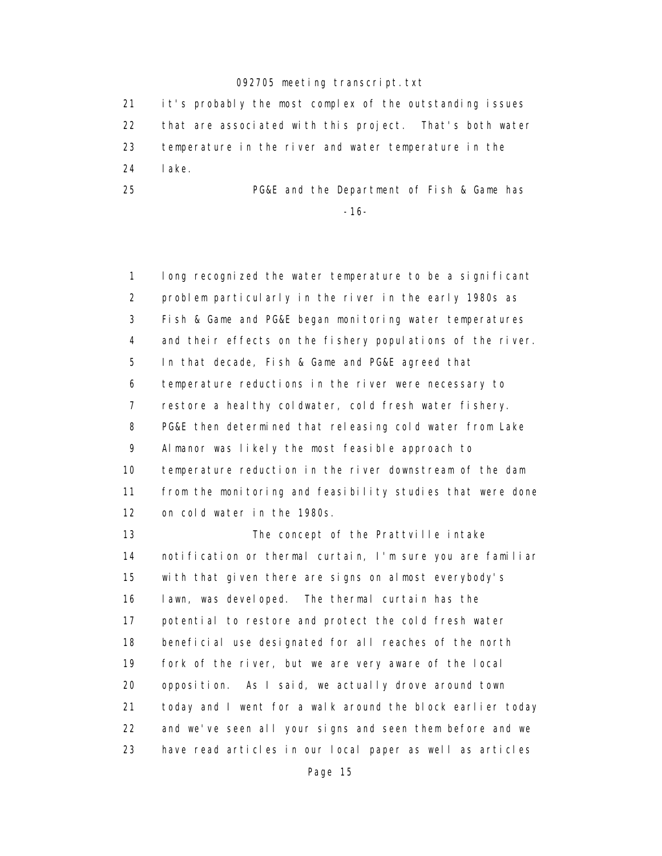21 it's probably the most complex of the outstanding issues 22 that are associated with this project. That's both water 23 temperature in the river and water temperature in the 24 lake.

 25 PG&E and the Department of Fish & Game has -16-

> 1 long recognized the water temperature to be a significant 2 problem particularly in the river in the early 1980s as 3 Fish & Game and PG&E began monitoring water temperatures 4 and their effects on the fishery populations of the river. 5 In that decade, Fish & Game and PG&E agreed that 6 temperature reductions in the river were necessary to 7 restore a healthy coldwater, cold fresh water fishery. 8 PG&E then determined that releasing cold water from Lake 9 Almanor was likely the most feasible approach to 10 temperature reduction in the river downstream of the dam 11 from the monitoring and feasibility studies that were done 12 on cold water in the 1980s. 13 The concept of the Prattville intake 14 notification or thermal curtain, I'm sure you are familiar

> 15 with that given there are signs on almost everybody's 16 lawn, was developed. The thermal curtain has the 17 potential to restore and protect the cold fresh water 18 beneficial use designated for all reaches of the north 19 fork of the river, but we are very aware of the local 20 opposition. As I said, we actually drove around town 21 today and I went for a walk around the block earlier today 22 and we've seen all your signs and seen them before and we 23 have read articles in our local paper as well as articles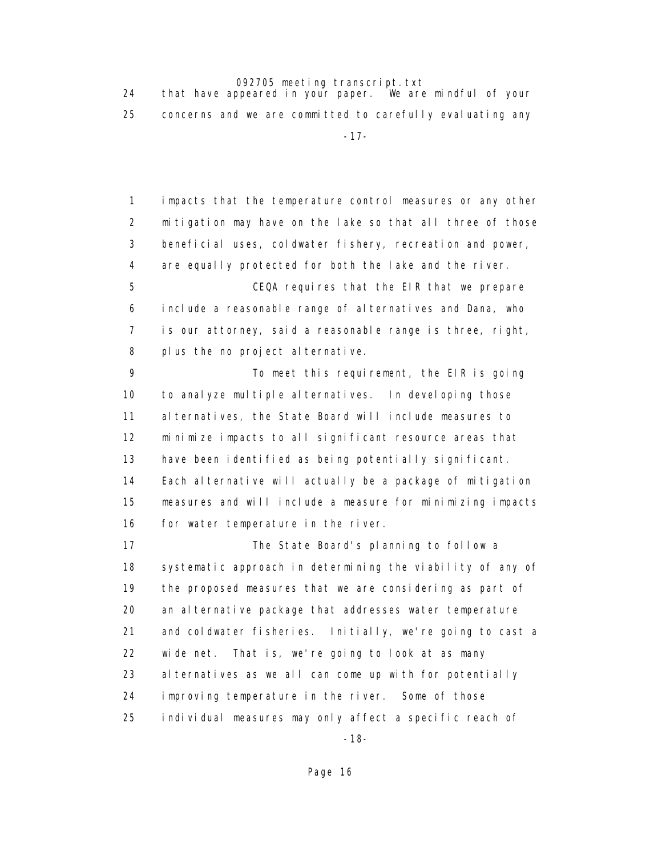24 that have appeared in your paper. We are mindful of your 25 concerns and we are committed to carefully evaluating any -17-

> 1 impacts that the temperature control measures or any other 2 mitigation may have on the lake so that all three of those 3 beneficial uses, coldwater fishery, recreation and power, 4 are equally protected for both the lake and the river.

 5 CEQA requires that the EIR that we prepare 6 include a reasonable range of alternatives and Dana, who 7 is our attorney, said a reasonable range is three, right, 8 plus the no project alternative.

 9 To meet this requirement, the EIR is going 10 to analyze multiple alternatives. In developing those 11 alternatives, the State Board will include measures to 12 minimize impacts to all significant resource areas that 13 have been identified as being potentially significant. 14 Each alternative will actually be a package of mitigation 15 measures and will include a measure for minimizing impacts 16 for water temperature in the river.

 17 The State Board's planning to follow a 18 systematic approach in determining the viability of any of 19 the proposed measures that we are considering as part of 20 an alternative package that addresses water temperature 21 and coldwater fisheries. Initially, we're going to cast a 22 wide net. That is, we're going to look at as many 23 alternatives as we all can come up with for potentially 24 improving temperature in the river. Some of those 25 individual measures may only affect a specific reach of

-18-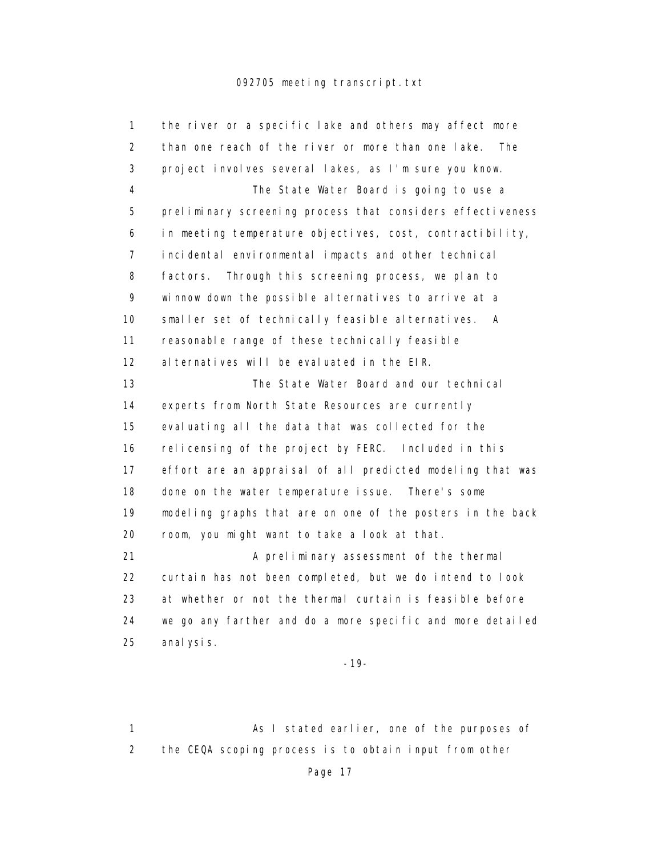| 1                 | the river or a specific lake and others may affect more    |
|-------------------|------------------------------------------------------------|
| $\overline{2}$    | than one reach of the river or more than one lake.<br>The  |
| 3                 | project involves several lakes, as I'm sure you know.      |
| 4                 | The State Water Board is going to use a                    |
| 5                 | preliminary screening process that considers effectiveness |
| 6                 | in meeting temperature objectives, cost, contractibility,  |
| 7                 | incidental environmental impacts and other technical       |
| 8                 | factors.<br>Through this screening process, we plan to     |
| 9                 | winnow down the possible alternatives to arrive at a       |
| 10                | smaller set of technically feasible alternatives.<br>A     |
| 11                | reasonable range of these technically feasible             |
| $12 \overline{ }$ | al ternatives will be evaluated in the EIR.                |
| 13                | The State Water Board and our technical                    |
| 14                | experts from North State Resources are currently           |
| 15                | evaluating all the data that was collected for the         |
| 16                | relicensing of the project by FERC. Included in this       |
| 17                | effort are an appraisal of all predicted modeling that was |
| 18                | done on the water temperature issue. There's some          |
| 19                | modeling graphs that are on one of the posters in the back |
| 20                | room, you might want to take a look at that.               |
| 21                | A preliminary assessment of the thermal                    |
| 22                | curtain has not been completed, but we do intend to look   |
| 23                | at whether or not the thermal curtain is feasible before   |
| 24                | we go any farther and do a more specific and more detailed |
| 25                | anal ysis.                                                 |

-19-

1 As I stated earlier, one of the purposes of 2 the CEQA scoping process is to obtain input from other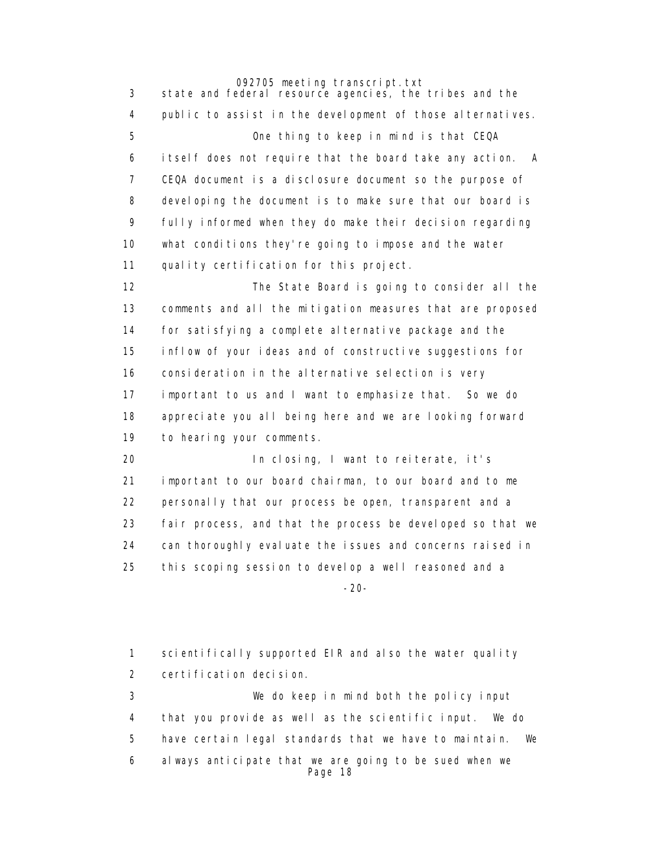3 state and federal resource agencies, the tribes and the 4 public to assist in the development of those alternatives. 5 One thing to keep in mind is that CEQA 6 itself does not require that the board take any action. A 7 CEQA document is a disclosure document so the purpose of 8 developing the document is to make sure that our board is 9 fully informed when they do make their decision regarding 10 what conditions they're going to impose and the water 11 quality certification for this project. 12 The State Board is going to consider all the 13 comments and all the mitigation measures that are proposed 14 for satisfying a complete alternative package and the 15 inflow of your ideas and of constructive suggestions for 16 consideration in the alternative selection is very 17 important to us and I want to emphasize that. So we do 18 appreciate you all being here and we are looking forward 19 to hearing your comments.

 20 In closing, I want to reiterate, it's 21 important to our board chairman, to our board and to me 22 personally that our process be open, transparent and a 23 fair process, and that the process be developed so that we 24 can thoroughly evaluate the issues and concerns raised in 25 this scoping session to develop a well reasoned and a -20-

> 1 scientifically supported EIR and also the water quality 2 certification decision. 3 We do keep in mind both the policy input 4 that you provide as well as the scientific input. We do 5 have certain legal standards that we have to maintain. We 6 always anticipate that we are going to be sued when we Page 18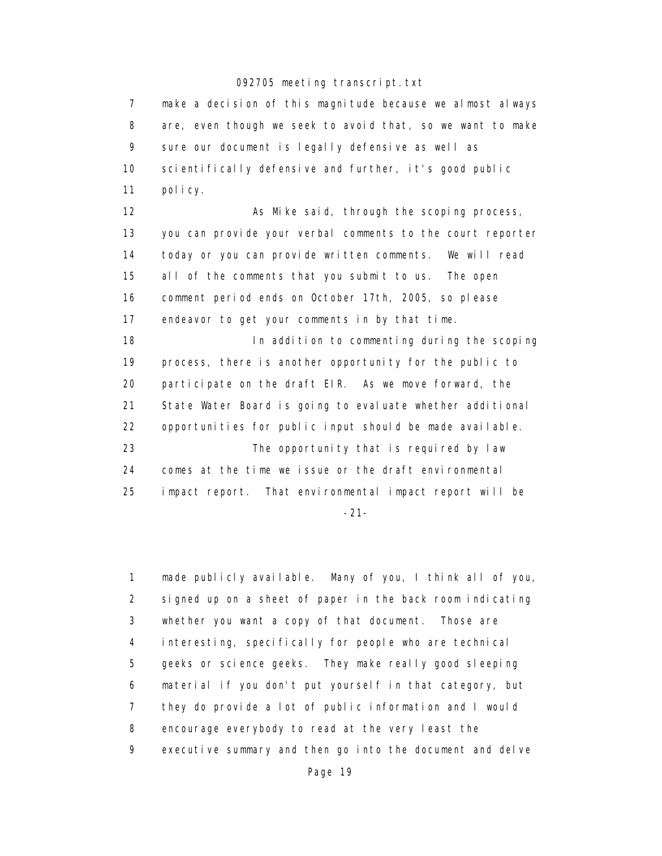7 make a decision of this magnitude because we almost always 8 are, even though we seek to avoid that, so we want to make 9 sure our document is legally defensive as well as 10 scientifically defensive and further, it's good public 11 policy. 12 As Mike said, through the scoping process,

 13 you can provide your verbal comments to the court reporter 14 today or you can provide written comments. We will read 15 all of the comments that you submit to us. The open 16 comment period ends on October 17th, 2005, so please 17 endeavor to get your comments in by that time.

 18 In addition to commenting during the scoping 19 process, there is another opportunity for the public to 20 participate on the draft EIR. As we move forward, the 21 State Water Board is going to evaluate whether additional 22 opportunities for public input should be made available. 23 The opportunity that is required by law 24 comes at the time we issue or the draft environmental 25 impact report. That environmental impact report will be -21-

 1 made publicly available. Many of you, I think all of you, 2 signed up on a sheet of paper in the back room indicating 3 whether you want a copy of that document. Those are 4 interesting, specifically for people who are technical 5 geeks or science geeks. They make really good sleeping 6 material if you don't put yourself in that category, but 7 they do provide a lot of public information and I would 8 encourage everybody to read at the very least the 9 executive summary and then go into the document and delve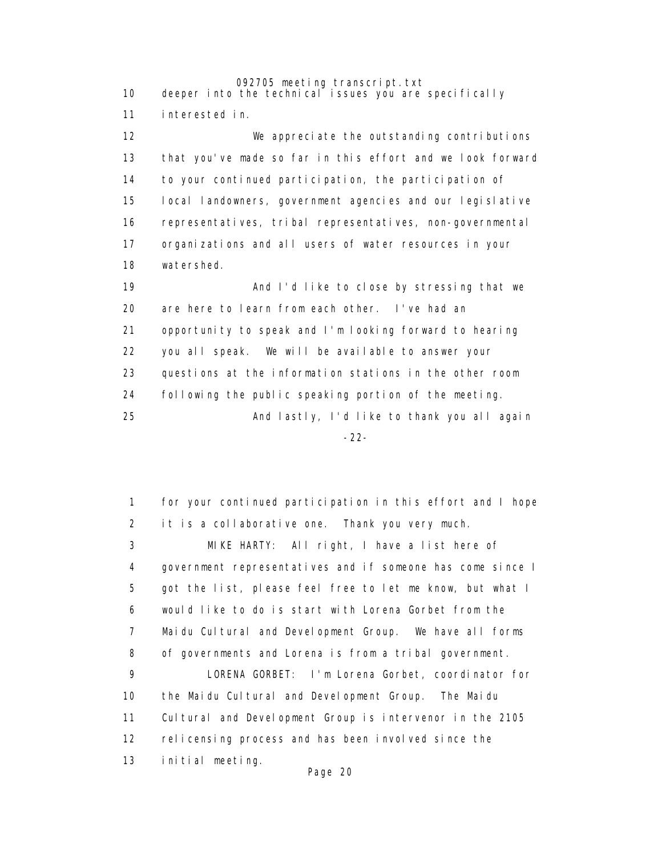092705 meeting transcript.txt 10 deeper into the technical issues you are specifically 11 interested in. 12 We appreciate the outstanding contributions 13 that you've made so far in this effort and we look forward 14 to your continued participation, the participation of 15 local landowners, government agencies and our legislative 16 representatives, tribal representatives, non-governmental 17 organizations and all users of water resources in your 18 watershed. 19 And I'd like to close by stressing that we 20 are here to learn from each other. I've had an 21 opportunity to speak and I'm looking forward to hearing 22 you all speak. We will be available to answer your 23 questions at the information stations in the other room 24 following the public speaking portion of the meeting. 25 And lastly, I'd like to thank you all again -22-

> 1 for your continued participation in this effort and I hope 2 it is a collaborative one. Thank you very much. 3 MIKE HARTY: All right, I have a list here of 4 government representatives and if someone has come since I 5 got the list, please feel free to let me know, but what I 6 would like to do is start with Lorena Gorbet from the 7 Maidu Cultural and Development Group. We have all forms 8 of governments and Lorena is from a tribal government. 9 LORENA GORBET: I'm Lorena Gorbet, coordinator for 10 the Maidu Cultural and Development Group. The Maidu 11 Cultural and Development Group is intervenor in the 2105 12 relicensing process and has been involved since the 13 initial meeting.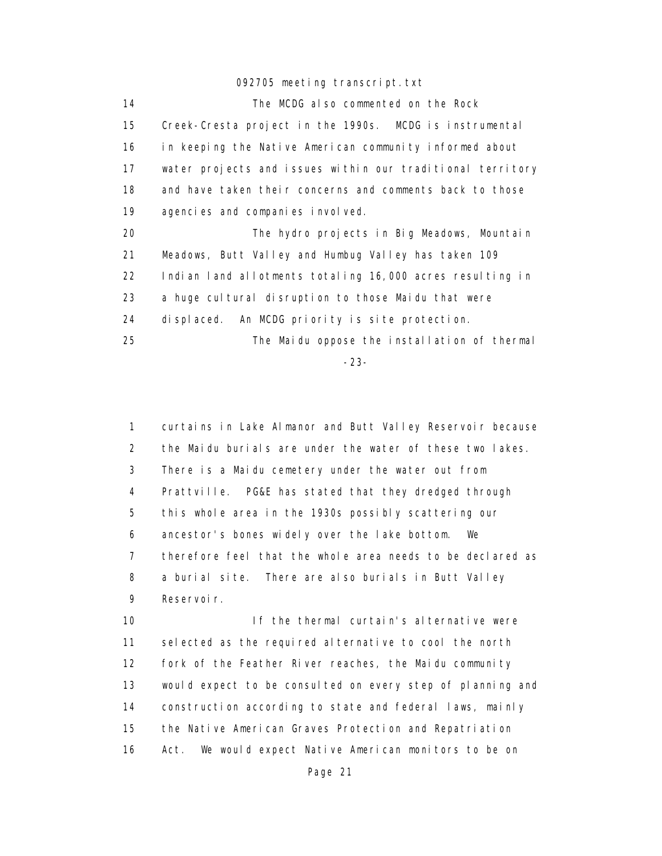14 The MCDG also commented on the Rock 15 Creek-Cresta project in the 1990s. MCDG is instrumental 16 in keeping the Native American community informed about 17 water projects and issues within our traditional territory 18 and have taken their concerns and comments back to those 19 agencies and companies involved. 20 The hydro projects in Big Meadows, Mountain 21 Meadows, Butt Valley and Humbug Valley has taken 109 22 Indian land allotments totaling 16,000 acres resulting in 23 a huge cultural disruption to those Maidu that were 24 displaced. An MCDG priority is site protection. 25 The Maidu oppose the installation of thermal

-23-

 1 curtains in Lake Almanor and Butt Valley Reservoir because 2 the Maidu burials are under the water of these two lakes. 3 There is a Maidu cemetery under the water out from 4 Prattville. PG&E has stated that they dredged through 5 this whole area in the 1930s possibly scattering our 6 ancestor's bones widely over the lake bottom. We 7 therefore feel that the whole area needs to be declared as 8 a burial site. There are also burials in Butt Valley 9 Reservoir.

 10 If the thermal curtain's alternative were 11 selected as the required alternative to cool the north 12 fork of the Feather River reaches, the Maidu community 13 would expect to be consulted on every step of planning and 14 construction according to state and federal laws, mainly 15 the Native American Graves Protection and Repatriation 16 Act. We would expect Native American monitors to be on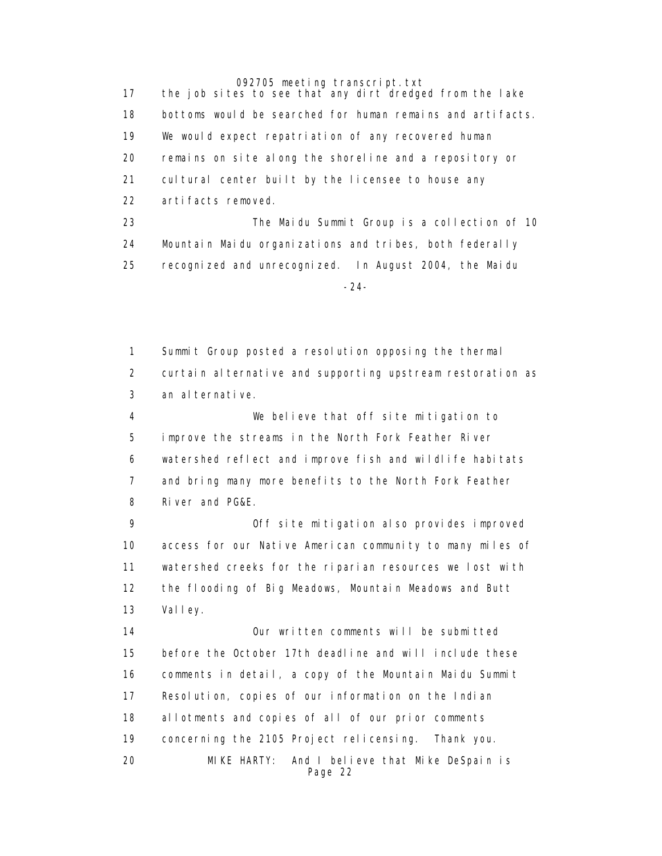17 the job sites to see that any dirt dredged from the lake 18 bottoms would be searched for human remains and artifacts. 19 We would expect repatriation of any recovered human 20 remains on site along the shoreline and a repository or 21 cultural center built by the licensee to house any 22 artifacts removed. 23 The Maidu Summit Group is a collection of 10 24 Mountain Maidu organizations and tribes, both federally 25 recognized and unrecognized. In August 2004, the Maidu -24-

> 1 Summit Group posted a resolution opposing the thermal 2 curtain alternative and supporting upstream restoration as 3 an alternative. 4 We believe that off site mitigation to 5 improve the streams in the North Fork Feather River 6 watershed reflect and improve fish and wildlife habitats 7 and bring many more benefits to the North Fork Feather

8 River and PG&E.

 9 Off site mitigation also provides improved 10 access for our Native American community to many miles of 11 watershed creeks for the riparian resources we lost with 12 the flooding of Big Meadows, Mountain Meadows and Butt 13 Valley.

 14 Our written comments will be submitted 15 before the October 17th deadline and will include these 16 comments in detail, a copy of the Mountain Maidu Summit 17 Resolution, copies of our information on the Indian 18 allotments and copies of all of our prior comments 19 concerning the 2105 Project relicensing. Thank you. 20 MIKE HARTY: And I believe that Mike DeSpain is Page 22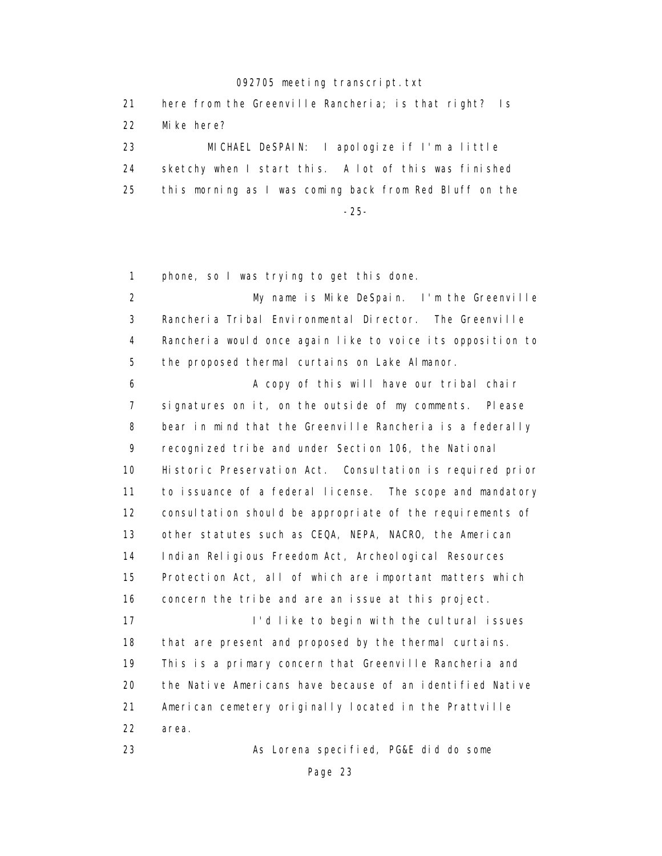| -21 | here from the Greenville Rancheria; is that right? Is   |
|-----|---------------------------------------------------------|
| 22  | Mike here?                                              |
| 23  | MICHAEL DeSPAIN: I apologize if I'm a little            |
| 24  | sketchy when I start this. A lot of this was finished   |
| -25 | this morning as I was coming back from Red Bluff on the |
|     | $-25-$                                                  |

1 phone, so I was trying to get this done.

 2 My name is Mike DeSpain. I'm the Greenville 3 Rancheria Tribal Environmental Director. The Greenville 4 Rancheria would once again like to voice its opposition to 5 the proposed thermal curtains on Lake Almanor.

 6 A copy of this will have our tribal chair 7 signatures on it, on the outside of my comments. Please 8 bear in mind that the Greenville Rancheria is a federally 9 recognized tribe and under Section 106, the National 10 Historic Preservation Act. Consultation is required prior 11 to issuance of a federal license. The scope and mandatory 12 consultation should be appropriate of the requirements of 13 other statutes such as CEQA, NEPA, NACRO, the American 14 Indian Religious Freedom Act, Archeological Resources 15 Protection Act, all of which are important matters which 16 concern the tribe and are an issue at this project. 17 **I'd like to begin with the cultural issues**  18 that are present and proposed by the thermal curtains. 19 This is a primary concern that Greenville Rancheria and 20 the Native Americans have because of an identified Native 21 American cemetery originally located in the Prattville 22 area.

23 As Lorena specified, PG&E did do some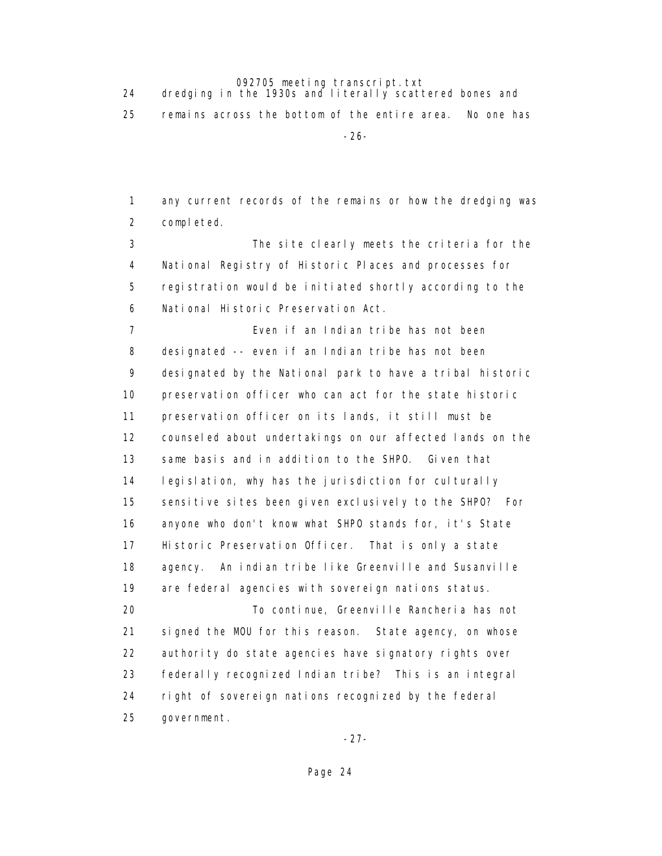24 dredging in the 1930s and literally scattered bones and

25 remains across the bottom of the entire area. No one has

-26-

 1 any current records of the remains or how the dredging was 2 completed.

 3 The site clearly meets the criteria for the 4 National Registry of Historic Places and processes for 5 registration would be initiated shortly according to the 6 National Historic Preservation Act.

 7 Even if an Indian tribe has not been 8 designated -- even if an Indian tribe has not been 9 designated by the National park to have a tribal historic 10 preservation officer who can act for the state historic 11 preservation officer on its lands, it still must be 12 counseled about undertakings on our affected lands on the 13 same basis and in addition to the SHPO. Given that 14 legislation, why has the jurisdiction for culturally 15 sensitive sites been given exclusively to the SHPO? For 16 anyone who don't know what SHPO stands for, it's State 17 Historic Preservation Officer. That is only a state 18 agency. An indian tribe like Greenville and Susanville 19 are federal agencies with sovereign nations status. 20 To continue, Greenville Rancheria has not 21 signed the MOU for this reason. State agency, on whose

 23 federally recognized Indian tribe? This is an integral 24 right of sovereign nations recognized by the federal 25 government.

22 authority do state agencies have signatory rights over

-27-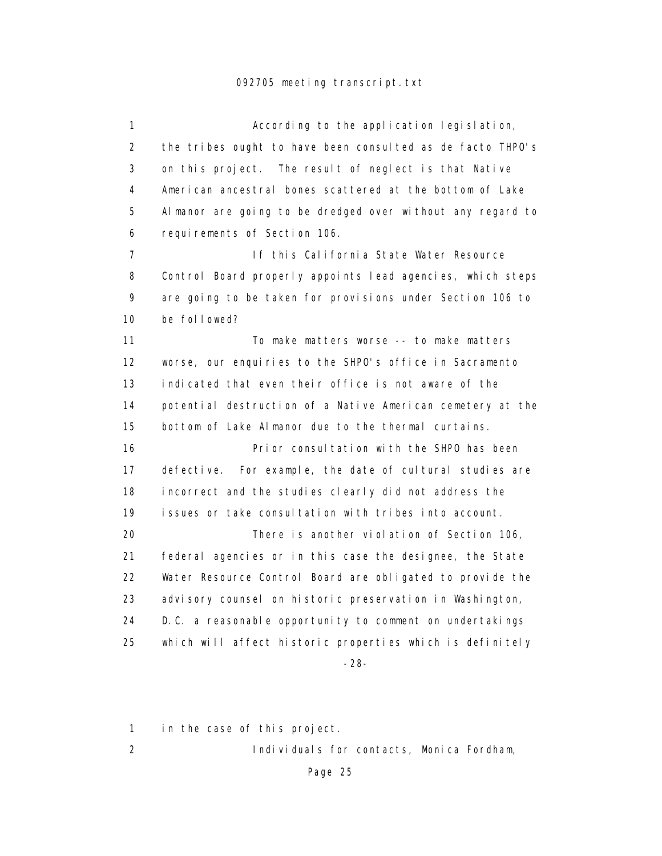1 **According to the application legislation**, 2 the tribes ought to have been consulted as de facto THPO's 3 on this project. The result of neglect is that Native 4 American ancestral bones scattered at the bottom of Lake 5 Almanor are going to be dredged over without any regard to 6 requirements of Section 106. 7 If this California State Water Resource 8 Control Board properly appoints lead agencies, which steps 9 are going to be taken for provisions under Section 106 to 10 be followed? 11 To make matters worse -- to make matters 12 worse, our enquiries to the SHPO's office in Sacramento 13 indicated that even their office is not aware of the 14 potential destruction of a Native American cemetery at the 15 bottom of Lake Almanor due to the thermal curtains. 16 Prior consultation with the SHPO has been 17 defective. For example, the date of cultural studies are 18 incorrect and the studies clearly did not address the 19 issues or take consultation with tribes into account. 20 There is another violation of Section 106, 21 federal agencies or in this case the designee, the State 22 Water Resource Control Board are obligated to provide the 23 advisory counsel on historic preservation in Washington, 24 D.C. a reasonable opportunity to comment on undertakings 25 which will affect historic properties which is definitely -28-

1 in the case of this project.

2 Individuals for contacts, Monica Fordham,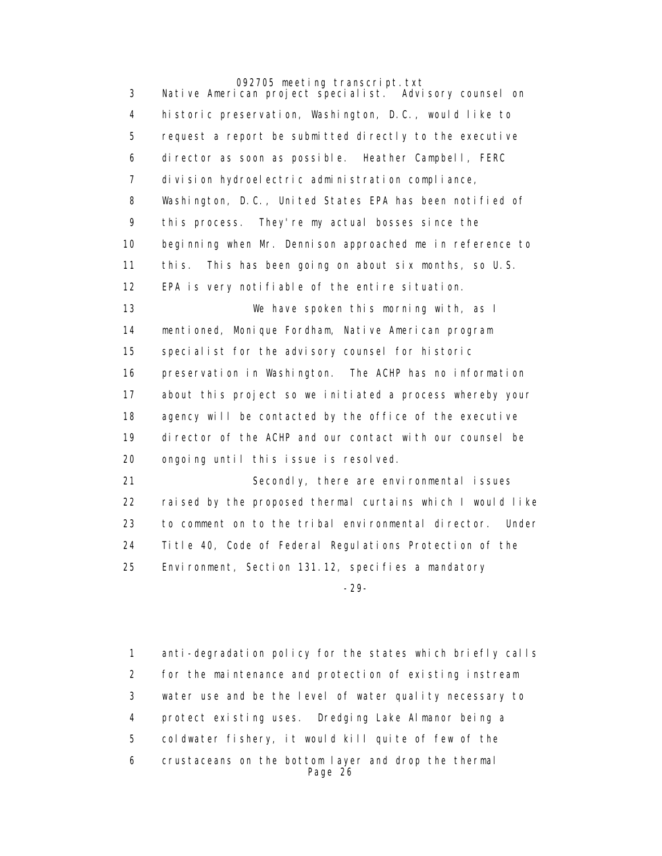3 Native American project specialist. Advisory counsel on 4 historic preservation, Washington, D.C., would like to 5 request a report be submitted directly to the executive 6 director as soon as possible. Heather Campbell, FERC 7 division hydroelectric administration compliance, 8 Washington, D.C., United States EPA has been notified of 9 this process. They're my actual bosses since the 10 beginning when Mr. Dennison approached me in reference to 11 this. This has been going on about six months, so U.S. 12 EPA is very notifiable of the entire situation. 13 We have spoken this morning with, as I 14 mentioned, Monique Fordham, Native American program 15 specialist for the advisory counsel for historic 16 preservation in Washington. The ACHP has no information 17 about this project so we initiated a process whereby your 18 agency will be contacted by the office of the executive 19 director of the ACHP and our contact with our counsel be 20 ongoing until this issue is resolved. 21 Secondly, there are environmental issues 22 raised by the proposed thermal curtains which I would like 23 to comment on to the tribal environmental director. Under

24 Title 40, Code of Federal Regulations Protection of the

25 Environment, Section 131.12, specifies a mandatory

-29-

 1 anti-degradation policy for the states which briefly calls 2 for the maintenance and protection of existing instream 3 water use and be the level of water quality necessary to 4 protect existing uses. Dredging Lake Almanor being a 5 coldwater fishery, it would kill quite of few of the 6 crustaceans on the bottom layer and drop the thermal Page 26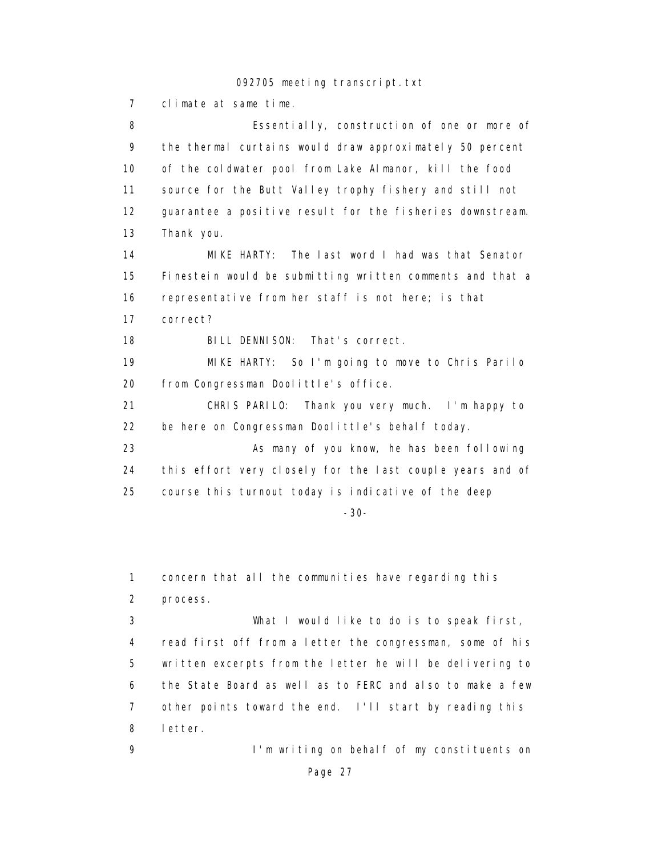7 climate at same time.

 8 Essentially, construction of one or more of 9 the thermal curtains would draw approximately 50 percent 10 of the coldwater pool from Lake Almanor, kill the food 11 source for the Butt Valley trophy fishery and still not 12 guarantee a positive result for the fisheries downstream. 13 Thank you. 14 MIKE HARTY: The last word I had was that Senator 15 Finestein would be submitting written comments and that a 16 representative from her staff is not here; is that 17 correct? 18 BILL DENNISON: That's correct. 19 MIKE HARTY: So I'm going to move to Chris Parilo 20 from Congressman Doolittle's office. 21 CHRIS PARILO: Thank you very much. I'm happy to 22 be here on Congressman Doolittle's behalf today. 23 As many of you know, he has been following 24 this effort very closely for the last couple years and of 25 course this turnout today is indicative of the deep -30-

1 concern that all the communities have regarding this 2 process.

 3 What I would like to do is to speak first, 4 read first off from a letter the congressman, some of his 5 written excerpts from the letter he will be delivering to 6 the State Board as well as to FERC and also to make a few 7 other points toward the end. I'll start by reading this 8 letter.

 9 I'm writing on behalf of my constituents on Page 27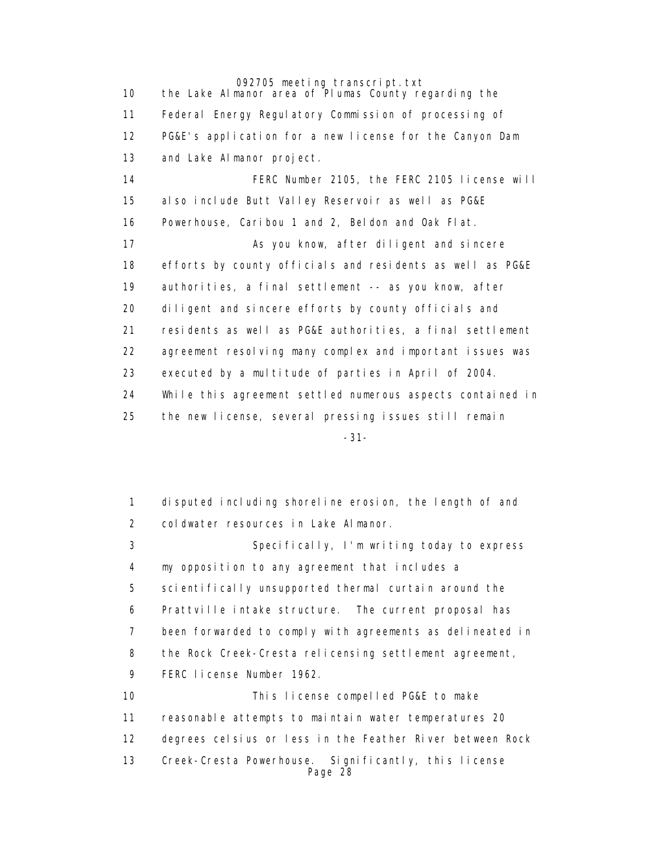092705 meeting transcript.txt 10 the Lake Almanor area of Plumas County regarding the 11 Federal Energy Regulatory Commission of processing of 12 PG&E's application for a new license for the Canyon Dam 13 and Lake Almanor project. 14 FERC Number 2105, the FERC 2105 license will 15 also include Butt Valley Reservoir as well as PG&E 16 Powerhouse, Caribou 1 and 2, Beldon and Oak Flat. 17 As you know, after diligent and sincere 18 efforts by county officials and residents as well as PG&E 19 authorities, a final settlement -- as you know, after 20 diligent and sincere efforts by county officials and 21 residents as well as PG&E authorities, a final settlement 22 agreement resolving many complex and important issues was 23 executed by a multitude of parties in April of 2004. 24 While this agreement settled numerous aspects contained in 25 the new license, several pressing issues still remain -31-

> 1 disputed including shoreline erosion, the length of and 2 coldwater resources in Lake Almanor. 3 Specifically, I'm writing today to express 4 my opposition to any agreement that includes a 5 scientifically unsupported thermal curtain around the 6 Prattville intake structure. The current proposal has 7 been forwarded to comply with agreements as delineated in 8 the Rock Creek-Cresta relicensing settlement agreement, 9 FERC license Number 1962. 10 This license compelled PG&E to make 11 reasonable attempts to maintain water temperatures 20 12 degrees celsius or less in the Feather River between Rock 13 Creek-Cresta Powerhouse. Significantly, this license Page 28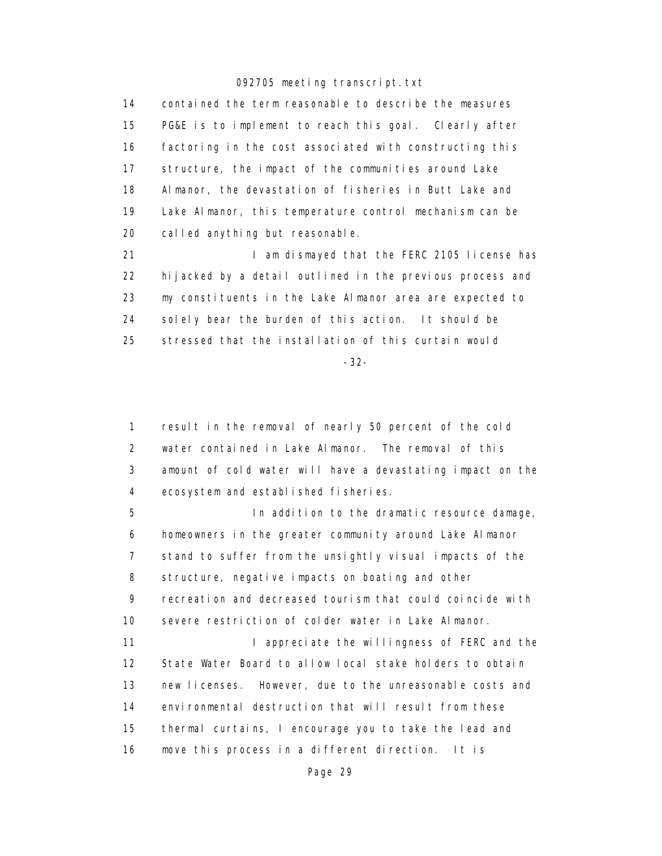14 contained the term reasonable to describe the measures 15 PG&E is to implement to reach this goal. Clearly after 16 factoring in the cost associated with constructing this 17 structure, the impact of the communities around Lake 18 Almanor, the devastation of fisheries in Butt Lake and 19 Lake Almanor, this temperature control mechanism can be 20 called anything but reasonable.

21 **I am dismayed that the FERC 2105 license has**  22 hijacked by a detail outlined in the previous process and 23 my constituents in the Lake Almanor area are expected to 24 solely bear the burden of this action. It should be 25 stressed that the installation of this curtain would

-32-

 1 result in the removal of nearly 50 percent of the cold 2 water contained in Lake Almanor. The removal of this 3 amount of cold water will have a devastating impact on the 4 ecosystem and established fisheries.

 5 In addition to the dramatic resource damage, 6 homeowners in the greater community around Lake Almanor 7 stand to suffer from the unsightly visual impacts of the 8 structure, negative impacts on boating and other 9 recreation and decreased tourism that could coincide with 10 severe restriction of colder water in Lake Almanor. 11 I appreciate the willingness of FERC and the 12 State Water Board to allow local stake holders to obtain

 13 new licenses. However, due to the unreasonable costs and 14 environmental destruction that will result from these 15 thermal curtains, I encourage you to take the lead and 16 move this process in a different direction. It is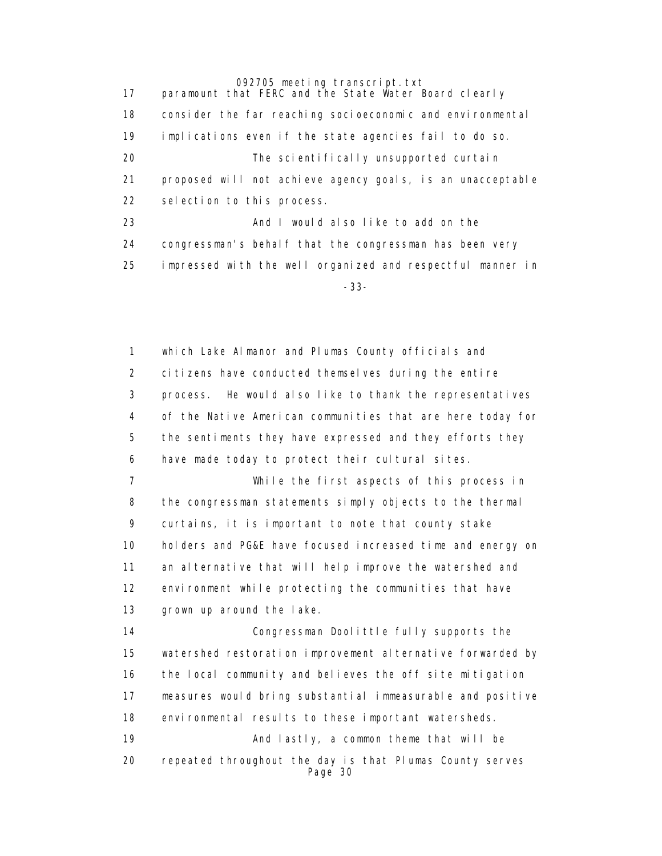17 paramount that FERC and the State Water Board clearly 18 consider the far reaching socioeconomic and environmental 19 implications even if the state agencies fail to do so. 20 The scientifically unsupported curtain 21 proposed will not achieve agency goals, is an unacceptable 22 selection to this process. 23 **And I would also like to add on the** 24 congressman's behalf that the congressman has been very 25 impressed with the well organized and respectful manner in -33-

> 1 which Lake Almanor and Plumas County officials and 2 citizens have conducted themselves during the entire 3 process. He would also like to thank the representatives 4 of the Native American communities that are here today for 5 the sentiments they have expressed and they efforts they 6 have made today to protect their cultural sites. 7 While the first aspects of this process in 8 the congressman statements simply objects to the thermal 9 curtains, it is important to note that county stake 10 holders and PG&E have focused increased time and energy on 11 an alternative that will help improve the watershed and 12 environment while protecting the communities that have 13 grown up around the lake. 14 Congressman Doolittle fully supports the 15 watershed restoration improvement alternative forwarded by 16 the local community and believes the off site mitigation 17 measures would bring substantial immeasurable and positive 18 environmental results to these important watersheds. 19 **And lastly, a common theme that will be**  20 repeated throughout the day is that Plumas County serves Page 30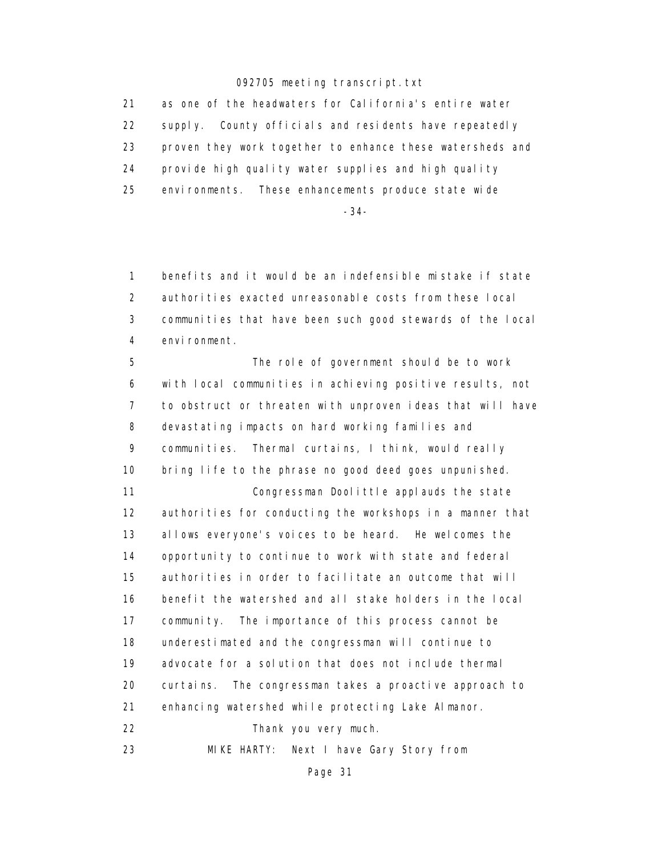21 as one of the headwaters for California's entire water 22 supply. County officials and residents have repeatedly 23 proven they work together to enhance these watersheds and 24 provide high quality water supplies and high quality 25 environments. These enhancements produce state wide

-34-

 1 benefits and it would be an indefensible mistake if state 2 authorities exacted unreasonable costs from these local 3 communities that have been such good stewards of the local 4 environment.

 5 The role of government should be to work 6 with local communities in achieving positive results, not 7 to obstruct or threaten with unproven ideas that will have 8 devastating impacts on hard working families and 9 communities. Thermal curtains, I think, would really 10 bring life to the phrase no good deed goes unpunished. 11 Congressman Doolittle applauds the state 12 authorities for conducting the workshops in a manner that 13 allows everyone's voices to be heard. He welcomes the 14 opportunity to continue to work with state and federal 15 authorities in order to facilitate an outcome that will 16 benefit the watershed and all stake holders in the local 17 community. The importance of this process cannot be 18 underestimated and the congressman will continue to 19 advocate for a solution that does not include thermal 20 curtains. The congressman takes a proactive approach to 21 enhancing watershed while protecting Lake Almanor. 22 Thank you very much.

23 MIKE HARTY: Next I have Gary Story from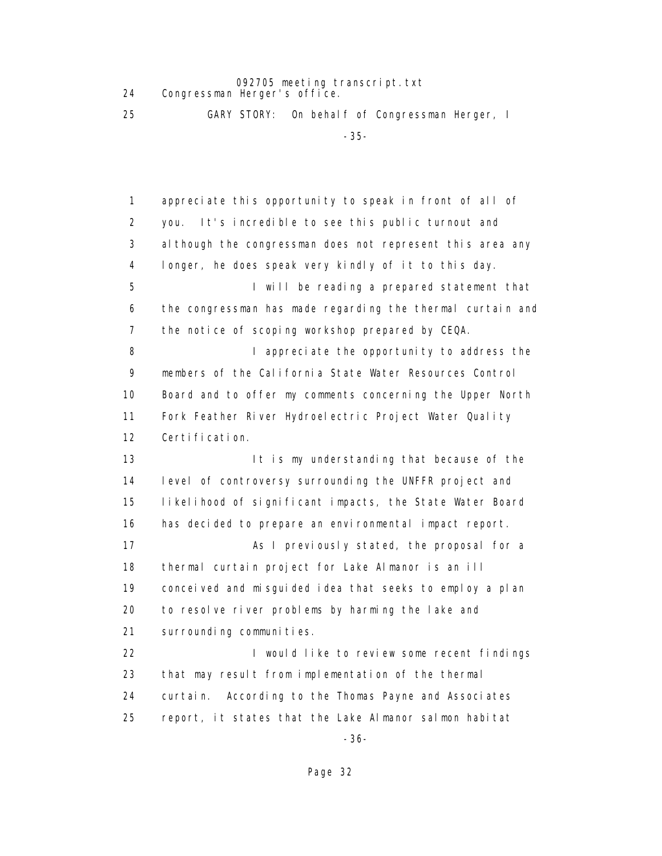24 Congressman Herger's office.

25 GARY STORY: On behalf of Congressman Herger, I

-35-

 1 appreciate this opportunity to speak in front of all of 2 you. It's incredible to see this public turnout and 3 although the congressman does not represent this area any 4 longer, he does speak very kindly of it to this day. 5 I will be reading a prepared statement that 6 the congressman has made regarding the thermal curtain and 7 the notice of scoping workshop prepared by CEQA. 8 **I** appreciate the opportunity to address the 9 members of the California State Water Resources Control 10 Board and to offer my comments concerning the Upper North 11 Fork Feather River Hydroelectric Project Water Quality 12 Certification. 13 **It is my understanding that because of the**  14 level of controversy surrounding the UNFFR project and 15 likelihood of significant impacts, the State Water Board 16 has decided to prepare an environmental impact report. 17 As I previously stated, the proposal for a 18 thermal curtain project for Lake Almanor is an ill 19 conceived and misguided idea that seeks to employ a plan 20 to resolve river problems by harming the lake and 21 surrounding communities. 22 **I** would like to review some recent findings 23 that may result from implementation of the thermal 24 curtain. According to the Thomas Payne and Associates 25 report, it states that the Lake Almanor salmon habitat -36-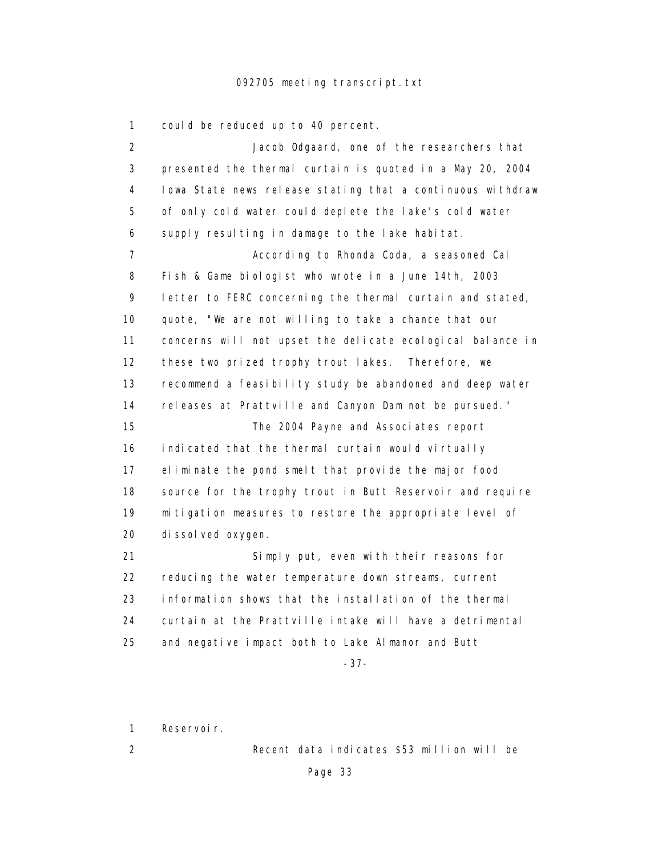1 could be reduced up to 40 percent.

 2 Jacob Odgaard, one of the researchers that 3 presented the thermal curtain is quoted in a May 20, 2004 4 Iowa State news release stating that a continuous withdraw 5 of only cold water could deplete the lake's cold water 6 supply resulting in damage to the lake habitat. 7 According to Rhonda Coda, a seasoned Cal 8 Fish & Game biologist who wrote in a June 14th, 2003 9 letter to FERC concerning the thermal curtain and stated, 10 quote, "We are not willing to take a chance that our 11 concerns will not upset the delicate ecological balance in 12 these two prized trophy trout lakes. Therefore, we 13 recommend a feasibility study be abandoned and deep water 14 releases at Prattville and Canyon Dam not be pursued." 15 The 2004 Payne and Associates report 16 indicated that the thermal curtain would virtually 17 eliminate the pond smelt that provide the major food 18 source for the trophy trout in Butt Reservoir and require 19 mitigation measures to restore the appropriate level of 20 dissolved oxygen. 21 Simply put, even with their reasons for 22 reducing the water temperature down streams, current 23 information shows that the installation of the thermal 24 curtain at the Prattville intake will have a detrimental 25 and negative impact both to Lake Almanor and Butt

-37-

1 Reservoir.

2 Recent data indicates \$53 million will be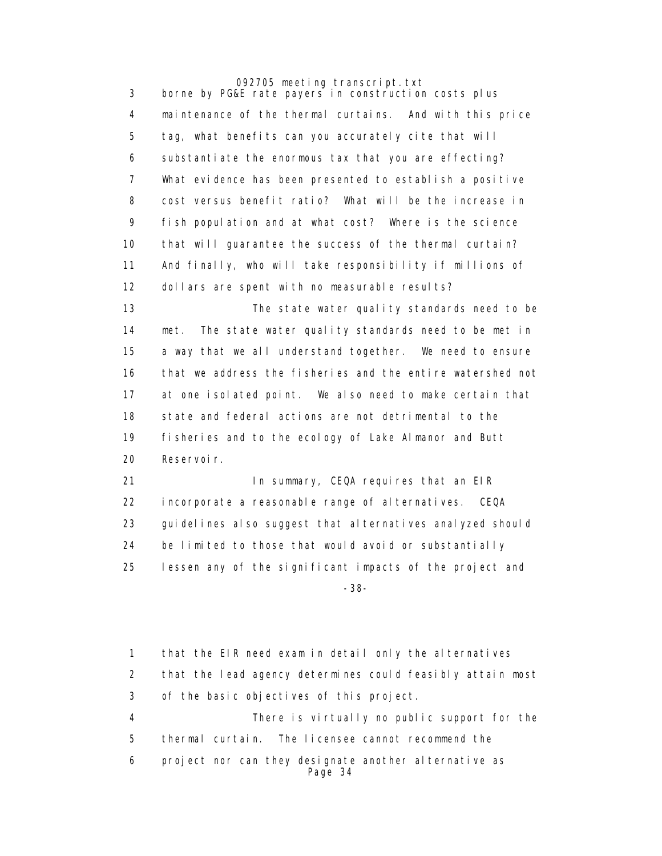3 borne by PG&E rate payers in construction costs plus 4 maintenance of the thermal curtains. And with this price 5 tag, what benefits can you accurately cite that will 6 substantiate the enormous tax that you are effecting? 7 What evidence has been presented to establish a positive 8 cost versus benefit ratio? What will be the increase in 9 fish population and at what cost? Where is the science 10 that will guarantee the success of the thermal curtain? 11 And finally, who will take responsibility if millions of 12 dollars are spent with no measurable results?

> 13 The state water quality standards need to be 14 met. The state water quality standards need to be met in 15 a way that we all understand together. We need to ensure 16 that we address the fisheries and the entire watershed not 17 at one isolated point. We also need to make certain that 18 state and federal actions are not detrimental to the 19 fisheries and to the ecology of Lake Almanor and Butt 20 Reservoir.

21 **In summary, CEQA requires that an EIR**  22 incorporate a reasonable range of alternatives. CEQA 23 guidelines also suggest that alternatives analyzed should 24 be limited to those that would avoid or substantially 25 lessen any of the significant impacts of the project and -38-

> 1 that the EIR need exam in detail only the alternatives 2 that the lead agency determines could feasibly attain most 3 of the basic objectives of this project. 4 There is virtually no public support for the 5 thermal curtain. The licensee cannot recommend the 6 project nor can they designate another al ternative as Page 34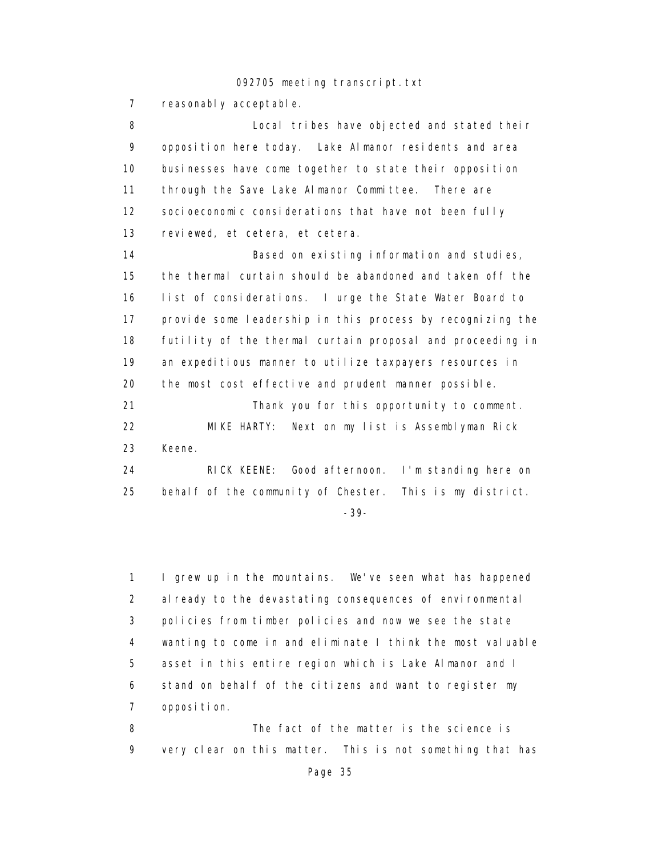7 reasonably acceptable.

 8 Local tribes have objected and stated their 9 opposition here today. Lake Almanor residents and area 10 businesses have come together to state their opposition 11 through the Save Lake Almanor Committee. There are 12 socioeconomic considerations that have not been fully 13 reviewed, et cetera, et cetera. 14 **Based on existing information and studies**, 15 the thermal curtain should be abandoned and taken off the 16 list of considerations. I urge the State Water Board to 17 provide some leadership in this process by recognizing the 18 futility of the thermal curtain proposal and proceeding in 19 an expeditious manner to utilize taxpayers resources in 20 the most cost effective and prudent manner possible. 21 Thank you for this opportunity to comment. 22 MIKE HARTY: Next on my list is Assemblyman Rick 23 Keene. 24 RICK KEENE: Good afternoon. I'm standing here on 25 behalf of the community of Chester. This is my district.

-39-

 1 I grew up in the mountains. We've seen what has happened 2 al ready to the devastating consequences of environmental 3 policies from timber policies and now we see the state 4 wanting to come in and eliminate I think the most valuable 5 asset in this entire region which is Lake Almanor and I 6 stand on behalf of the citizens and want to register my 7 opposition.

 8 The fact of the matter is the science is 9 very clear on this matter. This is not something that has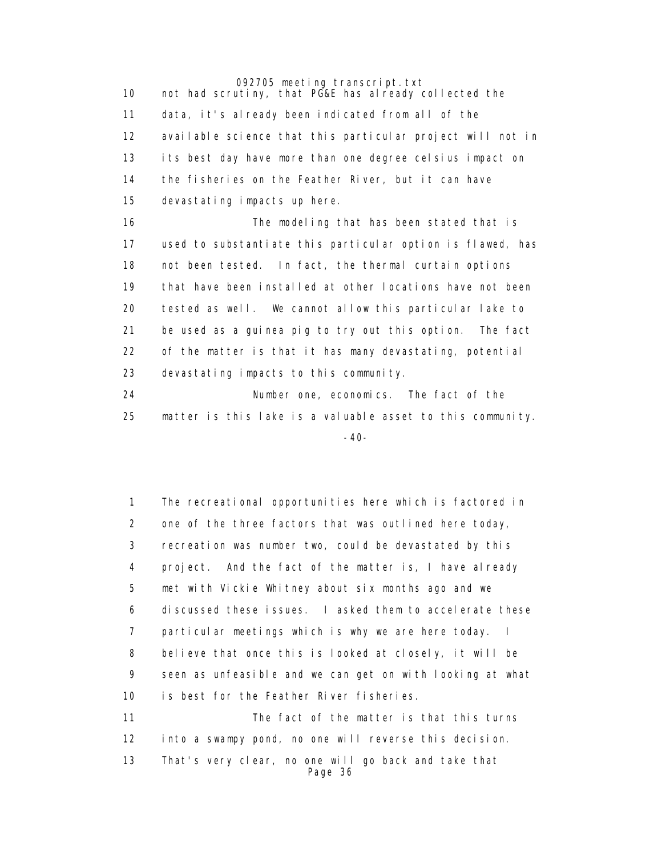092705 meeting transcript.txt 10 not had scrutiny, that PG&E has already collected the 11 data, it's already been indicated from all of the 12 available science that this particular project will not in 13 its best day have more than one degree celsius impact on 14 the fisheries on the Feather River, but it can have 15 devastating impacts up here. 16 The modeling that has been stated that is 17 used to substantiate this particular option is flawed, has 18 not been tested. In fact, the thermal curtain options 19 that have been installed at other locations have not been 20 tested as well. We cannot allow this particular lake to 21 be used as a guinea pig to try out this option. The fact 22 of the matter is that it has many devastating, potential 23 devastating impacts to this community.

 24 Number one, economics. The fact of the 25 matter is this lake is a valuable asset to this community. -40-

> 1 The recreational opportunities here which is factored in 2 one of the three factors that was outlined here today, 3 recreation was number two, could be devastated by this 4 project. And the fact of the matter is, I have already 5 met with Vickie Whitney about six months ago and we 6 discussed these issues. I asked them to accelerate these 7 particular meetings which is why we are here today. I 8 believe that once this is looked at closely, it will be 9 seen as unfeasible and we can get on with looking at what 10 is best for the Feather River fisheries. 11 The fact of the matter is that this turns 12 into a swampy pond, no one will reverse this decision.

 13 That's very clear, no one will go back and take that Page 36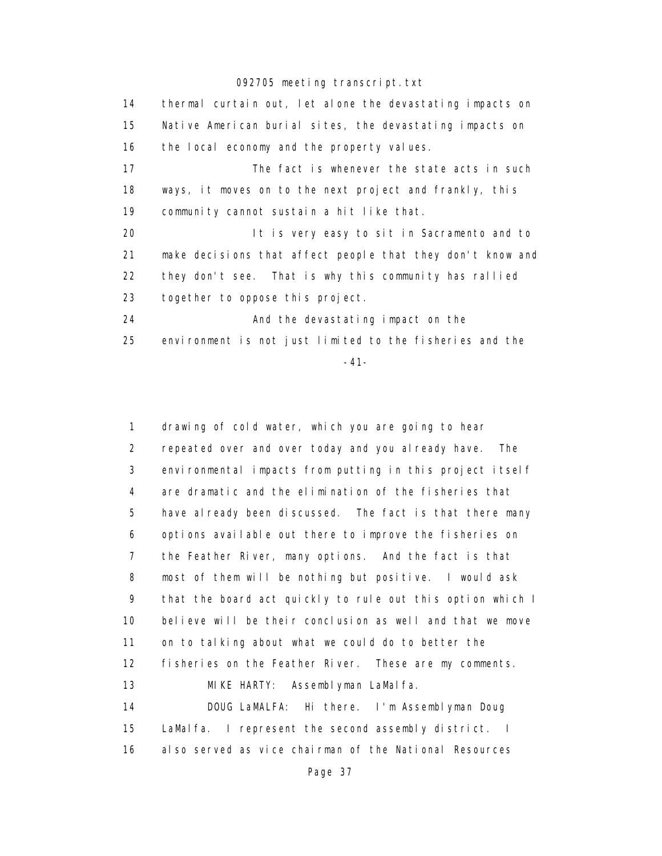14 thermal curtain out, let alone the devastating impacts on 15 Native American burial sites, the devastating impacts on 16 the local economy and the property values. 17 The fact is whenever the state acts in such 18 ways, it moves on to the next project and frankly, this 19 community cannot sustain a hit like that. 20 It is very easy to sit in Sacramento and to 21 make decisions that affect people that they don't know and 22 they don't see. That is why this community has rallied 23 together to oppose this project. 24 And the devastating impact on the 25 environment is not just limited to the fisheries and the

-41-

 1 drawing of cold water, which you are going to hear 2 repeated over and over today and you already have. The 3 environmental impacts from putting in this project itself 4 are dramatic and the elimination of the fisheries that 5 have already been discussed. The fact is that there many 6 options available out there to improve the fisheries on 7 the Feather River, many options. And the fact is that 8 most of them will be nothing but positive. I would ask 9 that the board act quickly to rule out this option which I 10 believe will be their conclusion as well and that we move 11 on to talking about what we could do to better the 12 fisheries on the Feather River. These are my comments. 13 **MIKE HARTY:** Assemblyman LaMalfa. 14 DOUG LaMALFA: Hi there. I'm Assemblyman Doug 15 LaMalfa. I represent the second assembly district. I 16 also served as vice chairman of the National Resources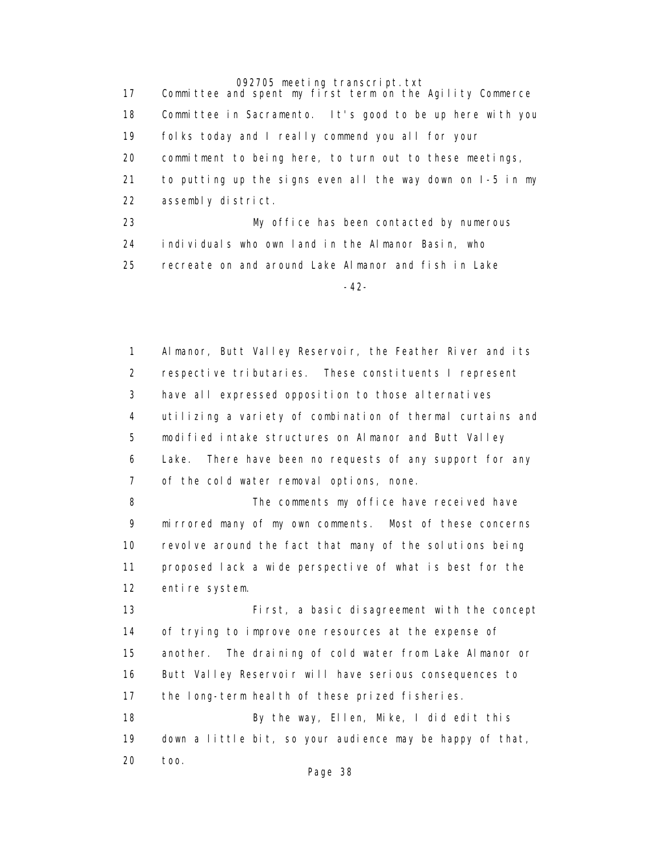17 Committee and spent my first term on the Agility Commerce 18 Committee in Sacramento. It's good to be up here with you 19 folks today and I really commend you all for your 20 commitment to being here, to turn out to these meetings, 21 to putting up the signs even all the way down on I-5 in my 22 assembly district. 23 My office has been contacted by numerous 24 individuals who own land in the Almanor Basin, who 25 recreate on and around Lake Almanor and fish in Lake -42-

> 1 Almanor, Butt Valley Reservoir, the Feather River and its 2 respective tributaries. These constituents I represent 3 have all expressed opposition to those alternatives 4 utilizing a variety of combination of thermal curtains and 5 modified intake structures on Almanor and Butt Valley 6 Lake. There have been no requests of any support for any 7 of the cold water removal options, none. 8 The comments my office have received have 9 mirrored many of my own comments. Most of these concerns 10 revolve around the fact that many of the solutions being 11 proposed lack a wide perspective of what is best for the 12 entire system. 13 First, a basic disagreement with the concept 14 of trying to improve one resources at the expense of 15 another. The draining of cold water from Lake Almanor or 16 Butt Valley Reservoir will have serious consequences to 17 the long-term health of these prized fisheries. 18 By the way, Ellen, Mike, I did edit this 19 down a little bit, so your audience may be happy of that, 20 too.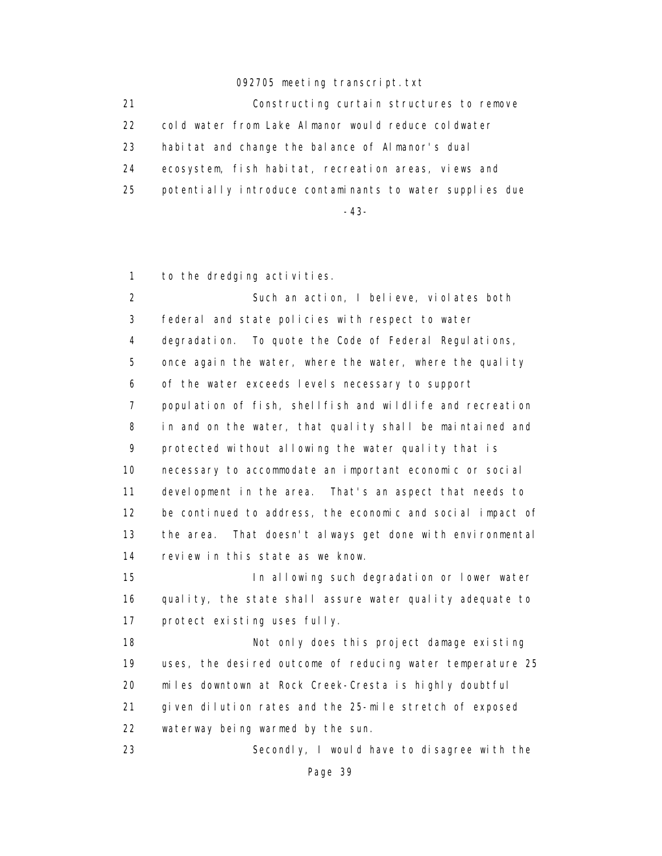21 Constructing curtain structures to remove 22 cold water from Lake Almanor would reduce coldwater 23 habitat and change the balance of Almanor's dual 24 ecosystem, fish habitat, recreation areas, views and 25 potentially introduce contaminants to water supplies due

-43-

1 to the dredging activities.

 2 Such an action, I believe, violates both 3 federal and state policies with respect to water 4 degradation. To quote the Code of Federal Regulations, 5 once again the water, where the water, where the quality 6 of the water exceeds levels necessary to support 7 population of fish, shellfish and wildlife and recreation 8 in and on the water, that quality shall be maintained and 9 protected without allowing the water quality that is 10 necessary to accommodate an important economic or social 11 development in the area. That's an aspect that needs to 12 be continued to address, the economic and social impact of 13 the area. That doesn't always get done with environmental 14 review in this state as we know.

 15 In allowing such degradation or lower water 16 quality, the state shall assure water quality adequate to 17 protect existing uses fully.

18 **Not only does this project damage existing**  19 uses, the desired outcome of reducing water temperature 25 20 miles downtown at Rock Creek-Cresta is highly doubtful 21 given dilution rates and the 25-mile stretch of exposed 22 waterway being warmed by the sun.

23 Secondly, I would have to disagree with the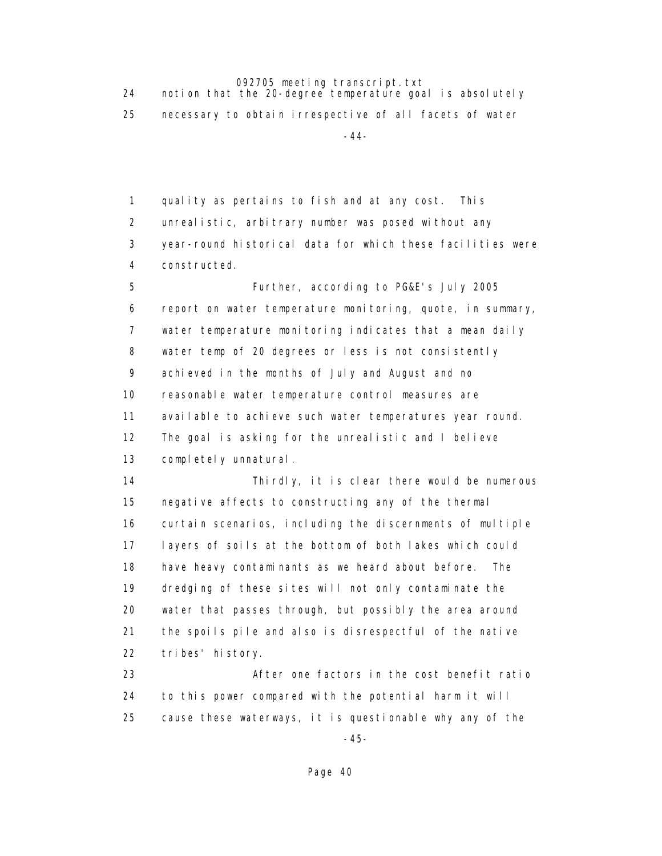24 notion that the 20-degree temperature goal is absolutely 25 necessary to obtain irrespective of all facets of water -44-

> 1 quality as pertains to fish and at any cost. This 2 unrealistic, arbitrary number was posed without any 3 year-round historical data for which these facilities were 4 constructed.

 5 Further, according to PG&E's July 2005 6 report on water temperature monitoring, quote, in summary, 7 water temperature monitoring indicates that a mean daily 8 water temp of 20 degrees or less is not consistently 9 achieved in the months of July and August and no 10 reasonable water temperature control measures are 11 available to achieve such water temperatures year round. 12 The goal is asking for the unrealistic and I believe 13 completely unnatural.

 14 Thirdly, it is clear there would be numerous 15 negative affects to constructing any of the thermal 16 curtain scenarios, including the discernments of multiple 17 layers of soils at the bottom of both lakes which could 18 have heavy contaminants as we heard about before. The 19 dredging of these sites will not only contaminate the 20 water that passes through, but possibly the area around 21 the spoils pile and also is disrespectful of the native 22 tribes' history.

 23 After one factors in the cost benefit ratio 24 to this power compared with the potential harm it will 25 cause these waterways, it is questionable why any of the

-45-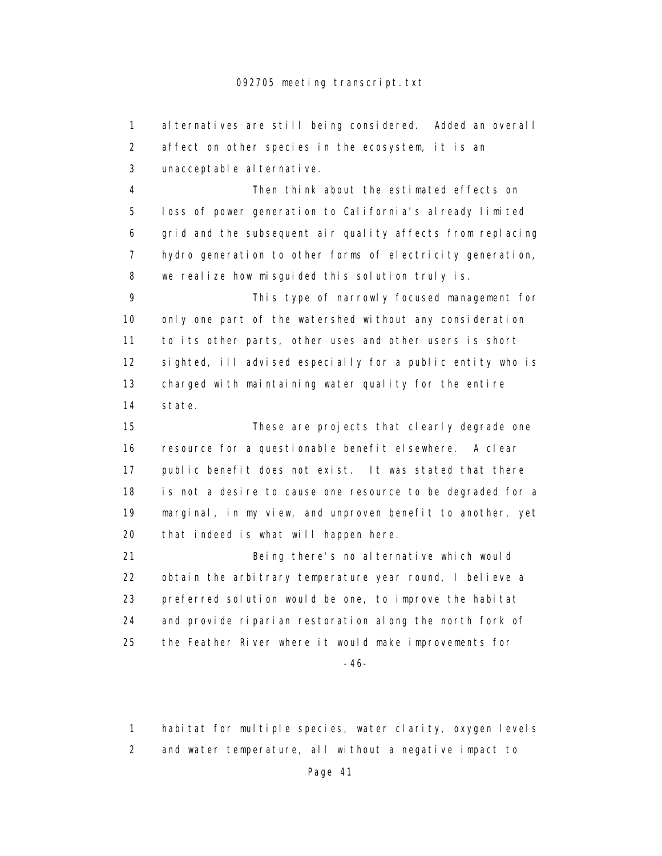1 alternatives are still being considered. Added an overall 2 affect on other species in the ecosystem, it is an 3 unacceptable alternative.

 4 Then think about the estimated effects on 5 loss of power generation to California's already limited 6 grid and the subsequent air quality affects from replacing 7 hydro generation to other forms of electricity generation, 8 we realize how misguided this solution truly is.

 9 This type of narrowly focused management for 10 only one part of the watershed without any consideration 11 to its other parts, other uses and other users is short 12 sighted, ill advised especially for a public entity who is 13 charged with maintaining water quality for the entire 14 state.

 15 These are projects that clearly degrade one 16 resource for a questionable benefit elsewhere. A clear 17 public benefit does not exist. It was stated that there 18 is not a desire to cause one resource to be degraded for a 19 marginal, in my view, and unproven benefit to another, yet 20 that indeed is what will happen here.

 21 Being there's no alternative which would 22 obtain the arbitrary temperature year round, I believe a 23 preferred solution would be one, to improve the habitat 24 and provide riparian restoration along the north fork of 25 the Feather River where it would make improvements for

-46-

1 habitat for multiple species, water clarity, oxygen levels

2 and water temperature, all without a negative impact to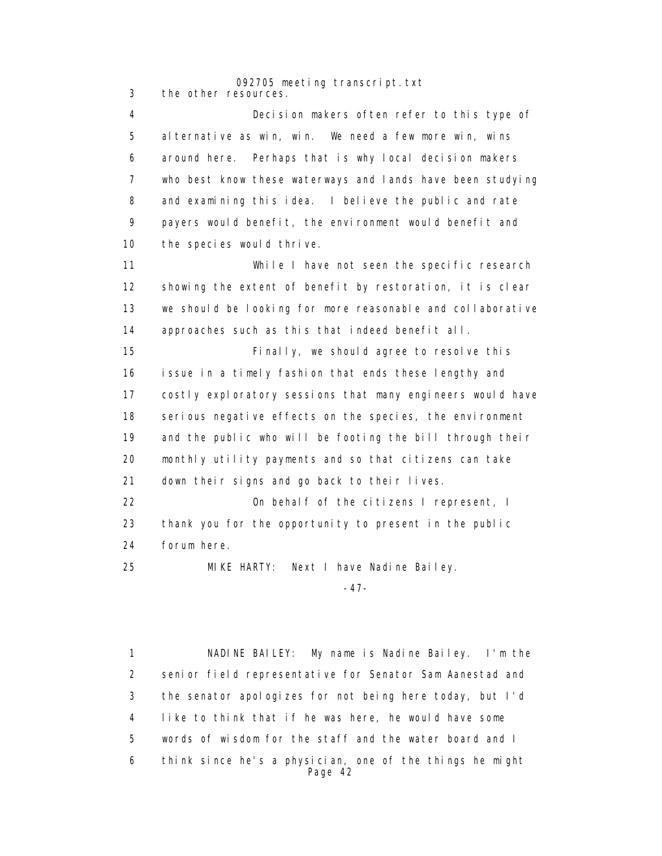092705 meeting transcript.txt 3 the other resources.

 4 Decision makers often refer to this type of 5 alternative as win, win. We need a few more win, wins 6 around here. Perhaps that is why local decision makers 7 who best know these waterways and lands have been studying 8 and examining this idea. I believe the public and rate 9 payers would benefit, the environment would benefit and 10 the species would thrive.

 11 While I have not seen the specific research 12 showing the extent of benefit by restoration, it is clear 13 we should be looking for more reasonable and collaborative 14 approaches such as this that indeed benefit all.

 15 Finally, we should agree to resolve this 16 issue in a timely fashion that ends these lengthy and 17 costly exploratory sessions that many engineers would have 18 serious negative effects on the species, the environment 19 and the public who will be footing the bill through their 20 monthly utility payments and so that citizens can take 21 down their signs and go back to their lives. 22 On behalf of the citizens I represent, I

 23 thank you for the opportunity to present in the public 24 forum here.

25 MIKE HARTY: Next I have Nadine Bailey.

-47-

 1 NADINE BAILEY: My name is Nadine Bailey. I'm the 2 senior field representative for Senator Sam Aanestad and 3 the senator apologizes for not being here today, but I'd 4 like to think that if he was here, he would have some 5 words of wisdom for the staff and the water board and I 6 think since he's a physician, one of the things he might Page 42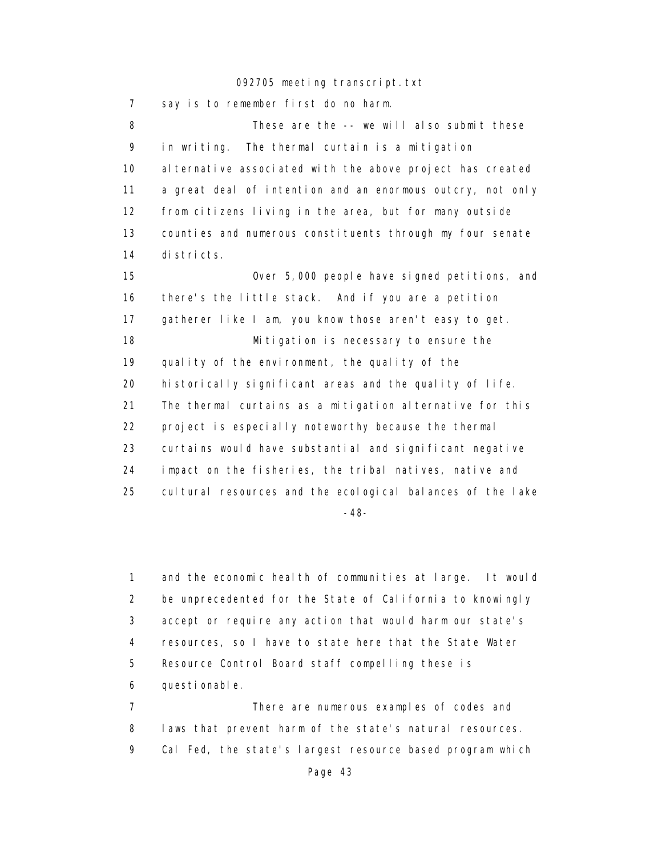7 say is to remember first do no harm. 8 These are the -- we will also submit these 9 in writing. The thermal curtain is a mitigation 10 alternative associated with the above project has created 11 a great deal of intention and an enormous outcry, not only 12 from citizens living in the area, but for many outside 13 counties and numerous constituents through my four senate 14 districts. 15 Over 5,000 people have signed petitions, and 16 there's the little stack. And if you are a petition 17 gatherer like I am, you know those aren't easy to get. 18 Mitigation is necessary to ensure the 19 quality of the environment, the quality of the 20 historically significant areas and the quality of life. 21 The thermal curtains as a mitigation alternative for this 22 project is especially noteworthy because the thermal 23 curtains would have substantial and significant negative 24 impact on the fisheries, the tribal natives, native and 25 cultural resources and the ecological balances of the lake -48-

> 1 and the economic health of communities at large. It would 2 be unprecedented for the State of California to knowingly 3 accept or require any action that would harm our state's 4 resources, so I have to state here that the State Water 5 Resource Control Board staff compelling these is 6 questionable.

 7 There are numerous examples of codes and 8 laws that prevent harm of the state's natural resources. 9 Cal Fed, the state's largest resource based program which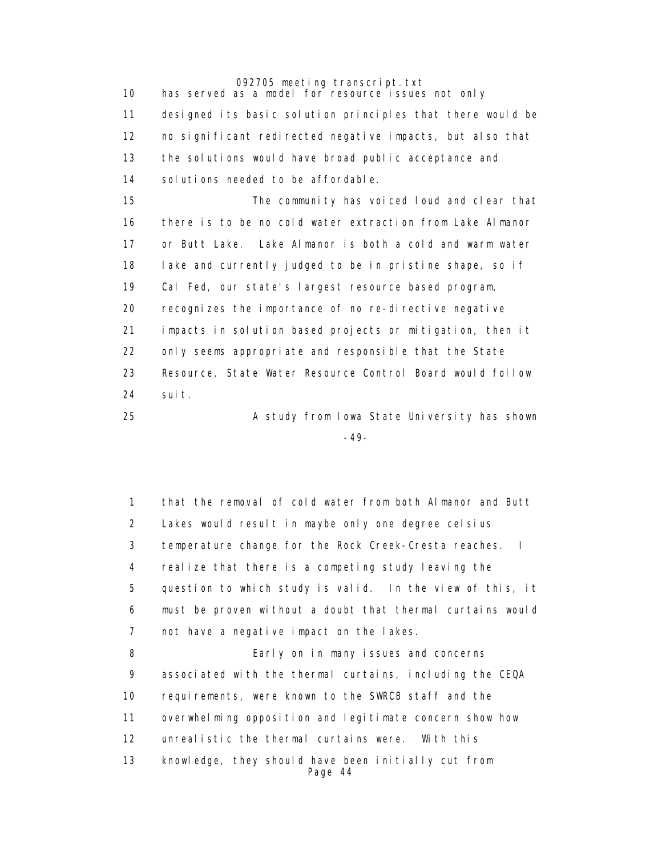092705 meeting transcript.txt 10 has served as a model for resource issues not only 11 designed its basic solution principles that there would be 12 no significant redirected negative impacts, but also that 13 the solutions would have broad public acceptance and 14 solutions needed to be affordable. 15 The community has voiced loud and clear that 16 there is to be no cold water extraction from Lake Almanor 17 or Butt Lake. Lake Almanor is both a cold and warm water 18 lake and currently judged to be in pristine shape, so if 19 Cal Fed, our state's largest resource based program, 20 recognizes the importance of no re-directive negative 21 impacts in solution based projects or mitigation, then it 22 only seems appropriate and responsible that the State 23 Resource, State Water Resource Control Board would follow 24 suit.

 25 A study from Iowa State University has shown -49-

> 1 that the removal of cold water from both Almanor and Butt 2 Lakes would result in maybe only one degree celsius 3 temperature change for the Rock Creek-Cresta reaches. I 4 realize that there is a competing study leaving the 5 question to which study is valid. In the view of this, it 6 must be proven without a doubt that thermal curtains would 7 not have a negative impact on the lakes. 8 Early on in many issues and concerns 9 associated with the thermal curtains, including the CEQA 10 requirements, were known to the SWRCB staff and the 11 overwhelming opposition and legitimate concern show how 12 unrealistic the thermal curtains were. With this 13 knowledge, they should have been initially cut from Page 44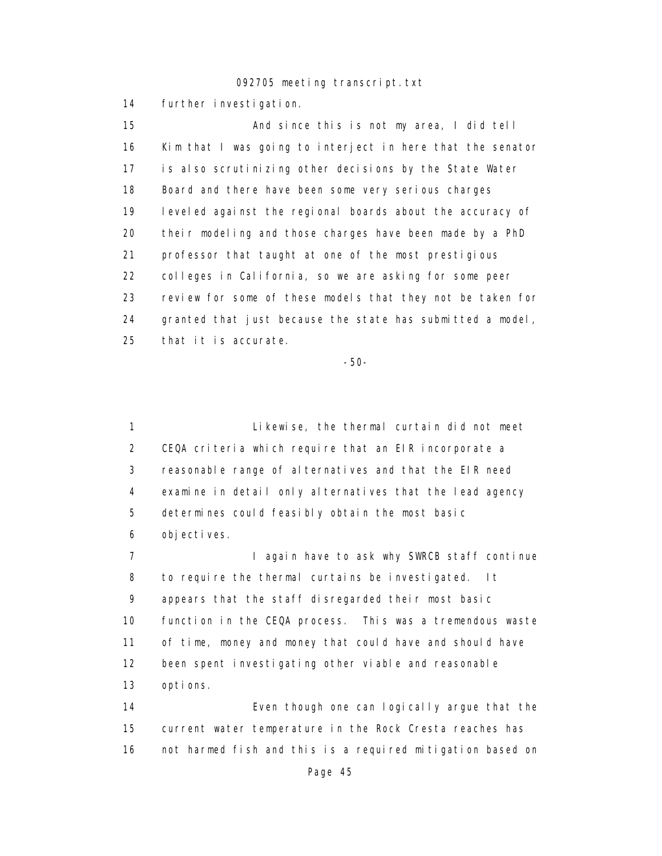14 further investigation.

 15 And since this is not my area, I did tell 16 Kim that I was going to interject in here that the senator 17 is also scrutinizing other decisions by the State Water 18 Board and there have been some very serious charges 19 leveled against the regional boards about the accuracy of 20 their modeling and those charges have been made by a PhD 21 professor that taught at one of the most prestigious 22 colleges in California, so we are asking for some peer 23 review for some of these models that they not be taken for 24 granted that just because the state has submitted a model, 25 that it is accurate.

-50-

 1 Likewise, the thermal curtain did not meet 2 CEQA criteria which require that an EIR incorporate a 3 reasonable range of alternatives and that the EIR need 4 examine in detail only alternatives that the lead agency 5 determines could feasibly obtain the most basic 6 objectives.

7 **I** again have to ask why SWRCB staff continue 8 to require the thermal curtains be investigated. It 9 appears that the staff disregarded their most basic 10 function in the CEQA process. This was a tremendous waste 11 of time, money and money that could have and should have 12 been spent investigating other viable and reasonable 13 options.

 14 Even though one can logically argue that the 15 current water temperature in the Rock Cresta reaches has 16 not harmed fish and this is a required mitigation based on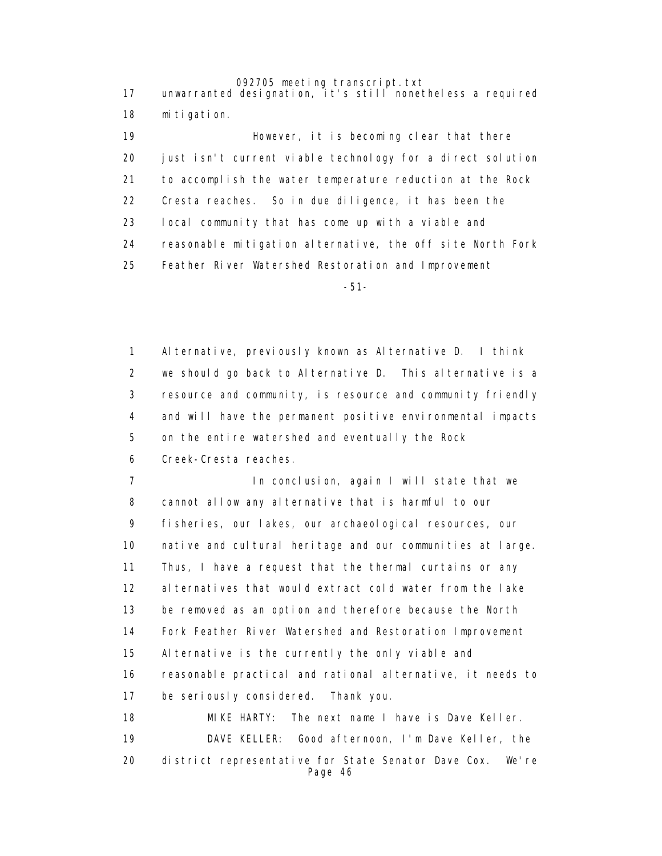17 unwarranted designation, it's still nonetheless a required 18 mitigation.

> 19 **However, it is becoming clear that there**  20 just isn't current viable technology for a direct solution 21 to accomplish the water temperature reduction at the Rock 22 Cresta reaches. So in due diligence, it has been the 23 local community that has come up with a viable and 24 reasonable mitigation alternative, the off site North Fork 25 Feather River Watershed Restoration and Improvement

-51-

 1 Alternative, previously known as Alternative D. I think 2 we should go back to Alternative D. This alternative is a 3 resource and community, is resource and community friendly 4 and will have the permanent positive environmental impacts 5 on the entire watershed and eventually the Rock 6 Creek-Cresta reaches.

 7 In conclusion, again I will state that we 8 cannot allow any alternative that is harmful to our 9 fisheries, our lakes, our archaeological resources, our 10 native and cultural heritage and our communities at large. 11 Thus, I have a request that the thermal curtains or any 12 alternatives that would extract cold water from the lake 13 be removed as an option and therefore because the North 14 Fork Feather River Watershed and Restoration Improvement 15 Alternative is the currently the only viable and 16 reasonable practical and rational alternative, it needs to 17 be seriously considered. Thank you. 18 MIKE HARTY: The next name I have is Dave Keller.

 19 DAVE KELLER: Good afternoon, I'm Dave Keller, the 20 district representative for State Senator Dave Cox. We're Page 46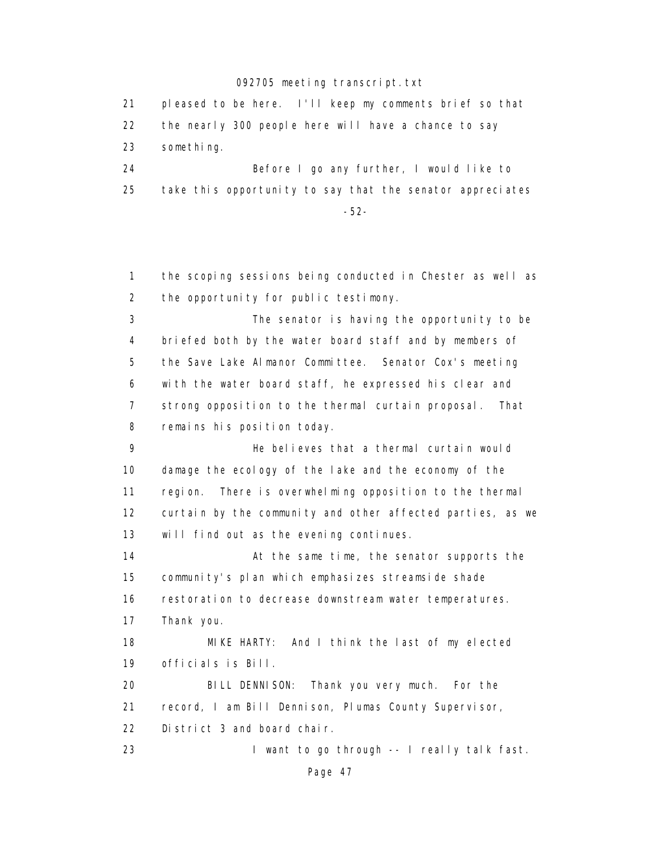21 pleased to be here. I'll keep my comments brief so that 22 the nearly 300 people here will have a chance to say 23 something. 24 Before I go any further, I would like to 25 take this opportunity to say that the senator appreciates

-52-

 1 the scoping sessions being conducted in Chester as well as 2 the opportunity for public testimony.

 3 The senator is having the opportunity to be 4 briefed both by the water board staff and by members of 5 the Save Lake Almanor Committee. Senator Cox's meeting 6 with the water board staff, he expressed his clear and 7 strong opposition to the thermal curtain proposal. That 8 remains his position today.

 9 He believes that a thermal curtain would 10 damage the ecology of the lake and the economy of the 11 region. There is overwhelming opposition to the thermal 12 curtain by the community and other affected parties, as we 13 will find out as the evening continues.

14 **At the same time, the senator supports the**  15 community's plan which emphasizes streamside shade 16 restoration to decrease downstream water temperatures. 17 Thank you. 18 MIKE HARTY: And I think the last of my elected 19 officials is Bill.

 20 BILL DENNISON: Thank you very much. For the 21 record, I am Bill Dennison, Plumas County Supervisor, 22 District 3 and board chair

23 I want to go through -- I really talk fast.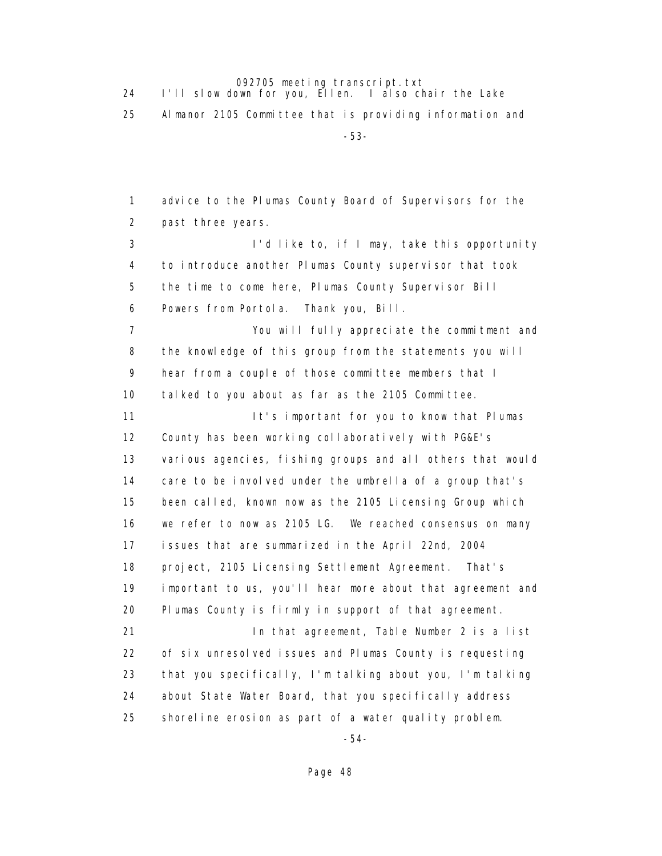| I'll slow down for you, Ellen. I also chair the Lake     |
|----------------------------------------------------------|
| Almanor 2105 Committee that is providing information and |
| $-53-$                                                   |

 1 advice to the Plumas County Board of Supervisors for the 2 past three years. 3 I'd like to, if I may, take this opportunity 4 to introduce another Plumas County supervisor that took 5 the time to come here, Plumas County Supervisor Bill 6 Powers from Portola. Thank you, Bill. 7 You will fully appreciate the commitment and 8 the knowledge of this group from the statements you will 9 hear from a couple of those committee members that I 10 talked to you about as far as the 2105 Committee. 11 **It's important for you to know that Plumas**  12 County has been working collaboratively with PG&E's 13 various agencies, fishing groups and all others that would 14 care to be involved under the umbrella of a group that's 15 been called, known now as the 2105 Licensing Group which 16 we refer to now as 2105 LG. We reached consensus on many 17 issues that are summarized in the April 22nd, 2004 18 project, 2105 Licensing Settlement Agreement. That's 19 important to us, you'll hear more about that agreement and 20 Plumas County is firmly in support of that agreement. 21 In that agreement, Table Number 2 is a list 22 of six unresolved issues and Plumas County is requesting 23 that you specifically, I'm talking about you, I'm talking 24 about State Water Board, that you specifically address 25 shoreline erosion as part of a water quality problem.

-54-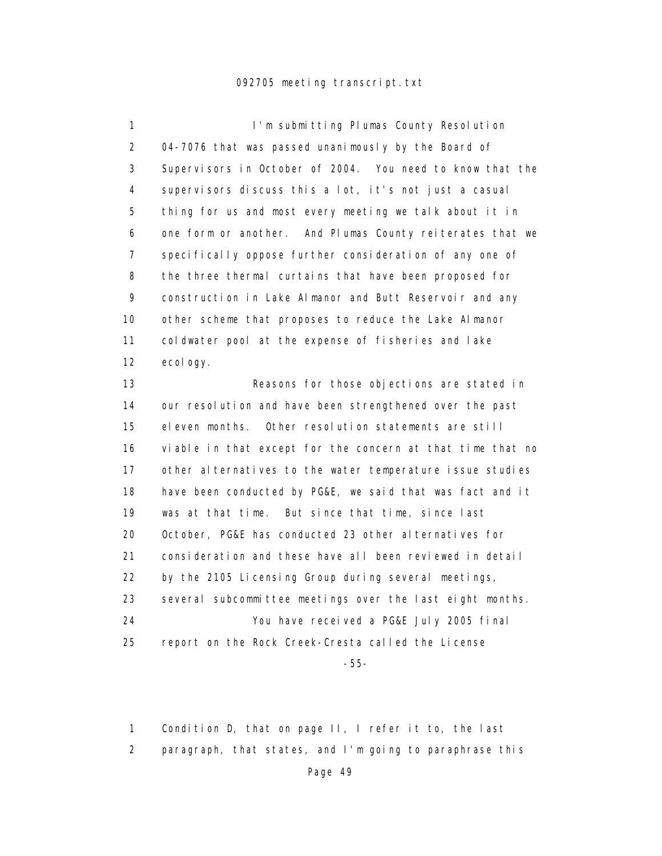1 I'm submitting Plumas County Resolution 2 04-7076 that was passed unanimously by the Board of 3 Supervisors in October of 2004. You need to know that the 4 supervisors discuss this a lot, it's not just a casual 5 thing for us and most every meeting we talk about it in 6 one form or another. And Plumas County reiterates that we 7 specifically oppose further consideration of any one of 8 the three thermal curtains that have been proposed for 9 construction in Lake Almanor and Butt Reservoir and any 10 other scheme that proposes to reduce the Lake Almanor 11 coldwater pool at the expense of fisheries and lake 12 ecology.

 13 Reasons for those objections are stated in 14 our resolution and have been strengthened over the past 15 eleven months. Other resolution statements are still 16 viable in that except for the concern at that time that no 17 other alternatives to the water temperature issue studies 18 have been conducted by PG&E, we said that was fact and it 19 was at that time. But since that time, since last 20 October, PG&E has conducted 23 other alternatives for 21 consideration and these have all been reviewed in detail 22 by the 2105 Licensing Group during several meetings, 23 several subcommittee meetings over the last eight months. 24 You have received a PG&E July 2005 final 25 report on the Rock Creek-Cresta called the License

-55-

1 Condition D, that on page II, I refer it to, the last

2 paragraph, that states, and I'm going to paraphrase this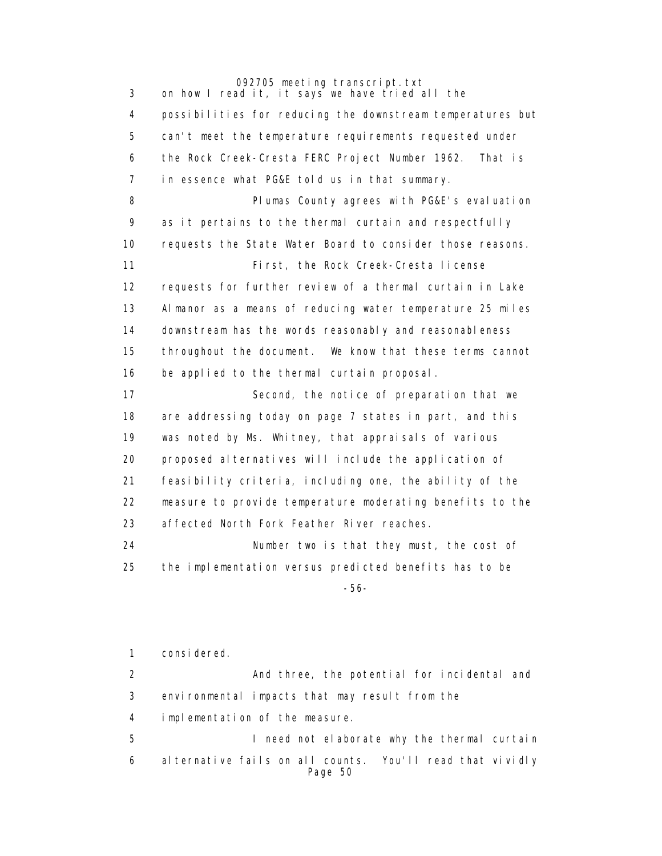3 on how I read it, it says we have tried all the 4 possibilities for reducing the downstream temperatures but 5 can't meet the temperature requirements requested under 6 the Rock Creek-Cresta FERC Project Number 1962. That is 7 in essence what PG&E told us in that summary. 8 **Plumas County agrees with PG&E's evaluation**  9 as it pertains to the thermal curtain and respectfully 10 requests the State Water Board to consider those reasons. 11 First, the Rock Creek-Cresta license 12 requests for further review of a thermal curtain in Lake 13 Almanor as a means of reducing water temperature 25 miles 14 downstream has the words reasonably and reasonableness 15 throughout the document. We know that these terms cannot 16 be applied to the thermal curtain proposal. 17 Second, the notice of preparation that we 18 are addressing today on page 7 states in part, and this 19 was noted by Ms. Whitney, that appraisals of various 20 proposed alternatives will include the application of 21 feasibility criteria, including one, the ability of the 22 measure to provide temperature moderating benefits to the 23 affected North Fork Feather River reaches. 24 Number two is that they must, the cost of

 25 the implementation versus predicted benefits has to be -56-

> 1 considered. 2 And three, the potential for incidental and 3 environmental impacts that may result from the 4 implementation of the measure. 5 I need not elaborate why the thermal curtain 6 alternative fails on all counts. You'll read that vividly Page 50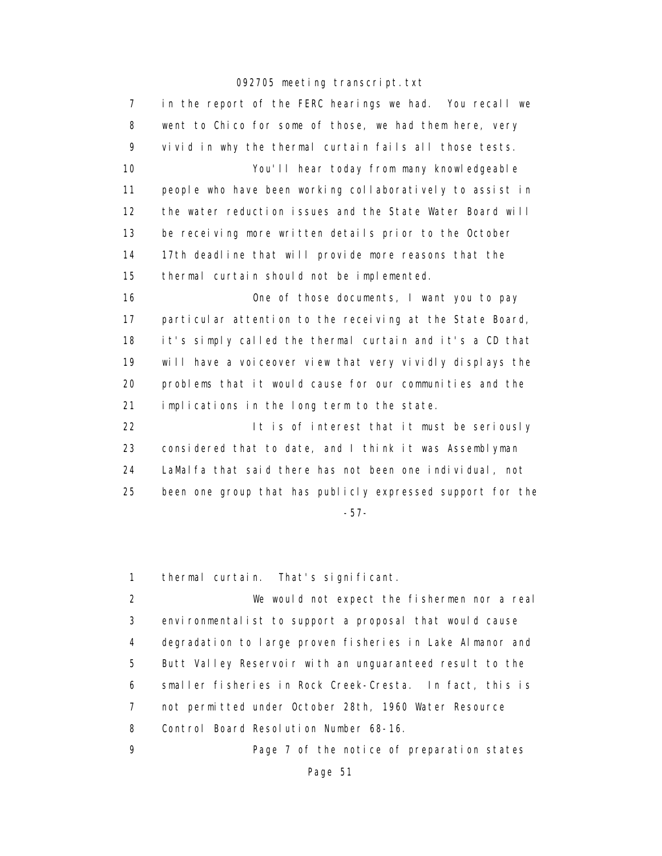7 in the report of the FERC hearings we had. You recall we 8 went to Chico for some of those, we had them here, very 9 vivid in why the thermal curtain fails all those tests. 10 You'll hear today from many knowledgeable 11 people who have been working collaboratively to assist in 12 the water reduction issues and the State Water Board will 13 be receiving more written details prior to the October 14 17th deadline that will provide more reasons that the 15 thermal curtain should not be implemented. 16 One of those documents, I want you to pay 17 particular attention to the receiving at the State Board, 18 it's simply called the thermal curtain and it's a CD that 19 will have a voiceover view that very vividly displays the 20 problems that it would cause for our communities and the 21 implications in the long term to the state. 22 It is of interest that it must be seriously 23 considered that to date, and I think it was Assemblyman 24 LaMalfa that said there has not been one individual, not 25 been one group that has publicly expressed support for the -57-

1 thermal curtain. That's significant.

 2 We would not expect the fishermen nor a real 3 environmentalist to support a proposal that would cause 4 degradation to large proven fisheries in Lake Almanor and 5 Butt Valley Reservoir with an unguaranteed result to the 6 smaller fisheries in Rock Creek-Cresta. In fact, this is 7 not permitted under October 28th, 1960 Water Resource 8 Control Board Resolution Number 68-16.

9 Page 7 of the notice of preparation states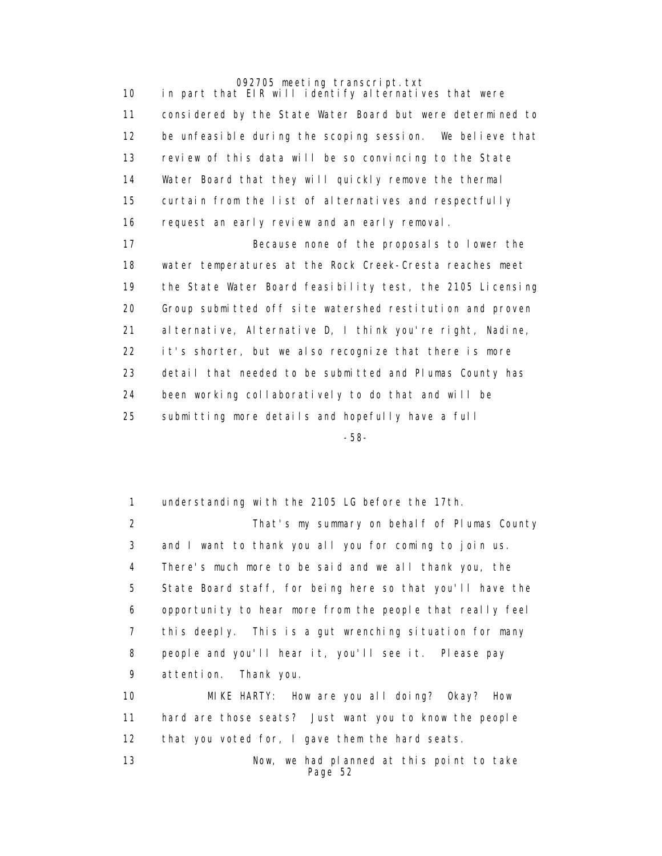10 in part that EIR will identify alternatives that were 11 considered by the State Water Board but were determined to 12 be unfeasible during the scoping session. We believe that 13 review of this data will be so convincing to the State 14 Water Board that they will quickly remove the thermal 15 curtain from the list of alternatives and respectfully 16 request an early review and an early removal.

 17 Because none of the proposals to lower the 18 water temperatures at the Rock Creek-Cresta reaches meet 19 the State Water Board feasibility test, the 2105 Licensing 20 Group submitted off site watershed restitution and proven 21 alternative, Alternative D, I think you're right, Nadine, 22 it's shorter, but we also recognize that there is more 23 detail that needed to be submitted and Plumas County has 24 been working collaboratively to do that and will be 25 submitting more details and hopefully have a full

-58-

 1 understanding with the 2105 LG before the 17th. 2 That's my summary on behalf of Plumas County 3 and I want to thank you all you for coming to join us. 4 There's much more to be said and we all thank you, the 5 State Board staff, for being here so that you'll have the 6 opportunity to hear more from the people that really feel 7 this deeply. This is a gut wrenching situation for many 8 people and you'll hear it, you'll see it. Please pay 9 attention. Thank you. 10 MIKE HARTY: How are you all doing? Okay? How 11 hard are those seats? Just want you to know the people 12 that you voted for, I gave them the hard seats.

 13 Now, we had planned at this point to take Page 52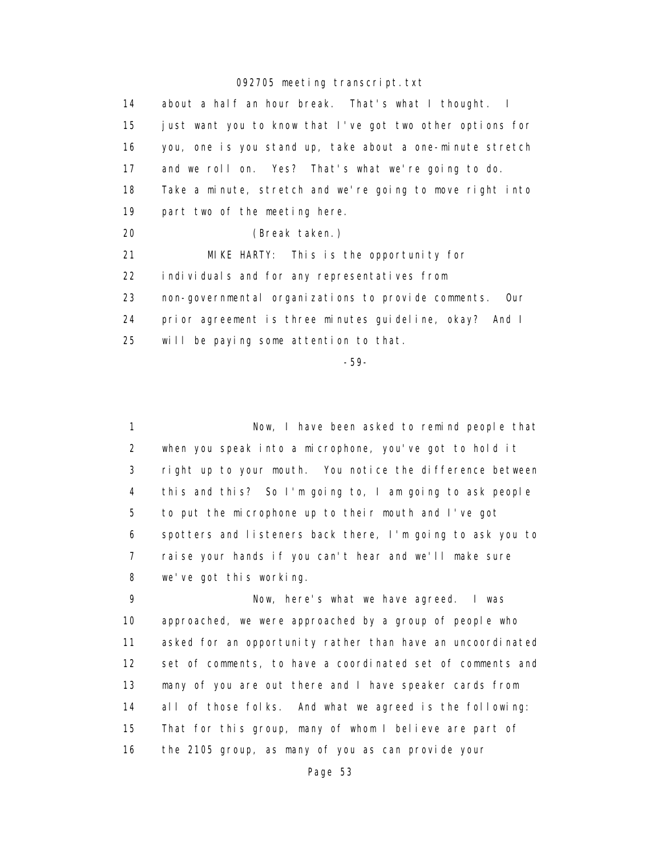14 about a half an hour break. That's what I thought. I 15 just want you to know that I've got two other options for 16 you, one is you stand up, take about a one-minute stretch 17 and we roll on. Yes? That's what we're going to do. 18 Take a minute, stretch and we're going to move right into 19 part two of the meeting here. 20 (Break taken.) 21 MIKE HARTY: This is the opportunity for 22 individuals and for any representatives from 23 non-governmental organizations to provide comments. Our 24 prior agreement is three minutes guideline, okay? And I 25 will be paying some attention to that.

-59-

 1 Now, I have been asked to remind people that 2 when you speak into a microphone, you've got to hold it 3 right up to your mouth. You notice the difference between 4 this and this? So I'm going to, I am going to ask people 5 to put the microphone up to their mouth and I've got 6 spotters and listeners back there, I'm going to ask you to 7 raise your hands if you can't hear and we'll make sure 8 we've got this working.

 9 Now, here's what we have agreed. I was 10 approached, we were approached by a group of people who 11 asked for an opportunity rather than have an uncoordinated 12 set of comments, to have a coordinated set of comments and 13 many of you are out there and I have speaker cards from 14 all of those folks. And what we agreed is the following: 15 That for this group, many of whom I believe are part of 16 the 2105 group, as many of you as can provide your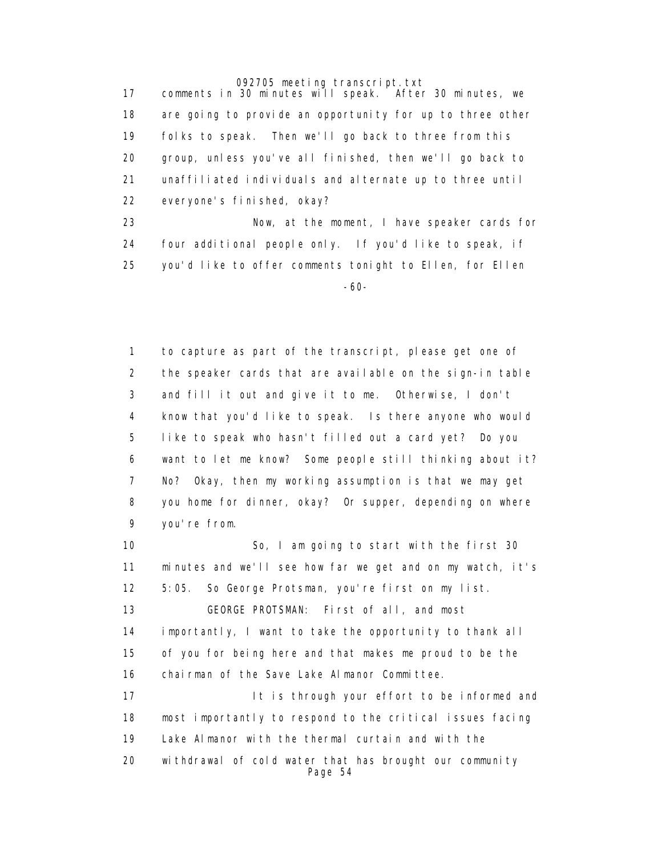17 comments in 30 minutes will speak. After 30 minutes, we 18 are going to provide an opportunity for up to three other 19 folks to speak. Then we'll go back to three from this 20 group, unless you've all finished, then we'll go back to 21 unaffiliated individuals and alternate up to three until 22 everyone's finished, okay? 23 Now, at the moment, I have speaker cards for

 24 four additional people only. If you'd like to speak, if 25 you'd like to offer comments tonight to Ellen, for Ellen -60-

> 1 to capture as part of the transcript, please get one of 2 the speaker cards that are available on the sign-in table 3 and fill it out and give it to me. Otherwise, I don't 4 know that you'd like to speak. Is there anyone who would 5 like to speak who hasn't filled out a card yet? Do you 6 want to let me know? Some people still thinking about it? 7 No? Okay, then my working assumption is that we may get 8 you home for dinner, okay? Or supper, depending on where 9 you're from.

> 10 So, I am going to start with the first 30 11 minutes and we'll see how far we get and on my watch, it's 12 5:05. So George Protsman, you're first on my list. 13 GEORGE PROTSMAN: First of all, and most 14 importantly, I want to take the opportunity to thank all 15 of you for being here and that makes me proud to be the 16 chairman of the Save Lake Almanor Committee. 17 **It is through your effort to be informed and**  18 most importantly to respond to the critical issues facing 19 Lake Almanor with the thermal curtain and with the 20 withdrawal of cold water that has brought our community Page 54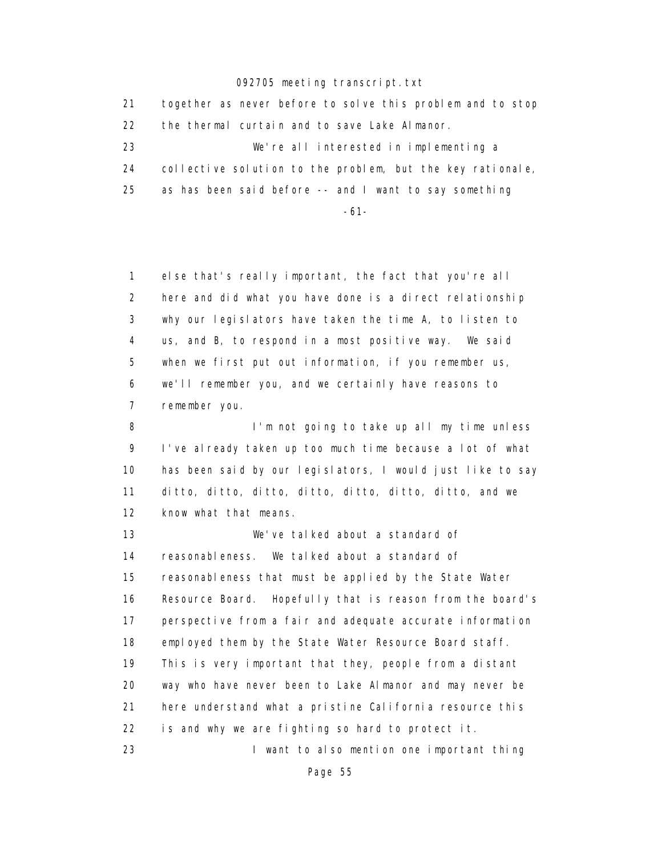| 21 | together as never before to solve this problem and to stop |
|----|------------------------------------------------------------|
| 22 | the thermal curtain and to save Lake Almanor.              |
| 23 | We're all interested in implementing a                     |
| 24 | collective solution to the problem, but the key rationale, |
| 25 | as has been said before -- and I want to say something     |
|    | -61-                                                       |

 1 else that's really important, the fact that you're all 2 here and did what you have done is a direct relationship 3 why our legislators have taken the time A, to listen to 4 us, and B, to respond in a most positive way. We said 5 when we first put out information, if you remember us, 6 we'll remember you, and we certainly have reasons to 7 remember you.

8 I'm not going to take up all my time unless 9 I've already taken up too much time because a lot of what 10 has been said by our legislators, I would just like to say 11 ditto, ditto, ditto, ditto, ditto, ditto, ditto, and we 12 know what that means.

 13 We've talked about a standard of 14 reasonableness. We talked about a standard of 15 reasonableness that must be applied by the State Water 16 Resource Board. Hopefully that is reason from the board's 17 perspective from a fair and adequate accurate information 18 employed them by the State Water Resource Board staff. 19 This is very important that they, people from a distant 20 way who have never been to Lake Almanor and may never be 21 here understand what a pristine California resource this 22 is and why we are fighting so hard to protect it. 23 I want to also mention one important thing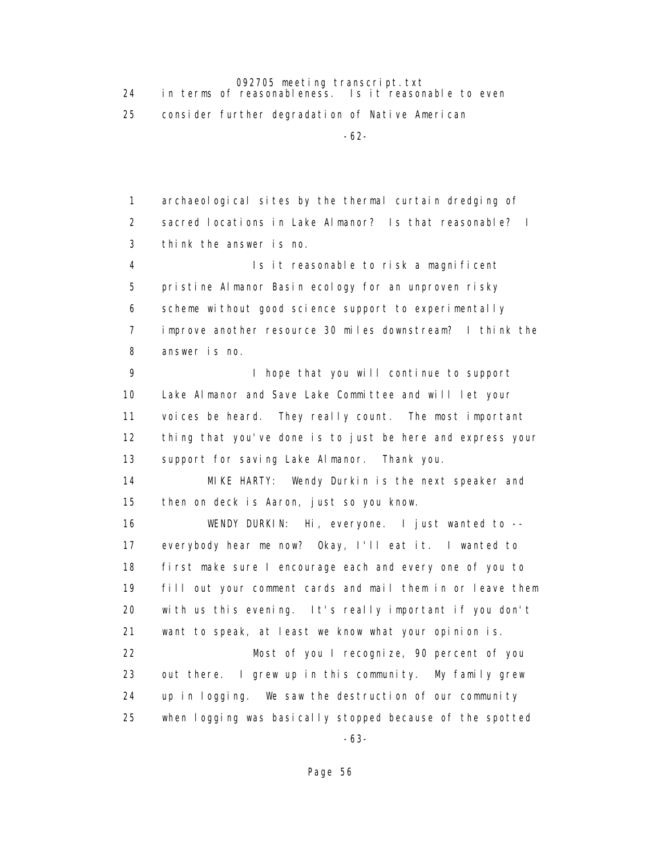092705 meeting transcript.txt<br>in terms of reasonableness. Is it reason 24 in terms of reasonableness. Is it reasonable to even

25 consider further degradation of Native American

-62-

 1 archaeological sites by the thermal curtain dredging of 2 sacred locations in Lake Almanor? Is that reasonable? I 3 think the answer is no. 4 Is it reasonable to risk a magnificent 5 pristine Almanor Basin ecology for an unproven risky 6 scheme without good science support to experimentally 7 improve another resource 30 miles downstream? I think the 8 answer is no. 9 1 hope that you will continue to support 10 Lake Almanor and Save Lake Committee and will let your 11 voices be heard. They really count. The most important 12 thing that you've done is to just be here and express your 13 support for saving Lake Almanor. Thank you. 14 MIKE HARTY: Wendy Durkin is the next speaker and 15 then on deck is Aaron, just so you know. 16 WENDY DURKIN: Hi, everyone. I just wanted to -- 17 everybody hear me now? Okay, I'll eat it. I wanted to 18 first make sure I encourage each and every one of you to 19 fill out your comment cards and mail them in or leave them 20 with us this evening. It's really important if you don't 21 want to speak, at least we know what your opinion is. 22 Most of you I recognize, 90 percent of you 23 out there. I grew up in this community. My family grew 24 up in logging. We saw the destruction of our community 25 when logging was basically stopped because of the spotted -63-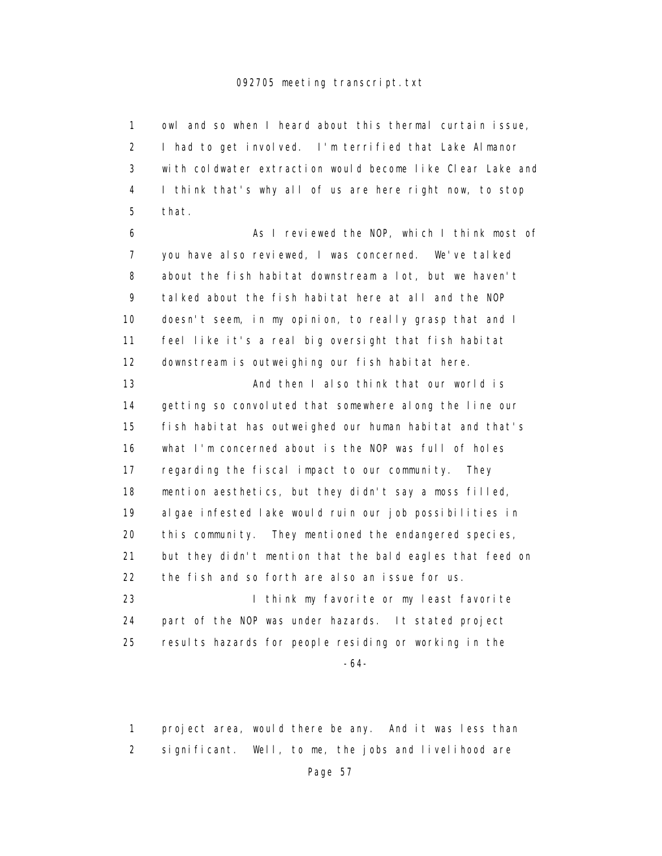1 owl and so when I heard about this thermal curtain issue, 2 I had to get involved. I'm terrified that Lake Almanor 3 with coldwater extraction would become like Clear Lake and 4 I think that's why all of us are here right now, to stop 5 that.

 6 As I reviewed the NOP, which I think most of 7 you have also reviewed, I was concerned. We've talked 8 about the fish habitat downstream a lot, but we haven't 9 talked about the fish habitat here at all and the NOP 10 doesn't seem, in my opinion, to really grasp that and I 11 feel like it's a real big oversight that fish habitat 12 downstream is outweighing our fish habitat here.

 13 And then I also think that our world is 14 getting so convoluted that somewhere along the line our 15 fish habitat has outweighed our human habitat and that's 16 what I'm concerned about is the NOP was full of holes 17 regarding the fiscal impact to our community. They 18 mention aesthetics, but they didn't say a moss filled, 19 algae infested lake would ruin our job possibilities in 20 this community. They mentioned the endangered species, 21 but they didn't mention that the bald eagles that feed on 22 the fish and so forth are also an issue for us. 23 **I think my favorite or my least favorite** 

 24 part of the NOP was under hazards. It stated project 25 results hazards for people residing or working in the

-64-

 1 project area, would there be any. And it was less than 2 significant. Well, to me, the jobs and livelihood are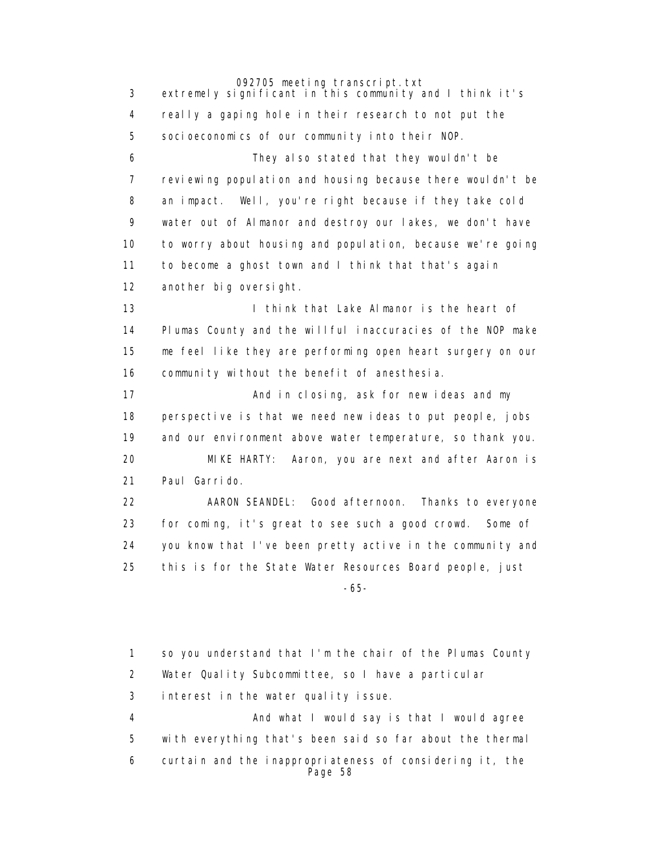092705 meeting transcript.txt 3 extremely significant in this community and I think it's 4 really a gaping hole in their research to not put the 5 socioeconomics of our community into their NOP. 6 They also stated that they wouldn't be 7 reviewing population and housing because there wouldn't be 8 an impact. Well, you're right because if they take cold 9 water out of Almanor and destroy our lakes, we don't have 10 to worry about housing and population, because we're going 11 to become a ghost town and I think that that's again 12 another big oversight. 13 I think that Lake Almanor is the heart of 14 Plumas County and the willful inaccuracies of the NOP make 15 me feel like they are performing open heart surgery on our 16 community without the benefit of anesthesia. 17 **And in closing, ask for new ideas and my**  18 perspective is that we need new ideas to put people, jobs 19 and our environment above water temperature, so thank you. 20 MIKE HARTY: Aaron, you are next and after Aaron is 21 Paul Garrido. 22 AARON SEANDEL: Good afternoon. Thanks to everyone 23 for coming, it's great to see such a good crowd. Some of 24 you know that I've been pretty active in the community and 25 this is for the State Water Resources Board people, just

> 1 so you understand that I'm the chair of the Plumas County 2 Water Quality Subcommittee, so I have a particular 3 interest in the water quality issue. 4 And what I would say is that I would agree 5 with everything that's been said so far about the thermal 6 curtain and the inappropriateness of considering it, the Page 58

-65-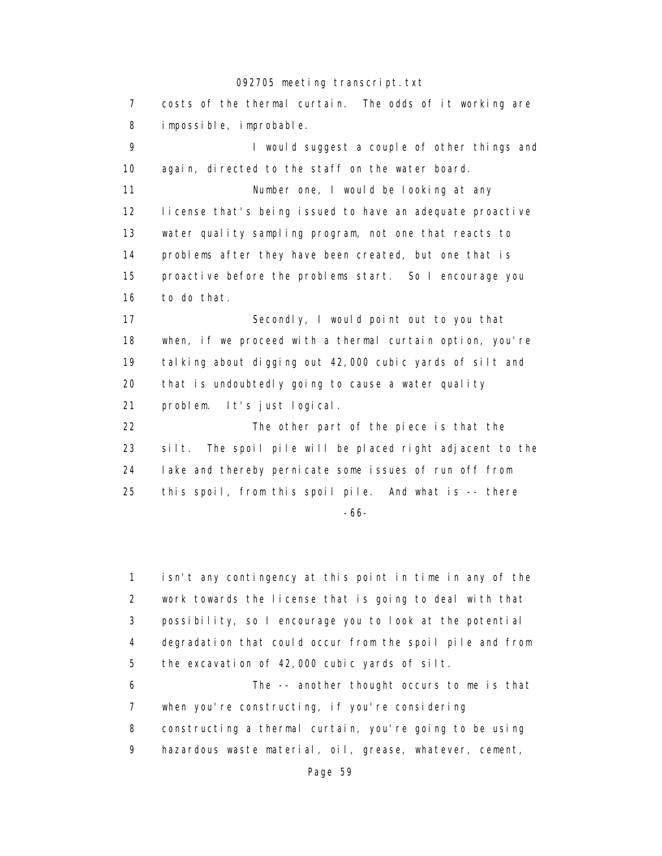7 costs of the thermal curtain. The odds of it working are 8 impossible, improbable. 9 **I** would suggest a couple of other things and 10 again, directed to the staff on the water board. 11 Number one, I would be looking at any 12 license that's being issued to have an adequate proactive 13 water quality sampling program, not one that reacts to 14 problems after they have been created, but one that is 15 proactive before the problems start. So I encourage you 16 to do that. 17 Secondly, I would point out to you that 18 when, if we proceed with a thermal curtain option, you're 19 talking about digging out 42,000 cubic yards of silt and 20 that is undoubtedly going to cause a water quality 21 problem. It's just logical. 22 The other part of the piece is that the 23 silt. The spoil pile will be placed right adjacent to the 24 lake and thereby pernicate some issues of run off from 25 this spoil, from this spoil pile. And what is -- there -66-

> 1 isn't any contingency at this point in time in any of the 2 work towards the license that is going to deal with that 3 possibility, so I encourage you to look at the potential 4 degradation that could occur from the spoil pile and from 5 the excavation of 42,000 cubic yards of silt. 6 The -- another thought occurs to me is that

> 7 when you're constructing, if you're considering 8 constructing a thermal curtain, you're going to be using 9 hazardous waste material, oil, grease, whatever, cement,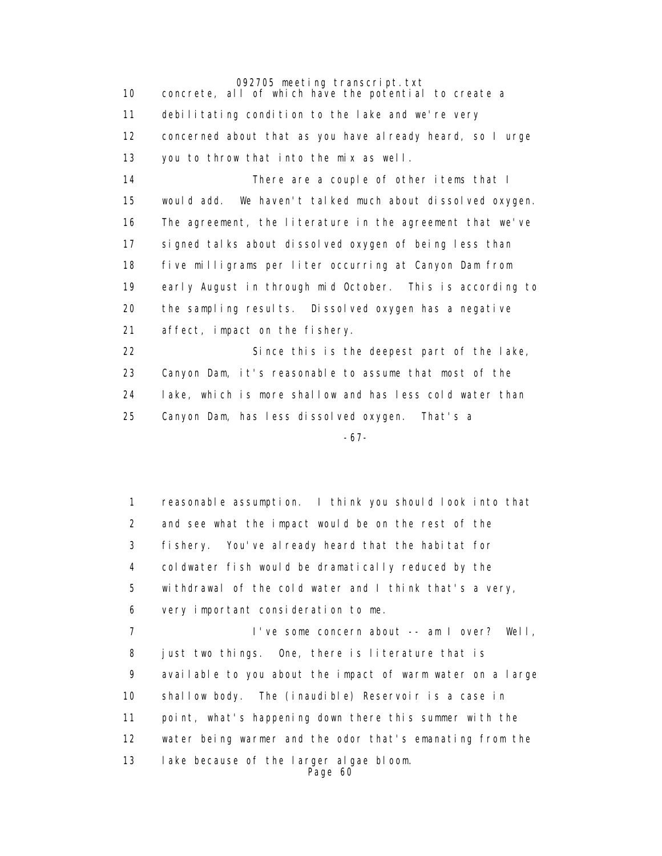10 concrete, all of which have the potential to create a 11 debilitating condition to the lake and we're very 12 concerned about that as you have already heard, so I urge 13 you to throw that into the mix as well. 14 There are a couple of other items that I 15 would add. We haven't talked much about dissolved oxygen. 16 The agreement, the literature in the agreement that we've 17 signed talks about dissolved oxygen of being less than 18 five milligrams per liter occurring at Canyon Dam from 19 early August in through mid October. This is according to 20 the sampling results. Dissolved oxygen has a negative 21 affect, impact on the fishery. 22 Since this is the deepest part of the lake, 23 Canyon Dam, it's reasonable to assume that most of the 24 lake, which is more shallow and has less cold water than 25 Canyon Dam, has less dissolved oxygen. That's a

-67-

 1 reasonable assumption. I think you should look into that 2 and see what the impact would be on the rest of the 3 fishery. You've already heard that the habitat for 4 coldwater fish would be dramatically reduced by the 5 withdrawal of the cold water and I think that's a very, 6 very important consideration to me. 7 I've some concern about -- am I over? Well, 8 just two things. One, there is literature that is 9 available to you about the impact of warm water on a large 10 shallow body. The (inaudible) Reservoir is a case in 11 point, what's happening down there this summer with the 12 water being warmer and the odor that's emanating from the 13 lake because of the larger algae bloom. Page 60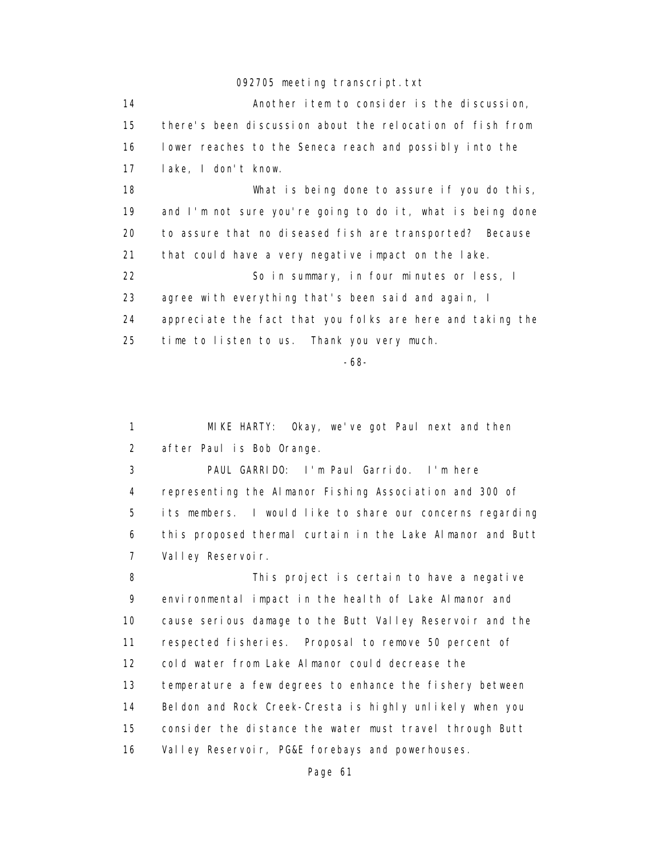| 14 | Another item to consider is the discussion,                |
|----|------------------------------------------------------------|
| 15 | there's been discussion about the relocation of fish from  |
| 16 | lower reaches to the Seneca reach and possibly into the    |
| 17 | lake, I don't know.                                        |
| 18 | What is being done to assure if you do this,               |
| 19 | and I'm not sure you're going to do it, what is being done |
| 20 | to assure that no diseased fish are transported? Because   |
| 21 | that could have a very negative impact on the lake.        |
| 22 | So in summary, in four minutes or less, I                  |
| 23 | agree with everything that's been said and again, I        |
| 24 | appreciate the fact that you folks are here and taking the |
| 25 | time to listen to us. Thank you very much.                 |

-68-

 1 MIKE HARTY: Okay, we've got Paul next and then 2 after Paul is Bob Orange.

 3 PAUL GARRIDO: I'm Paul Garrido. I'm here 4 representing the Almanor Fishing Association and 300 of 5 its members. I would like to share our concerns regarding 6 this proposed thermal curtain in the Lake Almanor and Butt 7 Valley Reservoir.

 8 This project is certain to have a negative 9 environmental impact in the health of Lake Almanor and 10 cause serious damage to the Butt Valley Reservoir and the 11 respected fisheries. Proposal to remove 50 percent of 12 cold water from Lake Almanor could decrease the 13 temperature a few degrees to enhance the fishery between 14 Beldon and Rock Creek-Cresta is highly unlikely when you 15 consider the distance the water must travel through Butt 16 Valley Reservoir, PG&E forebays and powerhouses.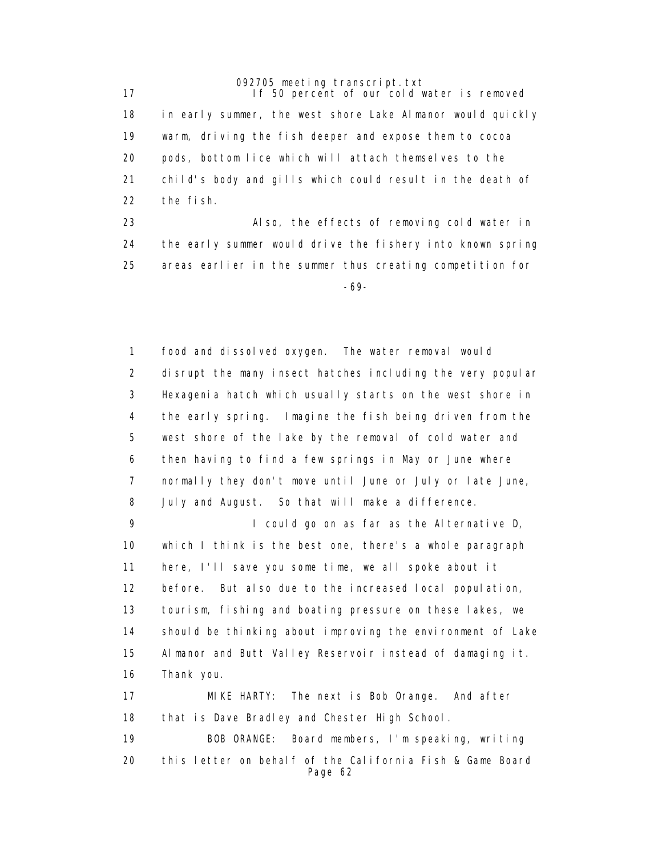17 **If 50 percent of our cold water is removed**  18 in early summer, the west shore Lake Almanor would quickly 19 warm, driving the fish deeper and expose them to cocoa 20 pods, bottom lice which will attach themselves to the 21 child's body and gills which could result in the death of 22 the fish.

 23 Also, the effects of removing cold water in 24 the early summer would drive the fishery into known spring 25 areas earlier in the summer thus creating competition for -69-

> 1 food and dissolved oxygen. The water removal would 2 disrupt the many insect hatches including the very popular 3 Hexagenia hatch which usually starts on the west shore in 4 the early spring. Imagine the fish being driven from the 5 west shore of the lake by the removal of cold water and 6 then having to find a few springs in May or June where 7 normally they don't move until June or July or late June, 8 July and August. So that will make a difference.

> 9 I could go on as far as the Alternative D, 10 which I think is the best one, there's a whole paragraph 11 here, I'll save you some time, we all spoke about it 12 before. But also due to the increased local population, 13 tourism, fishing and boating pressure on these lakes, we 14 should be thinking about improving the environment of Lake 15 Almanor and Butt Valley Reservoir instead of damaging it. 16 Thank you.

 17 MIKE HARTY: The next is Bob Orange. And after 18 that is Dave Bradley and Chester High School.

 19 BOB ORANGE: Board members, I'm speaking, writing 20 this letter on behalf of the California Fish & Game Board Page 62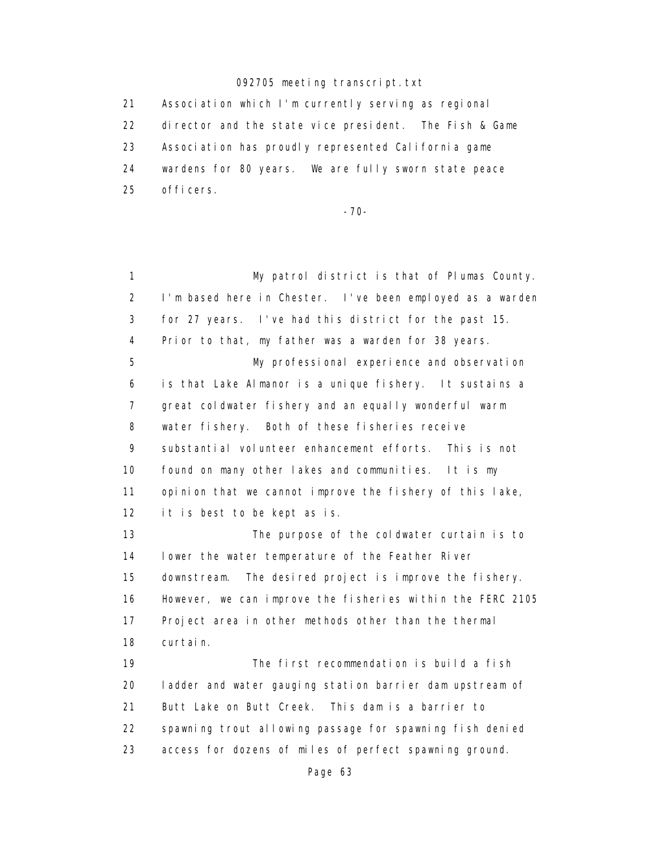21 Association which I'm currently serving as regional 22 director and the state vice president. The Fish & Game 23 Association has proudly represented California game 24 wardens for 80 years. We are fully sworn state peace 25 officers.

-70-

 1 My patrol district is that of Plumas County. 2 I'm based here in Chester. I've been employed as a warden 3 for 27 years. I've had this district for the past 15. 4 Prior to that, my father was a warden for 38 years. 5 My professional experience and observation 6 is that Lake Almanor is a unique fishery. It sustains a 7 great coldwater fishery and an equally wonderful warm 8 water fishery. Both of these fisheries receive 9 substantial volunteer enhancement efforts. This is not 10 found on many other lakes and communities. It is my 11 opinion that we cannot improve the fishery of this lake, 12 it is best to be kept as is. 13 The purpose of the coldwater curtain is to 14 lower the water temperature of the Feather River 15 downstream. The desired project is improve the fishery. 16 However, we can improve the fisheries within the FERC 2105 17 Project area in other methods other than the thermal 18 curtain. 19 The first recommendation is build a fish 20 ladder and water gauging station barrier dam upstream of 21 Butt Lake on Butt Creek. This dam is a barrier to 22 spawning trout allowing passage for spawning fish denied 23 access for dozens of miles of perfect spawning ground.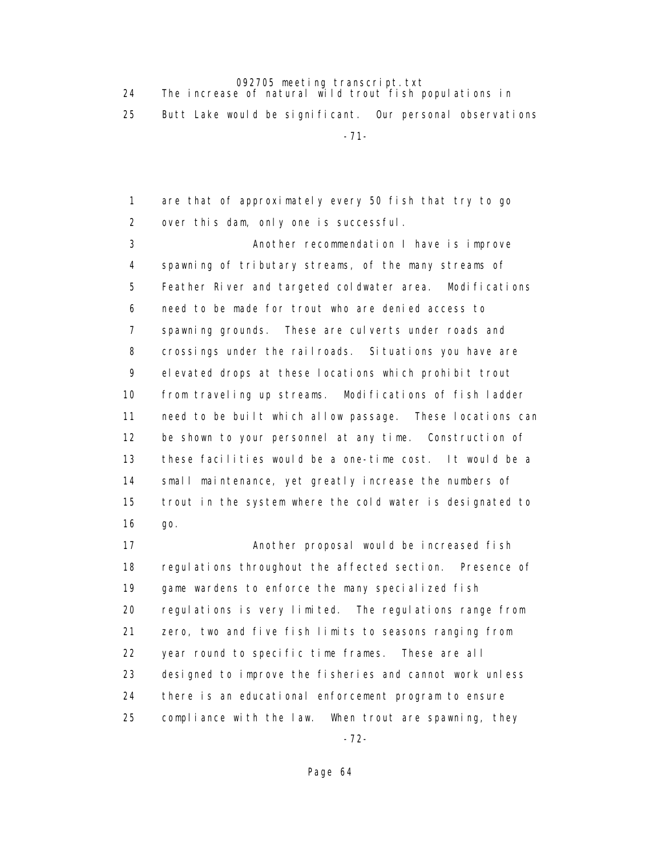24 The increase of natural wild trout fish populations in

25 Butt Lake would be significant. Our personal observations

-71-

 1 are that of approximately every 50 fish that try to go 2 over this dam, only one is successful.

 3 Another recommendation I have is improve 4 spawning of tributary streams, of the many streams of 5 Feather River and targeted coldwater area. Modifications 6 need to be made for trout who are denied access to 7 spawning grounds. These are culverts under roads and 8 crossings under the railroads. Situations you have are 9 elevated drops at these locations which prohibit trout 10 from traveling up streams. Modifications of fish ladder 11 need to be built which allow passage. These locations can 12 be shown to your personnel at any time. Construction of 13 these facilities would be a one-time cost. It would be a 14 small maintenance, yet greatly increase the numbers of 15 trout in the system where the cold water is designated to 16 go.

17 **Another proposal would be increased fish**  18 regulations throughout the affected section. Presence of 19 game wardens to enforce the many specialized fish 20 regulations is very limited. The regulations range from 21 zero, two and five fish limits to seasons ranging from 22 year round to specific time frames. These are all 23 designed to improve the fisheries and cannot work unless 24 there is an educational enforcement program to ensure 25 compliance with the law. When trout are spawning, they -72-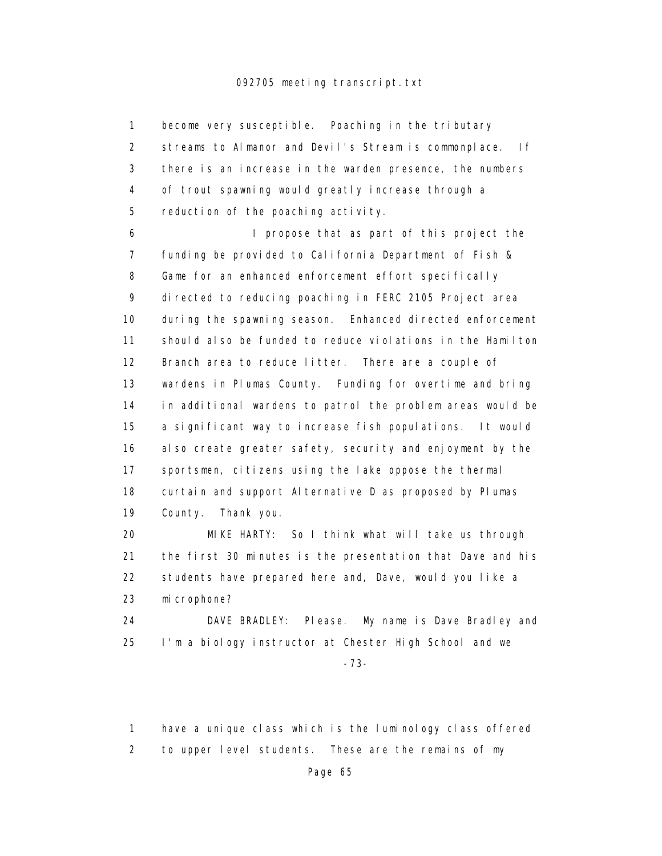1 become very susceptible. Poaching in the tributary 2 streams to Almanor and Devil's Stream is commonplace. If 3 there is an increase in the warden presence, the numbers 4 of trout spawning would greatly increase through a 5 reduction of the poaching activity. 6 I propose that as part of this project the 7 funding be provided to California Department of Fish & 8 Game for an enhanced enforcement effort specifically 9 directed to reducing poaching in FERC 2105 Project area 10 during the spawning season. Enhanced directed enforcement 11 should also be funded to reduce violations in the Hamilton 12 Branch area to reduce litter. There are a couple of 13 wardens in Plumas County. Funding for overtime and bring 14 in additional wardens to patrol the problem areas would be 15 a significant way to increase fish populations. It would 16 also create greater safety, security and enjoyment by the 17 sportsmen, citizens using the lake oppose the thermal 18 curtain and support Alternative D as proposed by Plumas 19 County. Thank you. 20 MIKE HARTY: So I think what will take us through

 21 the first 30 minutes is the presentation that Dave and his 22 students have prepared here and, Dave, would you like a 23 microphone?

 24 DAVE BRADLEY: Please. My name is Dave Bradley and 25 I'm a biology instructor at Chester High School and we -73-

1 have a unique class which is the luminology class offered

2 to upper level students. These are the remains of my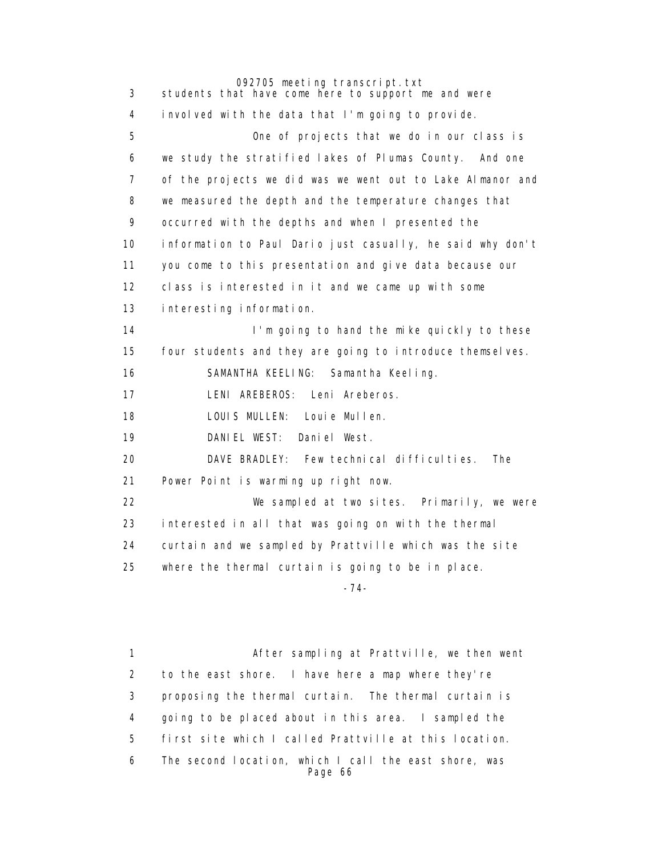092705 meeting transcript.txt 3 students that have come here to support me and were 4 involved with the data that I'm going to provide. 5 One of projects that we do in our class is 6 we study the stratified lakes of Plumas County. And one 7 of the projects we did was we went out to Lake Almanor and 8 we measured the depth and the temperature changes that 9 occurred with the depths and when I presented the 10 information to Paul Dario just casually, he said why don't 11 you come to this presentation and give data because our 12 class is interested in it and we came up with some 13 interesting information. 14 **I'm going to hand the mike quickly to these**  15 four students and they are going to introduce themselves. 16 SAMANTHA KEELING: Samantha Keeling. 17 LENI AREBEROS: Leni Areberos. 18 LOUIS MULLEN: Louie Mullen. 19 DANIEL WEST: Daniel West. 20 DAVE BRADLEY: Few technical difficulties. The 21 Power Point is warming up right now. 22 We sampled at two sites. Primarily, we were 23 interested in all that was going on with the thermal 24 curtain and we sampled by Prattville which was the site 25 where the thermal curtain is going to be in place. -74-

> 1 After sampling at Prattville, we then went 2 to the east shore. I have here a map where they're 3 proposing the thermal curtain. The thermal curtain is 4 going to be placed about in this area. I sampled the 5 first site which I called Prattville at this location. 6 The second location, which I call the east shore, was Page 66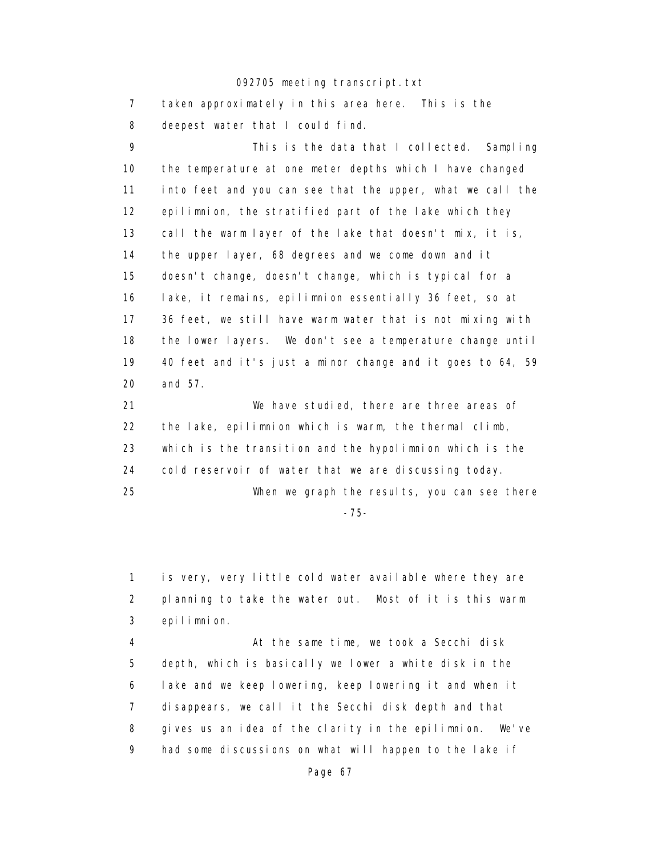7 taken approximately in this area here. This is the 8 deepest water that I could find. 9 This is the data that I collected. Sampling 10 the temperature at one meter depths which I have changed 11 into feet and you can see that the upper, what we call the 12 epilimnion, the stratified part of the lake which they 13 call the warm layer of the lake that doesn't mix, it is, 14 the upper layer, 68 degrees and we come down and it

 15 doesn't change, doesn't change, which is typical for a 16 lake, it remains, epilimnion essentially 36 feet, so at 17 36 feet, we still have warm water that is not mixing with 18 the lower layers. We don't see a temperature change until 19 40 feet and it's just a minor change and it goes to 64, 59 20 and 57.

 21 We have studied, there are three areas of 22 the lake, epilimnion which is warm, the thermal climb, 23 which is the transition and the hypolimnion which is the 24 cold reservoir of water that we are discussing today. 25 When we graph the results, you can see there

-75-

 1 is very, very little cold water available where they are 2 planning to take the water out. Most of it is this warm 3 epilimnion.

 4 At the same time, we took a Secchi disk 5 depth, which is basically we lower a white disk in the 6 lake and we keep lowering, keep lowering it and when it 7 disappears, we call it the Secchi disk depth and that 8 gives us an idea of the clarity in the epilimnion. We've 9 had some discussions on what will happen to the lake if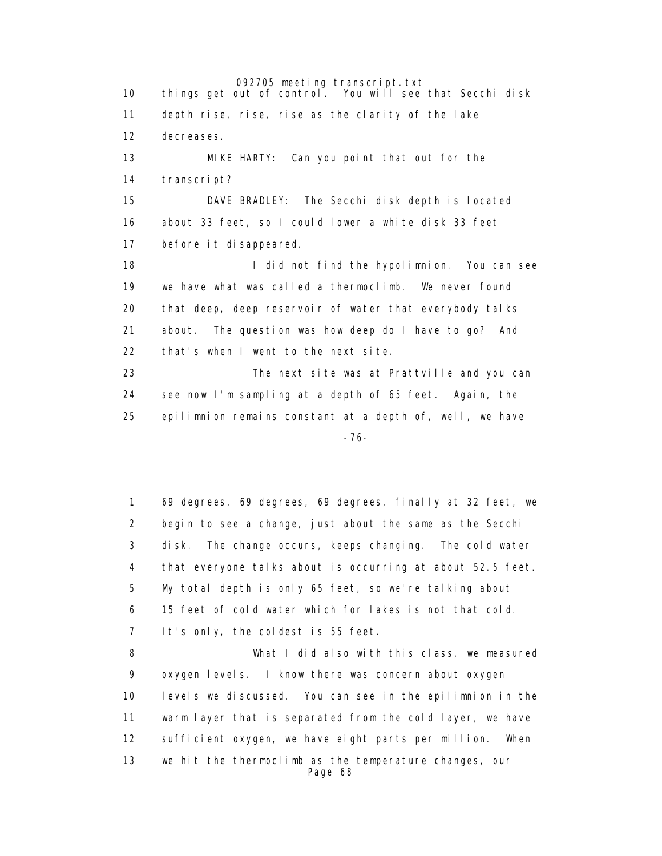092705 meeting transcript.txt<br>things get out of control. You will see 10 things get out of control. You will see that Secchi disk 11 depth rise, rise, rise as the clarity of the lake 12 decreases. 13 MIKE HARTY: Can you point that out for the 14 transcript? 15 DAVE BRADLEY: The Secchi disk depth is located 16 about 33 feet, so I could lower a white disk 33 feet 17 before it disappeared. 18 **I** did not find the hypolimnion. You can see 19 we have what was called a thermoclimb. We never found 20 that deep, deep reservoir of water that everybody talks 21 about. The question was how deep do I have to go? And 22 that's when I went to the next site. 23 The next site was at Prattville and you can 24 see now I'm sampling at a depth of 65 feet. Again, the 25 epilimnion remains constant at a depth of, well, we have -76-

> 1 69 degrees, 69 degrees, 69 degrees, finally at 32 feet, we 2 begin to see a change, just about the same as the Secchi 3 disk. The change occurs, keeps changing. The cold water 4 that everyone talks about is occurring at about 52.5 feet. 5 My total depth is only 65 feet, so we're talking about 6 15 feet of cold water which for lakes is not that cold. 7 It's only, the coldest is 55 feet. 8 What I did also with this class, we measured

 9 oxygen levels. I know there was concern about oxygen 10 levels we discussed. You can see in the epilimnion in the 11 warm layer that is separated from the cold layer, we have 12 sufficient oxygen, we have eight parts per million. When 13 we hit the thermoclimb as the temperature changes, our Page 68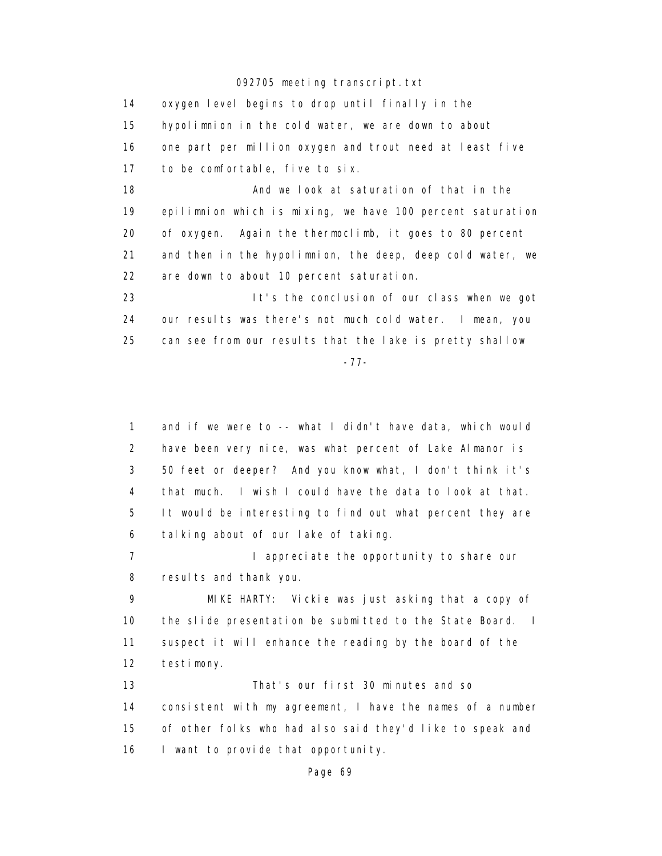14 oxygen level begins to drop until finally in the 15 hypolimnion in the cold water, we are down to about 16 one part per million oxygen and trout need at least five 17 to be comfortable, five to six. 18 **And we look at saturation of that in the**  19 epilimnion which is mixing, we have 100 percent saturation 20 of oxygen. Again the thermoclimb, it goes to 80 percent 21 and then in the hypolimnion, the deep, deep cold water, we 22 are down to about 10 percent saturation. 23 It's the conclusion of our class when we got 24 our results was there's not much cold water. I mean, you 25 can see from our results that the lake is pretty shallow -77-

 1 and if we were to -- what I didn't have data, which would 2 have been very nice, was what percent of Lake Almanor is 3 50 feet or deeper? And you know what, I don't think it's 4 that much. I wish I could have the data to look at that. 5 It would be interesting to find out what percent they are 6 talking about of our lake of taking.

7 **I** appreciate the opportunity to share our 8 results and thank you.

 9 MIKE HARTY: Vickie was just asking that a copy of 10 the slide presentation be submitted to the State Board. I 11 suspect it will enhance the reading by the board of the 12 testimony.

 13 That's our first 30 minutes and so 14 consistent with my agreement, I have the names of a number 15 of other folks who had also said they'd like to speak and 16 I want to provide that opportunity.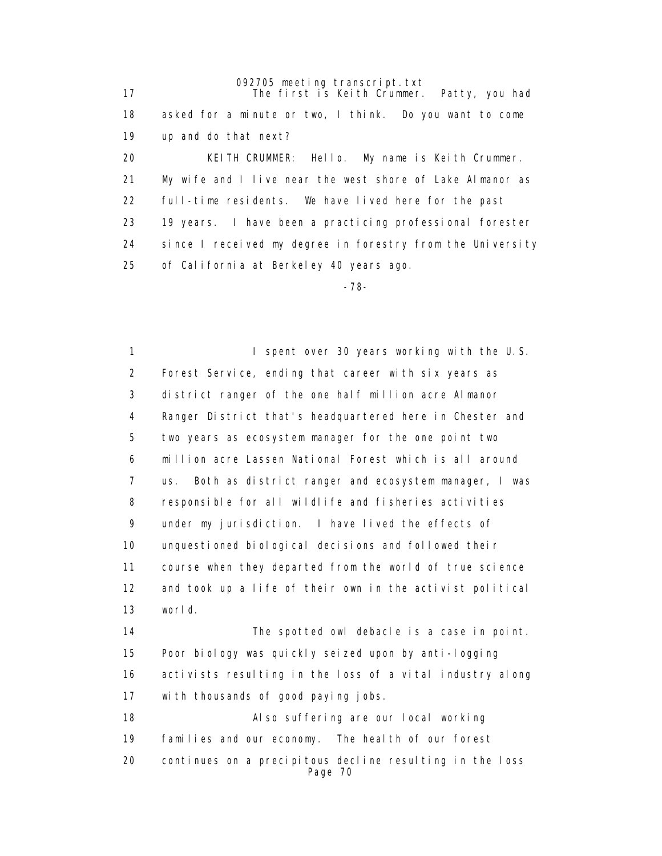092705 meeting transcript.txt 17 The first is Keith Crummer. Patty, you had 18 asked for a minute or two, I think. Do you want to come 19 up and do that next? 20 KEITH CRUMMER: Hello. My name is Keith Crummer. 21 My wife and I live near the west shore of Lake Almanor as 22 full-time residents. We have lived here for the past 23 19 years. I have been a practicing professional forester 24 since I received my degree in forestry from the University 25 of California at Berkeley 40 years ago.

-78-

1 I spent over 30 years working with the U.S. 2 Forest Service, ending that career with six years as 3 district ranger of the one half million acre Almanor 4 Ranger District that's headquartered here in Chester and 5 two years as ecosystem manager for the one point two 6 million acre Lassen National Forest which is all around 7 us. Both as district ranger and ecosystem manager, I was 8 responsible for all wildlife and fisheries activities 9 under my jurisdiction. I have lived the effects of 10 unquestioned biological decisions and followed their 11 course when they departed from the world of true science 12 and took up a life of their own in the activist political 13 world. 14 The spotted owl debacle is a case in point. 15 Poor biology was quickly seized upon by anti-logging

 16 activists resulting in the loss of a vital industry along 17 with thousands of good paying jobs.

 18 Also suffering are our local working 19 families and our economy. The health of our forest 20 continues on a precipitous decline resulting in the loss Page 70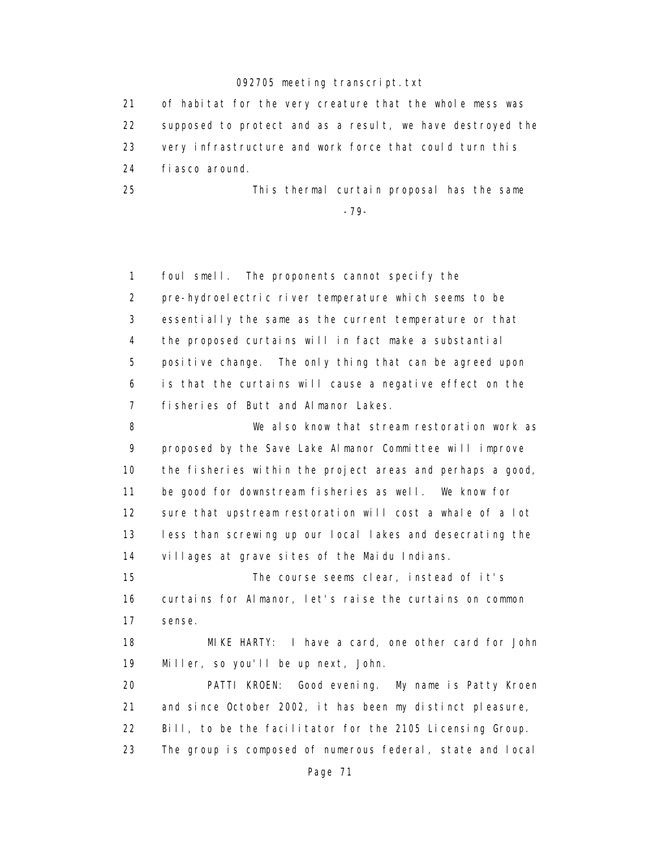21 of habitat for the very creature that the whole mess was 22 supposed to protect and as a result, we have destroyed the 23 very infrastructure and work force that could turn this 24 fiasco around.

 25 This thermal curtain proposal has the same -79-

> 1 foul smell. The proponents cannot specify the 2 pre-hydroelectric river temperature which seems to be 3 essentially the same as the current temperature or that 4 the proposed curtains will in fact make a substantial 5 positive change. The only thing that can be agreed upon 6 is that the curtains will cause a negative effect on the 7 fisheries of Butt and Almanor Lakes.

 8 We also know that stream restoration work as 9 proposed by the Save Lake Almanor Committee will improve 10 the fisheries within the project areas and perhaps a good, 11 be good for downstream fisheries as well. We know for 12 sure that upstream restoration will cost a whale of a lot 13 less than screwing up our local lakes and desecrating the 14 villages at grave sites of the Maidu Indians.

 15 The course seems clear, instead of it's 16 curtains for Almanor, let's raise the curtains on common 17 sense.

 18 MIKE HARTY: I have a card, one other card for John 19 Miller, so you'll be up next, John.

 20 PATTI KROEN: Good evening. My name is Patty Kroen 21 and since October 2002, it has been my distinct pleasure, 22 Bill, to be the facilitator for the 2105 Licensing Group. 23 The group is composed of numerous federal, state and local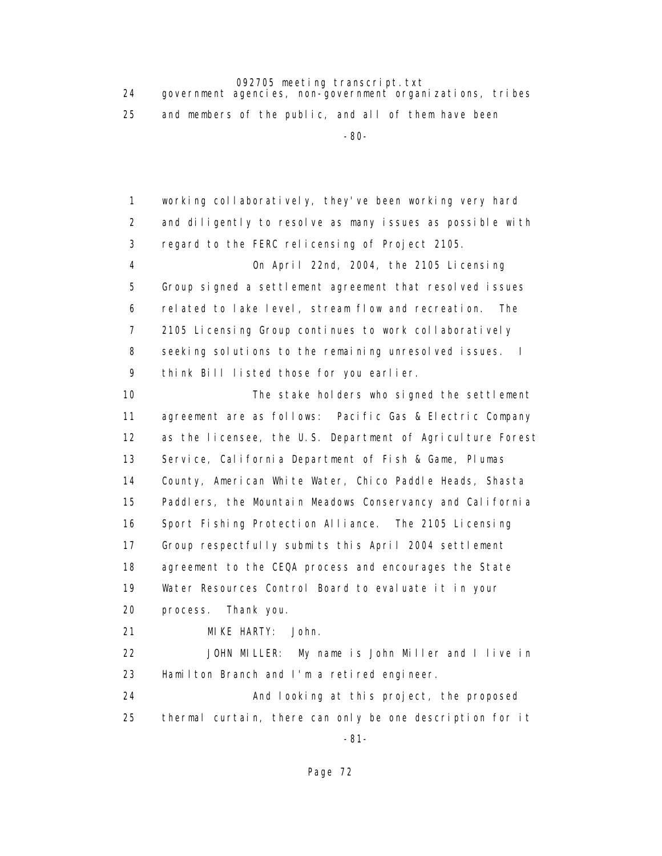24 government agencies, non-government organizations, tribes 25 and members of the public, and all of them have been -80-

> 1 working collaboratively, they've been working very hard 2 and diligently to resolve as many issues as possible with 3 regard to the FERC relicensing of Project 2105. 4 On April 22nd, 2004, the 2105 Licensing 5 Group signed a settlement agreement that resolved issues 6 related to lake level, stream flow and recreation. The 7 2105 Licensing Group continues to work collaboratively 8 seeking solutions to the remaining unresolved issues. I 9 think Bill listed those for you earlier. 10 The stake holders who signed the settlement 11 agreement are as follows: Pacific Gas & Electric Company 12 as the licensee, the U.S. Department of Agriculture Forest 13 Service, California Department of Fish & Game, Plumas 14 County, American White Water, Chico Paddle Heads, Shasta 15 Paddlers, the Mountain Meadows Conservancy and California 16 Sport Fishing Protection Alliance. The 2105 Licensing 17 Group respectfully submits this April 2004 settlement 18 agreement to the CEQA process and encourages the State 19 Water Resources Control Board to evaluate it in your 20 process. Thank you. 21 MIKE HARTY: John. 22 JOHN MILLER: My name is John Miller and I live in 23 Hamilton Branch and I'm a retired engineer. 24 And looking at this project, the proposed 25 thermal curtain, there can only be one description for it

-81-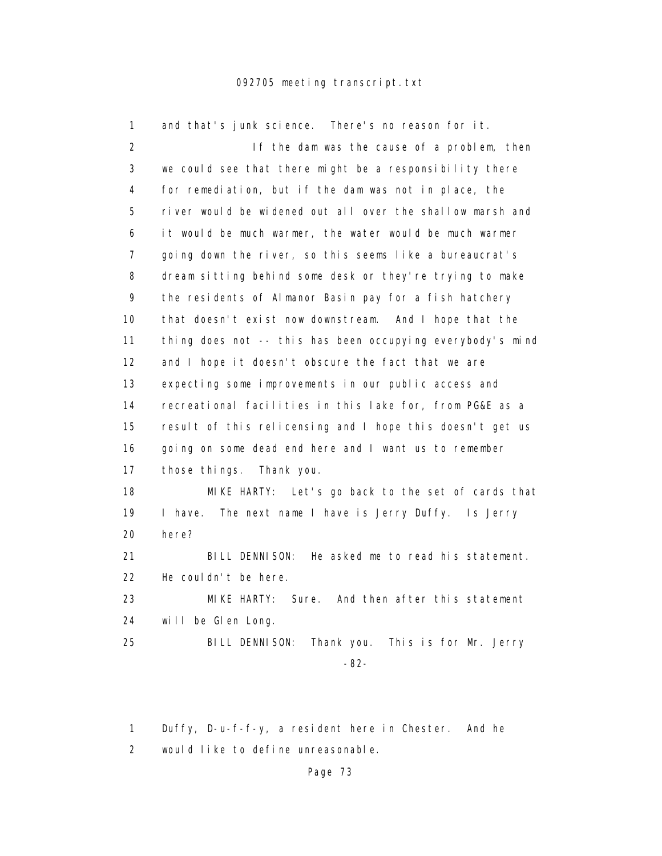| 1              | and that's junk science. There's no reason for it.         |
|----------------|------------------------------------------------------------|
| $\overline{2}$ | If the dam was the cause of a problem, then                |
| 3              | we could see that there might be a responsibility there    |
| 4              | for remediation, but if the dam was not in place, the      |
| 5              | river would be widened out all over the shallow marsh and  |
| 6              | it would be much warmer, the water would be much warmer    |
| $\overline{7}$ | going down the river, so this seems like a bureaucrat's    |
| 8              | dream sitting behind some desk or they're trying to make   |
| 9              | the residents of Almanor Basin pay for a fish hatchery     |
| 10             | that doesn't exist now downstream. And I hope that the     |
| 11             | thing does not -- this has been occupying everybody's mind |
| 12             | and I hope it doesn't obscure the fact that we are         |
| 13             | expecting some improvements in our public access and       |
| 14             | recreational facilities in this lake for, from PG&E as a   |
| 15             | result of this relicensing and I hope this doesn't get us  |
| 16             | going on some dead end here and I want us to remember      |
| 17             | those things.<br>Thank you.                                |
| 18             | MIKE HARTY: Let's go back to the set of cards that         |
| 19             | I have.<br>The next name I have is Jerry Duffy. Is Jerry   |
| 20             | here?                                                      |
| 21             | BILL DENNISON:<br>He asked me to read his statement.       |
| 22             | He couldn't be here.                                       |
| 23             | MIKE HARTY: Sure. And then after this statement            |
| 24             | will be Glen Long.                                         |
| 25             | BILL DENNI SON:<br>Thank you. This is for Mr. Jerry        |
|                | $-82-$                                                     |
|                |                                                            |

 1 Duffy, D-u-f-f-y, a resident here in Chester. And he 2 would like to define unreasonable.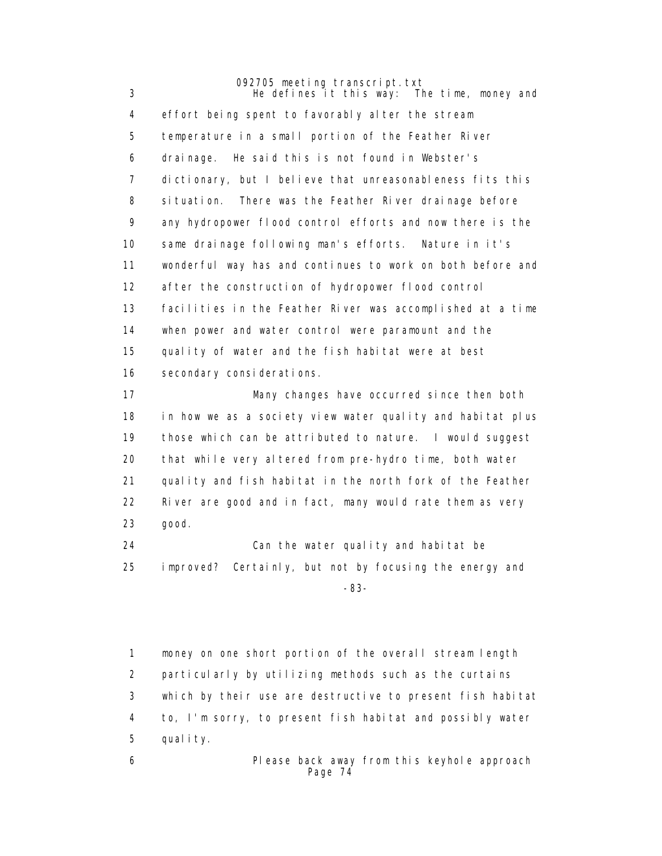092705 meeting transcript.txt 3 He defines it this way: The time, money and 4 effort being spent to favorably alter the stream 5 temperature in a small portion of the Feather River 6 drainage. He said this is not found in Webster's 7 dictionary, but I believe that unreasonableness fits this 8 situation. There was the Feather River drainage before 9 any hydropower flood control efforts and now there is the 10 same drainage following man's efforts. Nature in it's 11 wonderful way has and continues to work on both before and 12 after the construction of hydropower flood control 13 facilities in the Feather River was accomplished at a time 14 when power and water control were paramount and the 15 quality of water and the fish habitat were at best 16 secondary considerations.

> 17 Many changes have occurred since then both 18 in how we as a society view water quality and habitat plus 19 those which can be attributed to nature. I would suggest 20 that while very altered from pre-hydro time, both water 21 quality and fish habitat in the north fork of the Feather 22 River are good and in fact, many would rate them as very 23 good.

 24 Can the water quality and habitat be 25 improved? Certainly, but not by focusing the energy and -83-

> 1 money on one short portion of the overall stream length 2 particularly by utilizing methods such as the curtains 3 which by their use are destructive to present fish habitat 4 to, I'm sorry, to present fish habitat and possibly water 5 quality.

 6 Please back away from this keyhole approach Page 74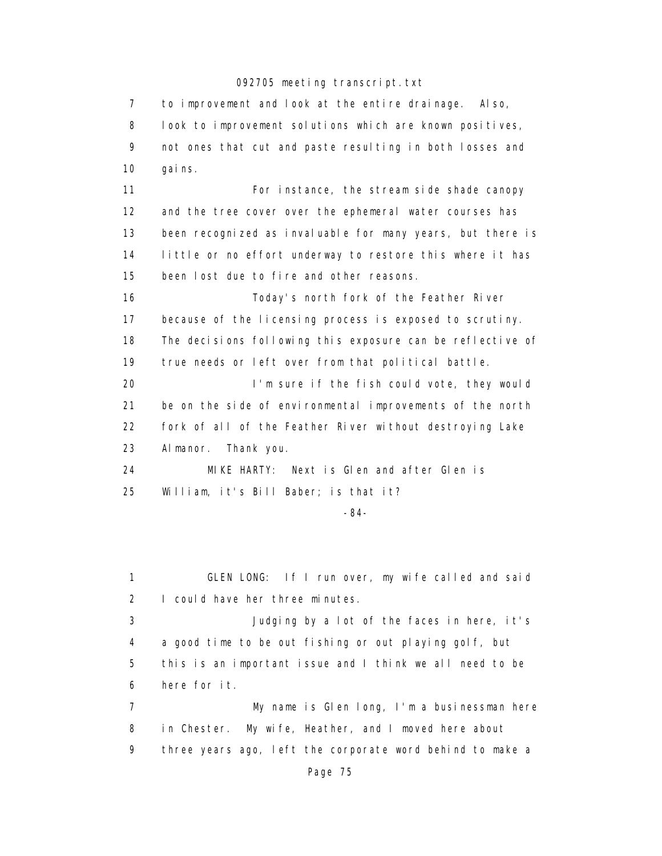7 to improvement and look at the entire drainage. Also, 8 look to improvement solutions which are known positives, 9 not ones that cut and paste resulting in both losses and 10 gains. 11 For instance, the stream side shade canopy 12 and the tree cover over the ephemeral water courses has 13 been recognized as invaluable for many years, but there is 14 little or no effort underway to restore this where it has 15 been lost due to fire and other reasons. 16 Today's north fork of the Feather River 17 because of the licensing process is exposed to scrutiny. 18 The decisions following this exposure can be reflective of 19 true needs or left over from that political battle. 20 I'm sure if the fish could vote, they would 21 be on the side of environmental improvements of the north 22 fork of all of the Feather River without destroying Lake 23 Almanor. Thank you. 24 MIKE HARTY: Next is Glen and after Glen is 25 William, it's Bill Baber; is that it?

-84-

 1 GLEN LONG: If I run over, my wife called and said 2 I could have her three minutes. 3 Judging by a lot of the faces in here, it's 4 a good time to be out fishing or out playing golf, but 5 this is an important issue and I think we all need to be 6 here for it. 7 My name is Glen long, I'm a businessman here 8 in Chester. My wife, Heather, and I moved here about 9 three years ago, left the corporate word behind to make a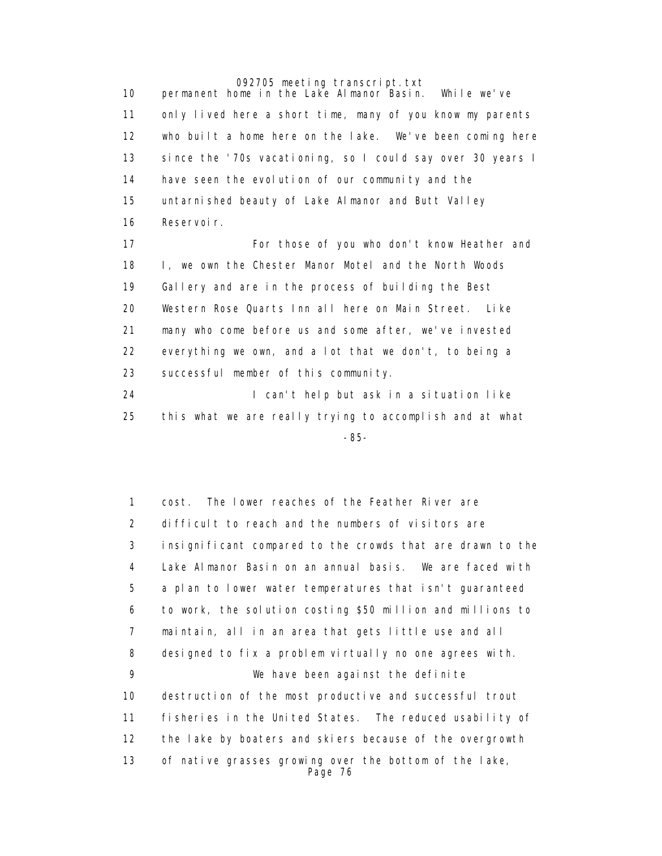10 permanent home in the Lake Almanor Basin. While we've 11 only lived here a short time, many of you know my parents 12 who built a home here on the lake. We've been coming here 13 since the '70s vacationing, so I could say over 30 years I 14 have seen the evolution of our community and the 15 untarnished beauty of Lake Almanor and Butt Valley 16 Reservoir.

> 17 For those of you who don't know Heather and 18 I, we own the Chester Manor Motel and the North Woods 19 Gallery and are in the process of building the Best 20 Western Rose Quarts Inn all here on Main Street. Like 21 many who come before us and some after, we've invested 22 everything we own, and a lot that we don't, to being a 23 successful member of this community.

 24 I can't help but ask in a situation like 25 this what we are really trying to accomplish and at what -85-

> 1 cost. The lower reaches of the Feather River are 2 difficult to reach and the numbers of visitors are 3 insignificant compared to the crowds that are drawn to the 4 Lake Almanor Basin on an annual basis. We are faced with 5 a plan to lower water temperatures that isn't guaranteed 6 to work, the solution costing \$50 million and millions to 7 maintain, all in an area that gets little use and all 8 designed to fix a problem virtually no one agrees with. 9 We have been against the definite 10 destruction of the most productive and successful trout 11 fisheries in the United States. The reduced usability of 12 the lake by boaters and skiers because of the overgrowth 13 of native grasses growing over the bottom of the lake, Page 76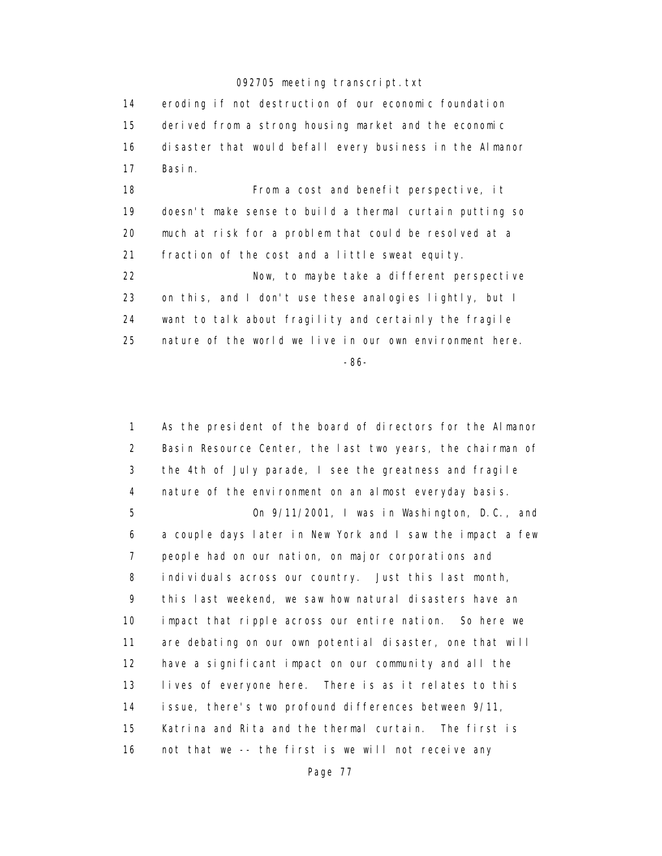14 eroding if not destruction of our economic foundation 15 derived from a strong housing market and the economic 16 disaster that would befall every business in the Almanor 17 Basin.

18 **From a cost and benefit perspective, it**  19 doesn't make sense to build a thermal curtain putting so 20 much at risk for a problem that could be resolved at a 21 fraction of the cost and a little sweat equity.

 22 Now, to maybe take a different perspective 23 on this, and I don't use these analogies lightly, but I 24 want to talk about fragility and certainly the fragile 25 nature of the world we live in our own environment here.

-86-

 1 As the president of the board of directors for the Almanor 2 Basin Resource Center, the last two years, the chairman of 3 the 4th of July parade, I see the greatness and fragile 4 nature of the environment on an almost everyday basis. 5 On 9/11/2001, I was in Washington, D.C., and 6 a couple days later in New York and I saw the impact a few 7 people had on our nation, on major corporations and 8 individuals across our country. Just this last month, 9 this last weekend, we saw how natural disasters have an 10 impact that ripple across our entire nation. So here we 11 are debating on our own potential disaster, one that will 12 have a significant impact on our community and all the 13 lives of everyone here. There is as it relates to this 14 issue, there's two profound differences between 9/11, 15 Katrina and Rita and the thermal curtain. The first is 16 not that we -- the first is we will not receive any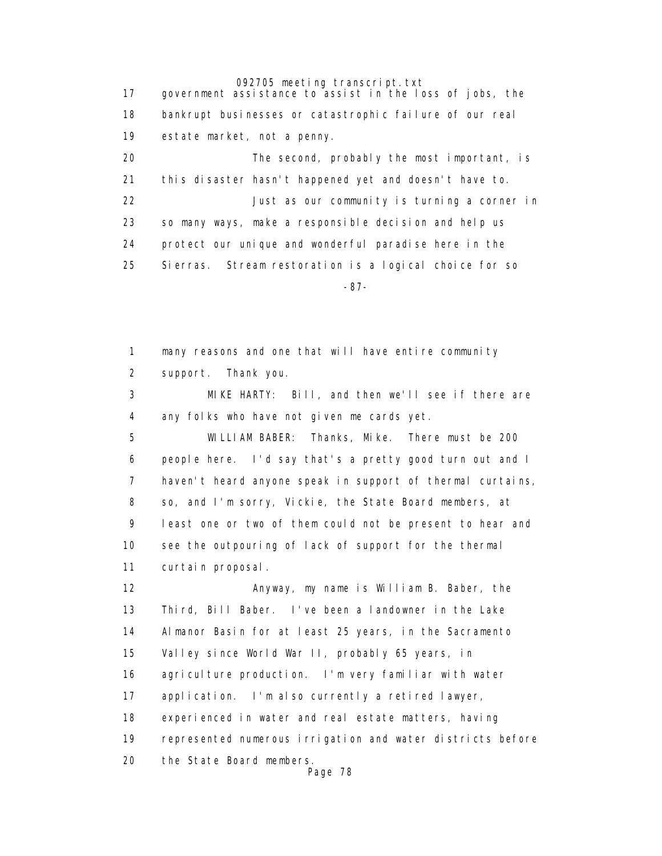17 government assistance to assist in the loss of jobs, the 18 bankrupt businesses or catastrophic failure of our real 19 estate market, not a penny. 20 The second, probably the most important, is 21 this disaster hasn't happened yet and doesn't have to. 22 Just as our community is turning a corner in 23 so many ways, make a responsible decision and help us 24 protect our unique and wonderful paradise here in the 25 Sierras. Stream restoration is a logical choice for so -87-

> 1 many reasons and one that will have entire community 2 support. Thank you.

 3 MIKE HARTY: Bill, and then we'll see if there are 4 any folks who have not given me cards yet.

 5 WILLIAM BABER: Thanks, Mike. There must be 200 6 people here. I'd say that's a pretty good turn out and I 7 haven't heard anyone speak in support of thermal curtains, 8 so, and I'm sorry, Vickie, the State Board members, at 9 least one or two of them could not be present to hear and 10 see the outpouring of lack of support for the thermal 11 curtain proposal.

 12 Anyway, my name is William B. Baber, the 13 Third, Bill Baber. I've been a landowner in the Lake 14 Almanor Basin for at least 25 years, in the Sacramento 15 Valley since World War II, probably 65 years, in 16 agriculture production. I'm very familiar with water 17 application. I'm also currently a retired lawyer, 18 experienced in water and real estate matters, having 19 represented numerous irrigation and water districts before 20 the State Board members. Page 78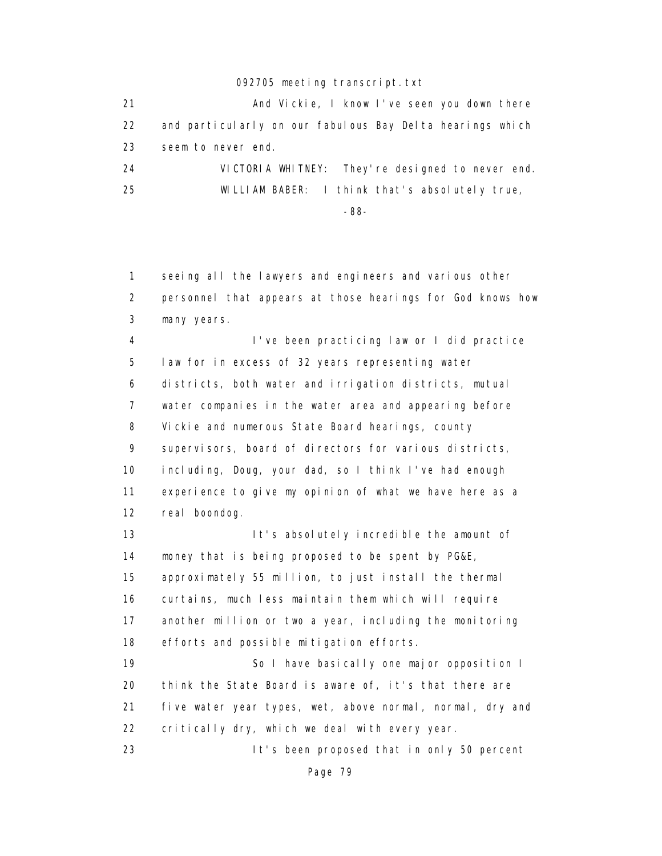| 21 | And Vickie, I know I've seen you down there               |
|----|-----------------------------------------------------------|
| 22 | and particularly on our fabulous Bay Delta hearings which |
| 23 | seem to never end.                                        |
| 24 | VICTORIA WHITNEY: They're designed to never end.          |
| 25 | WILLIAM BABER: I think that's absolutely true,            |
|    | -88-                                                      |

 1 seeing all the lawyers and engineers and various other 2 personnel that appears at those hearings for God knows how 3 many years.

 4 I've been practicing law or I did practice 5 law for in excess of 32 years representing water 6 districts, both water and irrigation districts, mutual 7 water companies in the water area and appearing before 8 Vickie and numerous State Board hearings, county 9 supervisors, board of directors for various districts, 10 including, Doug, your dad, so I think I've had enough 11 experience to give my opinion of what we have here as a 12 real boondog.

13 It's absolutely incredible the amount of 14 money that is being proposed to be spent by PG&E, 15 approximately 55 million, to just install the thermal 16 curtains, much less maintain them which will require 17 another million or two a year, including the monitoring 18 efforts and possible mitigation efforts.

19 So I have basically one major opposition I 20 think the State Board is aware of, it's that there are 21 five water year types, wet, above normal, normal, dry and 22 critically dry, which we deal with every year.

23 It's been proposed that in only 50 percent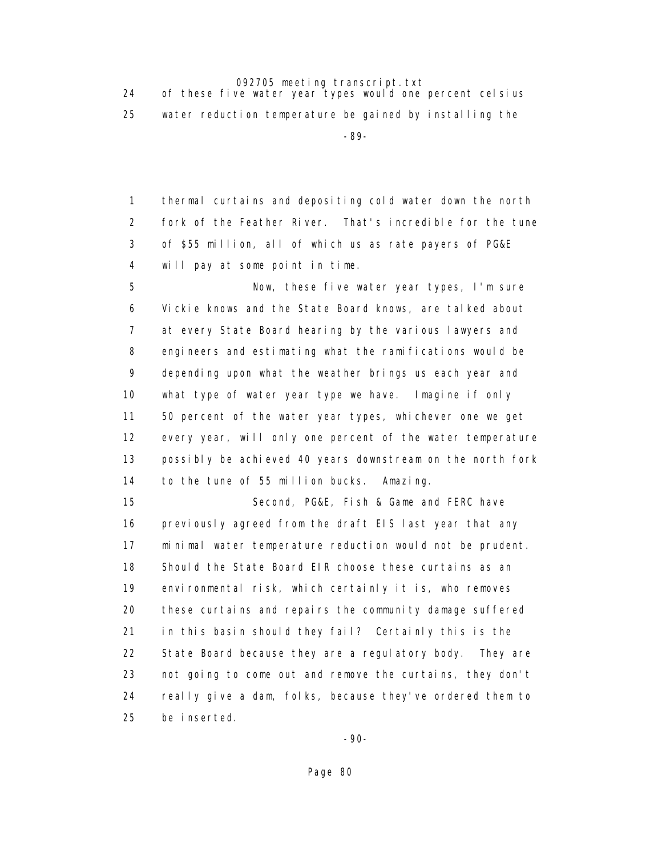24 of these five water year types would one percent celsius 25 water reduction temperature be gained by installing the -89-

> 1 thermal curtains and depositing cold water down the north 2 fork of the Feather River. That's incredible for the tune 3 of \$55 million, all of which us as rate payers of PG&E 4 will pay at some point in time.

 5 Now, these five water year types, I'm sure 6 Vickie knows and the State Board knows, are talked about 7 at every State Board hearing by the various lawyers and 8 engineers and estimating what the ramifications would be 9 depending upon what the weather brings us each year and 10 what type of water year type we have. Imagine if only 11 50 percent of the water year types, whichever one we get 12 every year, will only one percent of the water temperature 13 possibly be achieved 40 years downstream on the north fork 14 to the tune of 55 million bucks. Amazing.

 15 Second, PG&E, Fish & Game and FERC have 16 previously agreed from the draft EIS last year that any 17 minimal water temperature reduction would not be prudent. 18 Should the State Board EIR choose these curtains as an 19 environmental risk, which certainly it is, who removes 20 these curtains and repairs the community damage suffered 21 in this basin should they fail? Certainly this is the 22 State Board because they are a regulatory body. They are 23 not going to come out and remove the curtains, they don't 24 really give a dam, folks, because they've ordered them to 25 be inserted.

-90-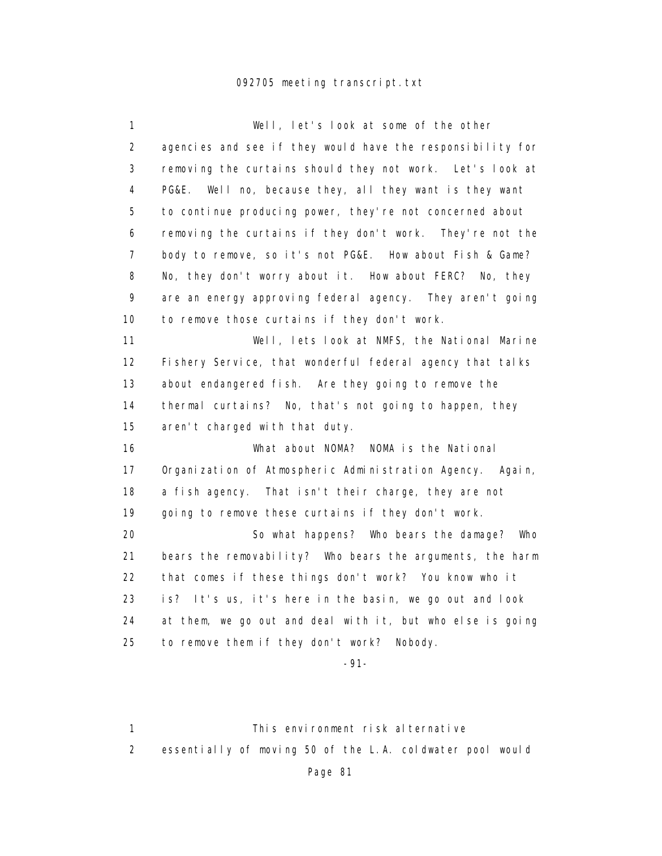| 1              | Well, let's look at some of the other                      |
|----------------|------------------------------------------------------------|
| $\overline{2}$ | agencies and see if they would have the responsibility for |
| 3              | removing the curtains should they not work. Let's look at  |
| $\overline{4}$ | PG&E. Well no, because they, all they want is they want    |
| 5              | to continue producing power, they're not concerned about   |
| 6              | removing the curtains if they don't work. They're not the  |
| $\overline{7}$ | body to remove, so it's not PG&E. How about Fish & Game?   |
| 8              | No, they don't worry about it. How about FERC? No, they    |
| 9              | are an energy approving federal agency. They aren't going  |
| 10             | to remove those curtains if they don't work.               |
| 11             | Well, lets look at NMFS, the National Marine               |
| 12             | Fishery Service, that wonderful federal agency that talks  |
| 13             | about endangered fish. Are they going to remove the        |
| 14             | thermal curtains? No, that's not going to happen, they     |
| 15             | aren't charged with that duty.                             |
| 16             | What about NOMA? NOMA is the National                      |
| 17             | Organization of Atmospheric Administration Agency. Again,  |
| 18             | a fish agency.<br>That isn't their charge, they are not    |
| 19             | going to remove these curtains if they don't work.         |
| 20             | So what happens? Who bears the damage? Who                 |
| 21             | bears the removability? Who bears the arguments, the harm  |
| 22             | that comes if these things don't work? You know who it     |
| 23             | is? It's us, it's here in the basin, we go out and look    |
| 24             | at them, we go out and deal with it, but who else is going |
| 25             | to remove them if they don't work? Nobody.                 |
|                |                                                            |

-91-

1 This environment risk alternative 2 essentially of moving 50 of the L.A. coldwater pool would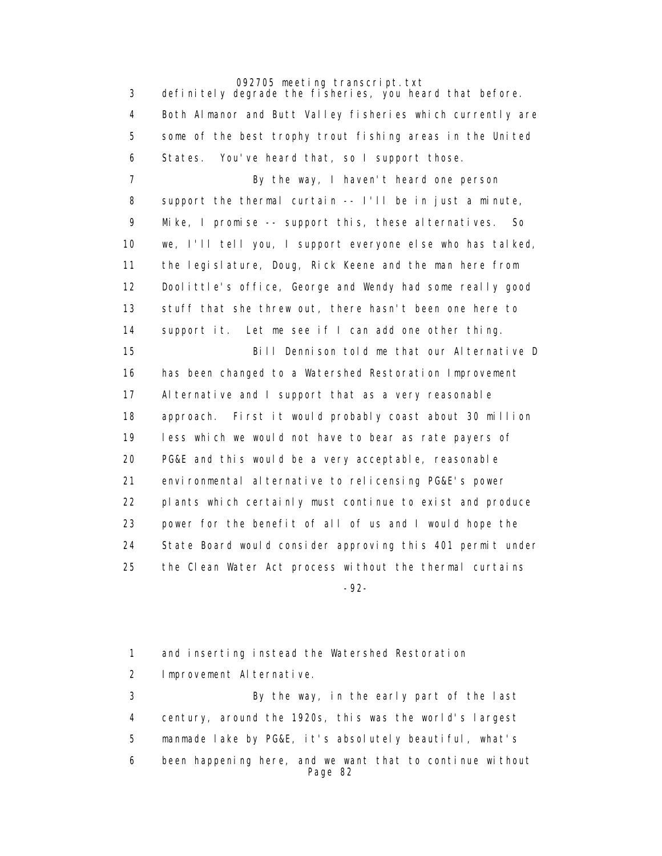3 definitely degrade the fisheries, you heard that before. 4 Both Almanor and Butt Valley fisheries which currently are 5 some of the best trophy trout fishing areas in the United 6 States. You've heard that, so I support those. 7 By the way, I haven't heard one person 8 support the thermal curtain -- I'll be in just a minute, 9 Mike, I promise -- support this, these alternatives. So 10 we, I'll tell you, I support everyone else who has talked, 11 the legislature, Doug, Rick Keene and the man here from 12 Doolittle's office, George and Wendy had some really good 13 stuff that she threw out, there hasn't been one here to 14 support it. Let me see if I can add one other thing. 15 Bill Dennison told me that our Alternative D 16 has been changed to a Watershed Restoration Improvement 17 Alternative and I support that as a very reasonable 18 approach. First it would probably coast about 30 million 19 less which we would not have to bear as rate payers of 20 PG&E and this would be a very acceptable, reasonable 21 environmental alternative to relicensing PG&E's power 22 plants which certainly must continue to exist and produce 23 power for the benefit of all of us and I would hope the 24 State Board would consider approving this 401 permit under 25 the Clean Water Act process without the thermal curtains -92-

> 1 and inserting instead the Watershed Restoration 2 Improvement Alternative.

 3 By the way, in the early part of the last 4 century, around the 1920s, this was the world's largest 5 manmade lake by PG&E, it's absolutely beautiful, what's 6 been happening here, and we want that to continue without Page 82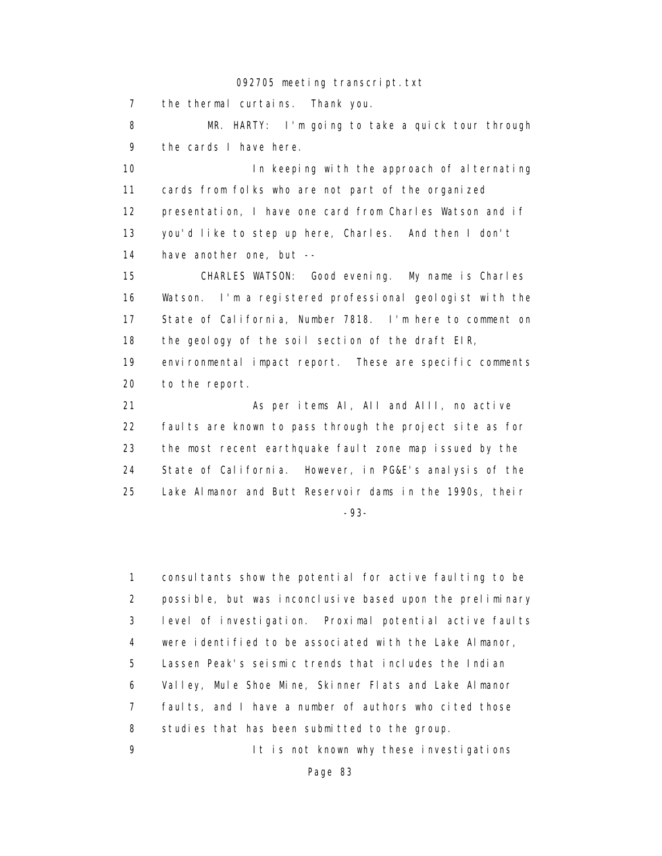7 the thermal curtains. Thank you.

 8 MR. HARTY: I'm going to take a quick tour through 9 the cards I have here.

10 **In keeping with the approach of alternating**  11 cards from folks who are not part of the organized 12 presentation, I have one card from Charles Watson and if 13 you'd like to step up here, Charles. And then I don't 14 have another one, but --

 15 CHARLES WATSON: Good evening. My name is Charles 16 Watson. I'm a registered professional geologist with the 17 State of California, Number 7818. I'm here to comment on 18 the geology of the soil section of the draft EIR, 19 environmental impact report. These are specific comments 20 to the report.

 21 As per items AI, AII and AIII, no active 22 faults are known to pass through the project site as for 23 the most recent earthquake fault zone map issued by the 24 State of California. However, in PG&E's analysis of the 25 Lake Almanor and Butt Reservoir dams in the 1990s, their -93-

 1 consultants show the potential for active faulting to be 2 possible, but was inconclusive based upon the preliminary 3 level of investigation. Proximal potential active faults 4 were identified to be associated with the Lake Almanor, 5 Lassen Peak's seismic trends that includes the Indian 6 Valley, Mule Shoe Mine, Skinner Flats and Lake Almanor 7 faults, and I have a number of authors who cited those 8 studies that has been submitted to the group.

9 It is not known why these investigations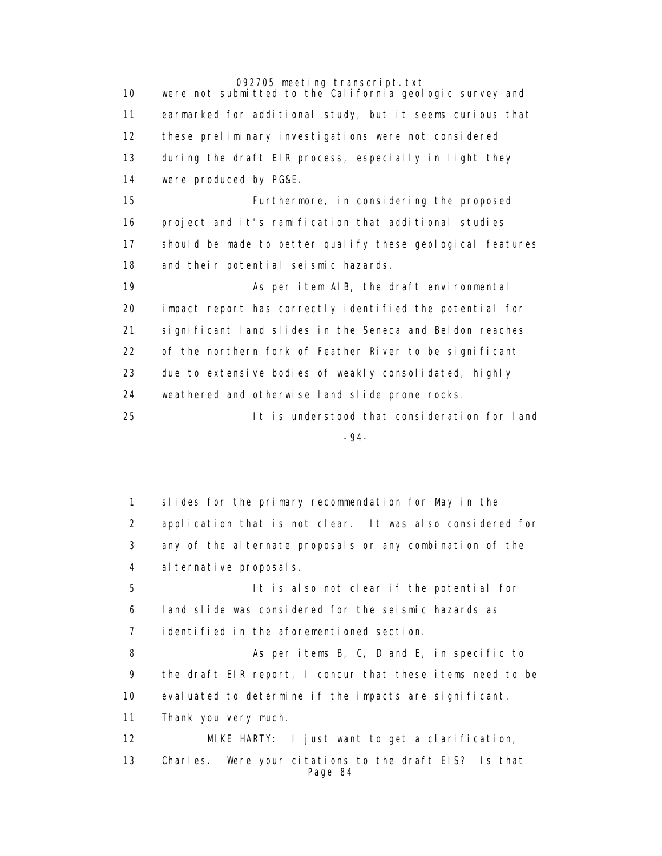10 were not submitted to the California geologic survey and 11 earmarked for additional study, but it seems curious that 12 these preliminary investigations were not considered 13 during the draft EIR process, especially in light they 14 were produced by PG&E. 15 Furthermore, in considering the proposed 16 project and it's ramification that additional studies 17 should be made to better qualify these geological features 18 and their potential seismic hazards. 19 As per item AIB, the draft environmental 20 impact report has correctly identified the potential for 21 significant land slides in the Seneca and Beldon reaches 22 of the northern fork of Feather River to be significant 23 due to extensive bodies of weakly consolidated, highly 24 weathered and otherwise land slide prone rocks. 25 It is understood that consideration for land -94-

> 1 slides for the primary recommendation for May in the 2 application that is not clear. It was also considered for 3 any of the alternate proposals or any combination of the 4 alternative proposals. 5 It is also not clear if the potential for 6 land slide was considered for the seismic hazards as 7 identified in the aforementioned section. 8 As per items B, C, D and E, in specific to 9 the draft EIR report, I concur that these items need to be 10 evaluated to determine if the impacts are significant. 11 Thank you very much. 12 MIKE HARTY: I just want to get a clarification, 13 Charles. Were your citations to the draft EIS? Is that Page 84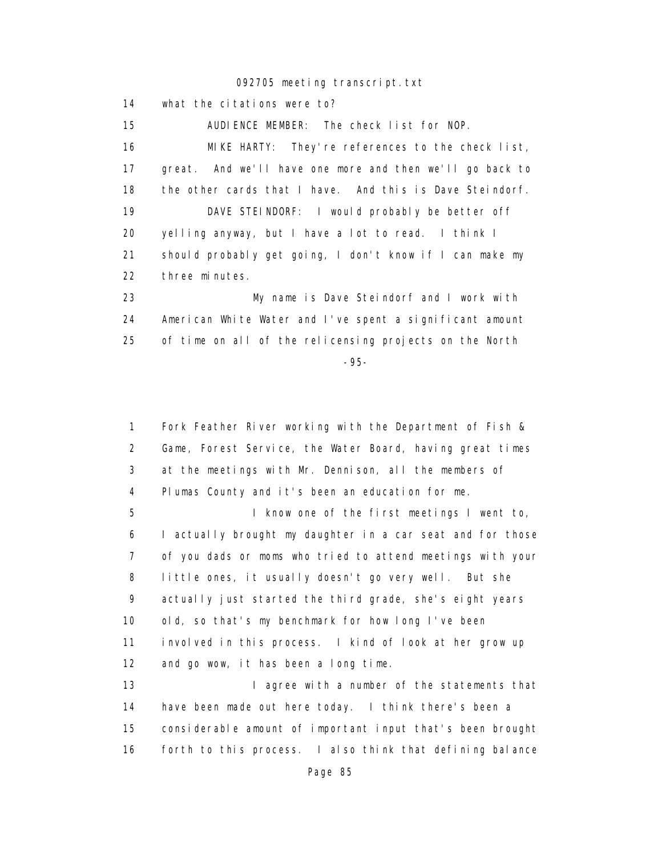14 what the citations were to?

 15 AUDIENCE MEMBER: The check list for NOP. 16 MIKE HARTY: They're references to the check list, 17 great. And we'll have one more and then we'll go back to 18 the other cards that I have. And this is Dave Steindorf. 19 DAVE STEINDORF: I would probably be better off 20 yelling anyway, but I have a lot to read. I think I 21 should probably get going, I don't know if I can make my 22 three minutes. 23 My name is Dave Steindorf and I work with 24 American White Water and I've spent a significant amount 25 of time on all of the relicensing projects on the North

-95-

 1 Fork Feather River working with the Department of Fish & 2 Game, Forest Service, the Water Board, having great times 3 at the meetings with Mr. Dennison, all the members of 4 Plumas County and it's been an education for me. 5 I know one of the first meetings I went to, 6 I actually brought my daughter in a car seat and for those 7 of you dads or moms who tried to attend meetings with your

 8 little ones, it usually doesn't go very well. But she 9 actually just started the third grade, she's eight years 10 old, so that's my benchmark for how long I've been 11 involved in this process. I kind of look at her grow up 12 and go wow, it has been a long time.

13 I agree with a number of the statements that 14 have been made out here today. I think there's been a 15 considerable amount of important input that's been brought 16 forth to this process. I also think that defining balance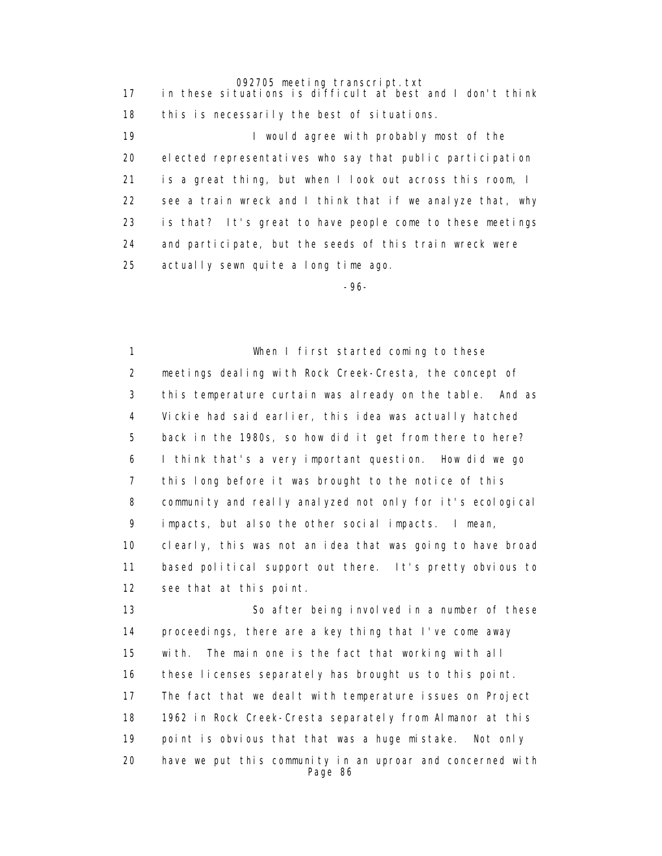17 in these situations is difficult at best and I don't think 18 this is necessarily the best of situations.

> 19 **I** would agree with probably most of the 20 elected representatives who say that public participation 21 is a great thing, but when I look out across this room, I 22 see a train wreck and I think that if we analyze that, why 23 is that? It's great to have people come to these meetings 24 and participate, but the seeds of this train wreck were 25 actually sewn quite a long time ago.

-96-

 1 When I first started coming to these 2 meetings dealing with Rock Creek-Cresta, the concept of 3 this temperature curtain was already on the table. And as 4 Vickie had said earlier, this idea was actually hatched 5 back in the 1980s, so how did it get from there to here? 6 I think that's a very important question. How did we go 7 this long before it was brought to the notice of this 8 community and really analyzed not only for it's ecological 9 impacts, but also the other social impacts. I mean, 10 clearly, this was not an idea that was going to have broad 11 based political support out there. It's pretty obvious to 12 see that at this point.

 13 So after being involved in a number of these 14 proceedings, there are a key thing that I've come away 15 with. The main one is the fact that working with all 16 these licenses separately has brought us to this point. 17 The fact that we dealt with temperature issues on Project 18 1962 in Rock Creek-Cresta separately from Almanor at this 19 point is obvious that that was a huge mistake. Not only 20 have we put this community in an uproar and concerned with Page 86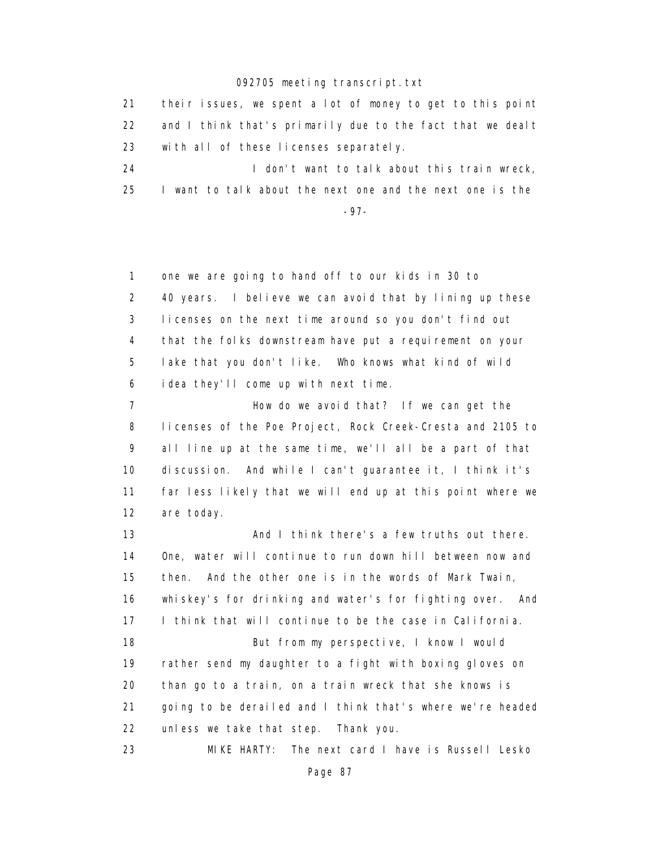21 their issues, we spent a lot of money to get to this point 22 and I think that's primarily due to the fact that we dealt 23 with all of these licenses separately. 24 **I** don't want to talk about this train wreck,

25 I want to talk about the next one and the next one is the

-97-

 1 one we are going to hand off to our kids in 30 to 2 40 years. I believe we can avoid that by lining up these 3 licenses on the next time around so you don't find out 4 that the folks downstream have put a requirement on your 5 lake that you don't like. Who knows what kind of wild 6 idea they'll come up with next time.

 7 How do we avoid that? If we can get the 8 licenses of the Poe Project, Rock Creek-Cresta and 2105 to 9 all line up at the same time, we'll all be a part of that 10 discussion. And while I can't guarantee it, I think it's 11 far less likely that we will end up at this point where we 12 are today.

 13 And I think there's a few truths out there. 14 One, water will continue to run down hill between now and 15 then. And the other one is in the words of Mark Twain, 16 whiskey's for drinking and water's for fighting over. And 17 I think that will continue to be the case in California. 18 But from my perspective, I know I would 19 rather send my daughter to a fight with boxing gloves on 20 than go to a train, on a train wreck that she knows is 21 going to be derailed and I think that's where we're headed 22 unless we take that step. Thank you. 23 MIKE HARTY: The next card I have is Russell Lesko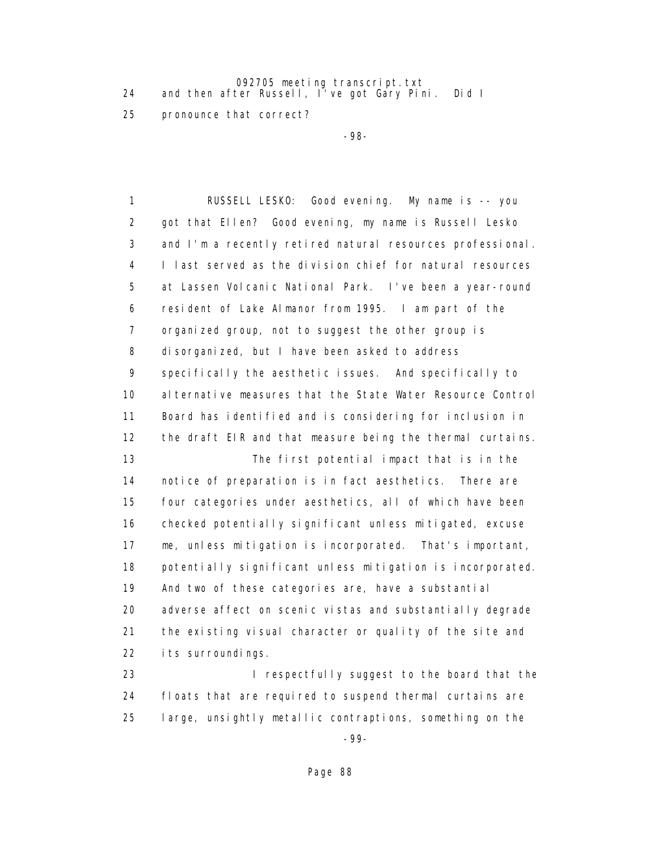092705 meeting transcript.txt 24 and then after Russell, I've got Gary Pini. Did I

25 pronounce that correct?

-98-

 1 RUSSELL LESKO: Good evening. My name is -- you 2 got that Ellen? Good evening, my name is Russell Lesko 3 and I'm a recently retired natural resources professional. 4 I last served as the division chief for natural resources 5 at Lassen Volcanic National Park. I've been a year-round 6 resident of Lake Almanor from 1995. I am part of the 7 organized group, not to suggest the other group is 8 disorganized, but I have been asked to address 9 specifically the aesthetic issues. And specifically to 10 alternative measures that the State Water Resource Control 11 Board has identified and is considering for inclusion in 12 the draft EIR and that measure being the thermal curtains. 13 The first potential impact that is in the 14 notice of preparation is in fact aesthetics. There are 15 four categories under aesthetics, all of which have been 16 checked potentially significant unless mitigated, excuse 17 me, unless mitigation is incorporated. That's important, 18 potentially significant unless mitigation is incorporated. 19 And two of these categories are, have a substantial 20 adverse affect on scenic vistas and substantially degrade 21 the existing visual character or quality of the site and 22 its surroundings.

 23 I respectfully suggest to the board that the 24 floats that are required to suspend thermal curtains are 25 large, unsightly metallic contraptions, something on the

-99-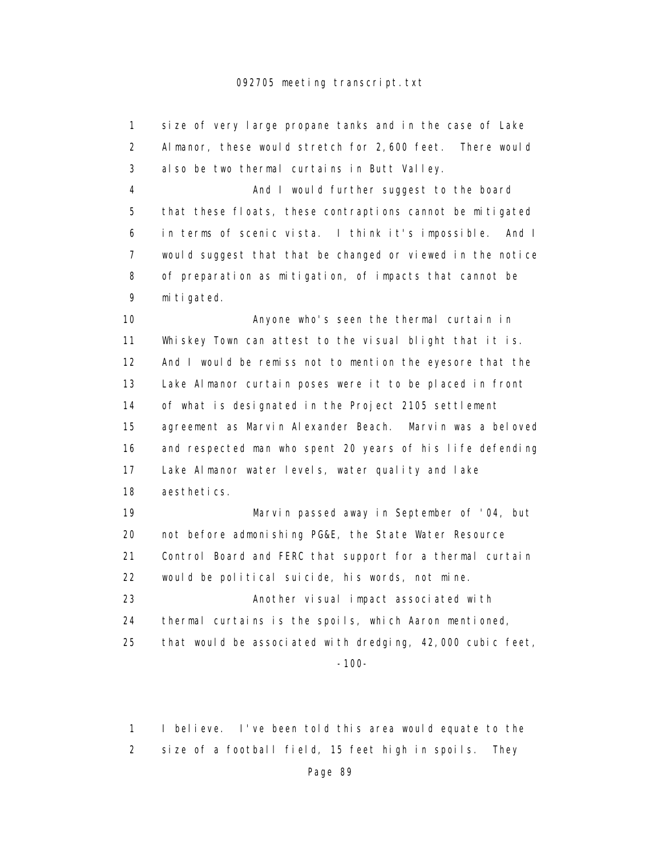1 size of very large propane tanks and in the case of Lake 2 Almanor, these would stretch for 2,600 feet. There would 3 also be two thermal curtains in Butt Valley. 4 And I would further suggest to the board 5 that these floats, these contraptions cannot be mitigated 6 in terms of scenic vista. I think it's impossible. And I 7 would suggest that that be changed or viewed in the notice 8 of preparation as mitigation, of impacts that cannot be 9 mitigated. 10 Anyone who's seen the thermal curtain in 11 Whiskey Town can attest to the visual blight that it is. 12 And I would be remiss not to mention the eyesore that the 13 Lake Almanor curtain poses were it to be placed in front 14 of what is designated in the Project 2105 settlement 15 agreement as Marvin Alexander Beach. Marvin was a beloved 16 and respected man who spent 20 years of his life defending 17 Lake Almanor water levels, water quality and lake 18 aesthetics. 19 Marvin passed away in September of '04, but 20 not before admonishing PG&E, the State Water Resource 21 Control Board and FERC that support for a thermal curtain 22 would be political suicide, his words, not mine. 23 Another visual impact associated with 24 thermal curtains is the spoils, which Aaron mentioned, 25 that would be associated with dredging, 42,000 cubic feet, -100-

> 1 I believe. I've been told this area would equate to the 2 size of a football field, 15 feet high in spoils. They

```
Page 89
```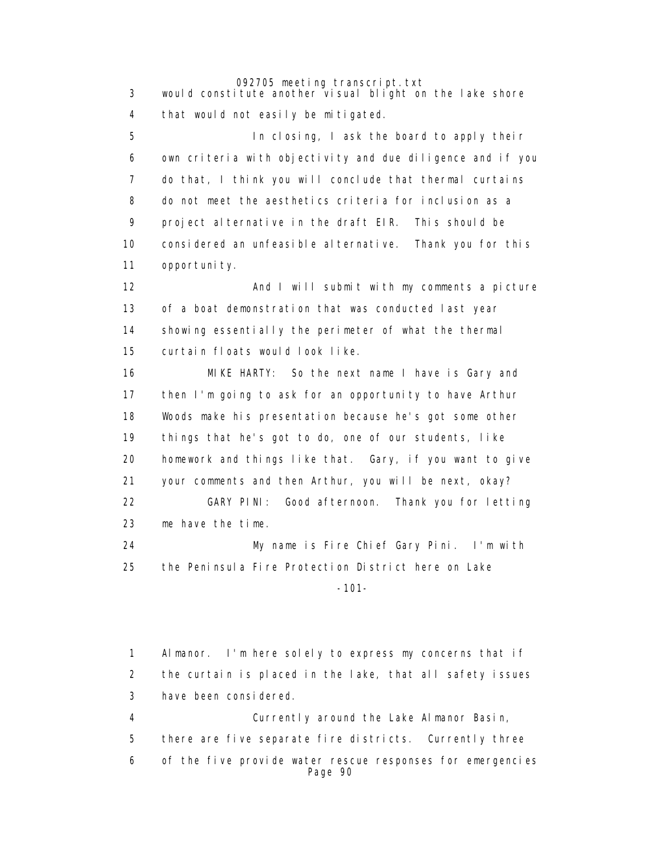3 would constitute another visual blight on the lake shore 4 that would not easily be mitigated.

> 5 In closing, I ask the board to apply their 6 own criteria with objectivity and due diligence and if you 7 do that, I think you will conclude that thermal curtains 8 do not meet the aesthetics criteria for inclusion as a 9 project alternative in the draft EIR. This should be 10 considered an unfeasible alternative. Thank you for this 11 opportunity.

> 12 **And I will submit with my comments a picture**  13 of a boat demonstration that was conducted last year 14 showing essentially the perimeter of what the thermal 15 curtain floats would look like.

 16 MIKE HARTY: So the next name I have is Gary and 17 then I'm going to ask for an opportunity to have Arthur 18 Woods make his presentation because he's got some other 19 things that he's got to do, one of our students, like 20 homework and things like that. Gary, if you want to give 21 your comments and then Arthur, you will be next, okay? 22 GARY PINI: Good afternoon. Thank you for letting 23 me have the time. 24 My name is Fire Chief Gary Pini. I'm with

 25 the Peninsula Fire Protection District here on Lake -101-

> 1 Almanor. I'm here solely to express my concerns that if 2 the curtain is placed in the lake, that all safety issues 3 have been considered. 4 Currently around the Lake Almanor Basin, 5 there are five separate fire districts. Currently three 6 of the five provide water rescue responses for emergencies Page 90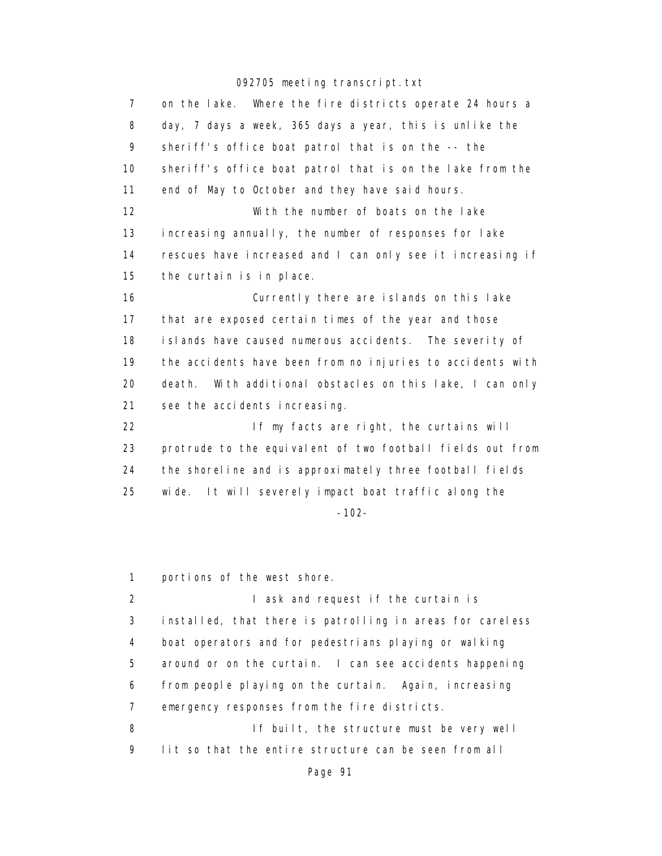| $\overline{7}$ | on the lake. Where the fire districts operate 24 hours a     |
|----------------|--------------------------------------------------------------|
| 8              | day, 7 days a week, 365 days a year, this is unlike the      |
| 9              | sheriff's office boat patrol that is on the -- the           |
| 10             | sheriff's office boat patrol that is on the lake from the    |
| 11             | end of May to October and they have said hours.              |
| 12             | With the number of boats on the lake                         |
| 13             | increasing annually, the number of responses for lake        |
| 14             | rescues have increased and I can only see it increasing if   |
| 15             | the curtain is in place.                                     |
| 16             | Currently there are islands on this lake                     |
| 17             | that are exposed certain times of the year and those         |
| 18             | islands have caused numerous accidents. The severity of      |
| 19             | the accidents have been from no injuries to accidents with   |
| 20             | With additional obstacles on this lake, I can only<br>death. |
| 21             | see the accidents increasing.                                |
| 22             | If my facts are right, the curtains will                     |
| 23             | protrude to the equivalent of two football fields out from   |
| 24             | the shoreline and is approximately three football fields     |
| 25             | It will severely impact boat traffic along the<br>wi de.     |
|                | $-102-$                                                      |
|                |                                                              |

1 portions of the west shore.

2 I ask and request if the curtain is 3 installed, that there is patrolling in areas for careless 4 boat operators and for pedestrians playing or walking 5 around or on the curtain. I can see accidents happening 6 from people playing on the curtain. Again, increasing 7 emergency responses from the fire districts. 8 If built, the structure must be very well 9 lit so that the entire structure can be seen from all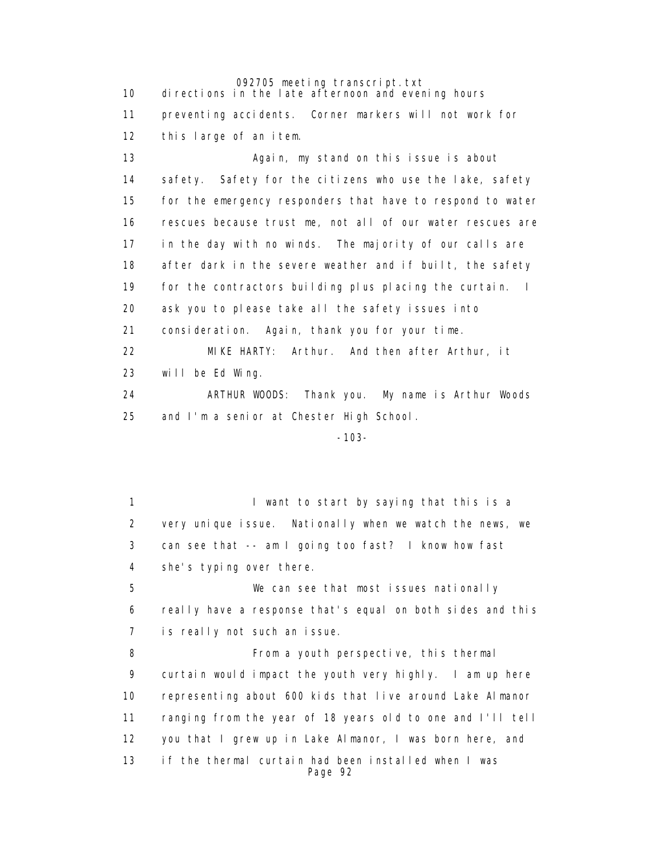092705 meeting transcript.txt 10 directions in the late afternoon and evening hours 11 preventing accidents. Corner markers will not work for 12 this large of an item. 13 Again, my stand on this issue is about 14 safety. Safety for the citizens who use the lake, safety 15 for the emergency responders that have to respond to water 16 rescues because trust me, not all of our water rescues are 17 in the day with no winds. The majority of our calls are 18 after dark in the severe weather and if built, the safety 19 for the contractors building plus placing the curtain. I 20 ask you to please take all the safety issues into 21 consideration. Again, thank you for your time. 22 MIKE HARTY: Arthur. And then after Arthur, it 23 will be Ed Wing.

 24 ARTHUR WOODS: Thank you. My name is Arthur Woods 25 and I'm a senior at Chester High School.

-103-

1 **I** want to start by saying that this is a 2 very unique issue. Nationally when we watch the news, we 3 can see that -- am I going too fast? I know how fast 4 she's typing over there. 5 We can see that most issues nationally 6 really have a response that's equal on both sides and this 7 is really not such an issue. 8 From a youth perspective, this thermal 9 curtain would impact the youth very highly. I am up here 10 representing about 600 kids that live around Lake Almanor 11 ranging from the year of 18 years old to one and I'll tell 12 you that I grew up in Lake Almanor, I was born here, and 13 if the thermal curtain had been installed when I was Page 92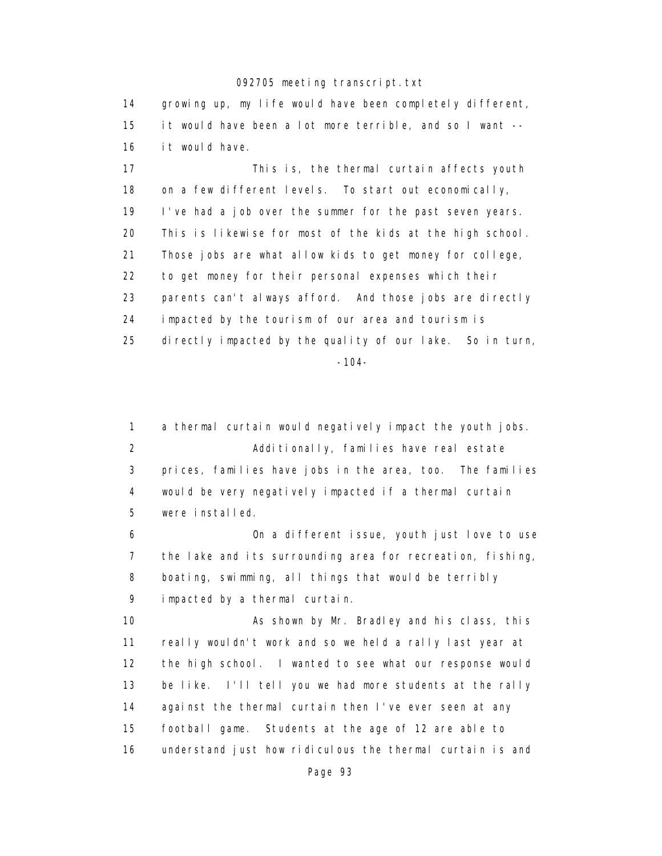14 growing up, my life would have been completely different, 15 it would have been a lot more terrible, and so I want -- 16 it would have.

 17 This is, the thermal curtain affects youth 18 on a few different levels. To start out economically, 19 I've had a job over the summer for the past seven years. 20 This is likewise for most of the kids at the high school. 21 Those jobs are what allow kids to get money for college, 22 to get money for their personal expenses which their 23 parents can't always afford. And those jobs are directly 24 impacted by the tourism of our area and tourism is 25 directly impacted by the quality of our lake. So in turn, -104-

 1 a thermal curtain would negatively impact the youth jobs. 2 Additionally, families have real estate 3 prices, families have jobs in the area, too. The families 4 would be very negatively impacted if a thermal curtain 5 were installed.

 6 On a different issue, youth just love to use 7 the lake and its surrounding area for recreation, fishing, 8 boating, swimming, all things that would be terribly 9 impacted by a thermal curtain.

 10 As shown by Mr. Bradley and his class, this 11 really wouldn't work and so we held a rally last year at 12 the high school. I wanted to see what our response would 13 be like. I'll tell you we had more students at the rally 14 against the thermal curtain then I've ever seen at any 15 football game. Students at the age of 12 are able to 16 understand just how ridiculous the thermal curtain is and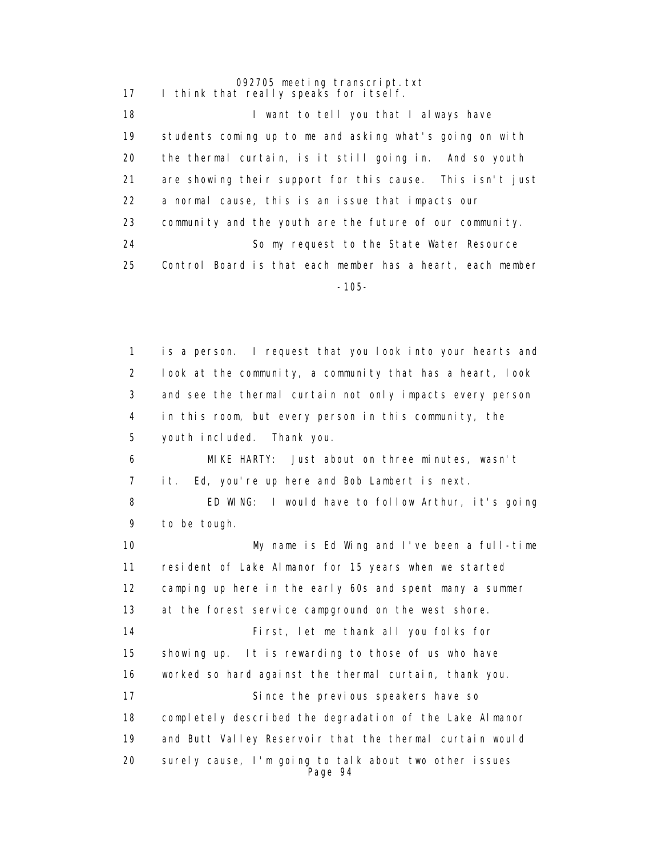092705 meeting transcript.txt 17 I think that really speaks for itself. 18 **I** want to tell you that I always have 19 students coming up to me and asking what's going on with 20 the thermal curtain, is it still going in. And so youth 21 are showing their support for this cause. This isn't just 22 a normal cause, this is an issue that impacts our 23 community and the youth are the future of our community. 24 So my request to the State Water Resource 25 Control Board is that each member has a heart, each member -105-

> 1 is a person. I request that you look into your hearts and 2 look at the community, a community that has a heart, look 3 and see the thermal curtain not only impacts every person 4 in this room, but every person in this community, the 5 youth included. Thank you. 6 MIKE HARTY: Just about on three minutes, wasn't 7 it. Ed, you're up here and Bob Lambert is next. 8 ED WING: I would have to follow Arthur, it's going 9 to be tough. 10 My name is Ed Wing and I've been a full-time 11 resident of Lake Almanor for 15 years when we started 12 camping up here in the early 60s and spent many a summer 13 at the forest service campground on the west shore. 14 First, let me thank all you folks for 15 showing up. It is rewarding to those of us who have 16 worked so hard against the thermal curtain, thank you. 17 Since the previous speakers have so 18 completely described the degradation of the Lake Almanor 19 and Butt Valley Reservoir that the thermal curtain would 20 surely cause, I'm going to talk about two other issues Page 94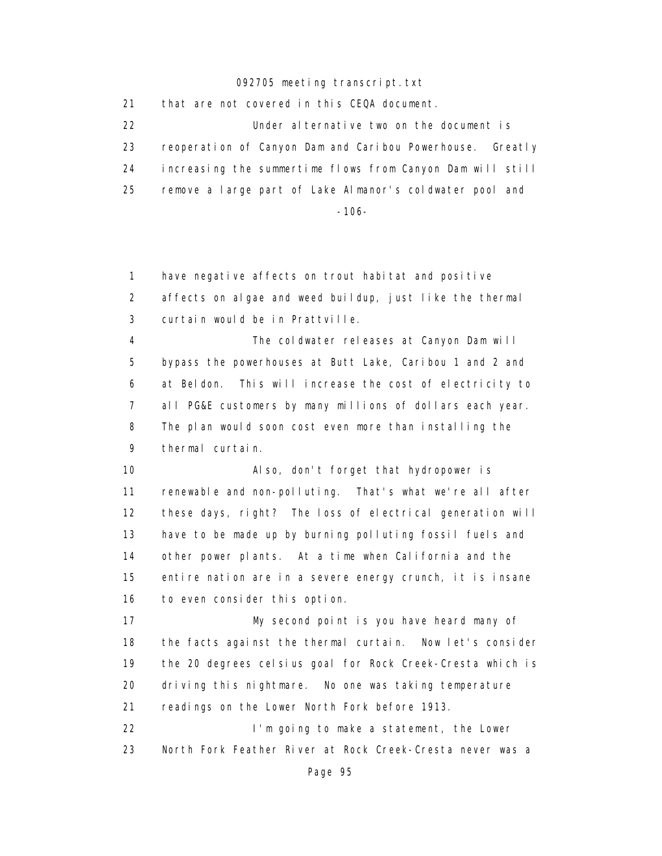21 that are not covered in this CEQA document. 22 Under alternative two on the document is 23 reoperation of Canyon Dam and Caribou Powerhouse. Greatly 24 increasing the summertime flows from Canyon Dam will still 25 remove a large part of Lake Almanor's coldwater pool and -106-

 1 have negative affects on trout habitat and positive 2 affects on algae and weed buildup, just like the thermal 3 curtain would be in Prattville. 4 The coldwater releases at Canyon Dam will 5 bypass the powerhouses at Butt Lake, Caribou 1 and 2 and 6 at Beldon. This will increase the cost of electricity to 7 all PG&E customers by many millions of dollars each year. 8 The plan would soon cost even more than installing the 9 thermal curtain. 10 Also, don't forget that hydropower is 11 renewable and non-polluting. That's what we're all after 12 these days, right? The loss of electrical generation will 13 have to be made up by burning polluting fossil fuels and 14 other power plants. At a time when California and the 15 entire nation are in a severe energy crunch, it is insane 16 to even consider this option. 17 My second point is you have heard many of 18 the facts against the thermal curtain. Now let's consider 19 the 20 degrees celsius goal for Rock Creek-Cresta which is 20 driving this nightmare. No one was taking temperature 21 readings on the Lower North Fork before 1913. 22 **I'm going to make a statement**, the Lower 23 North Fork Feather River at Rock Creek-Cresta never was a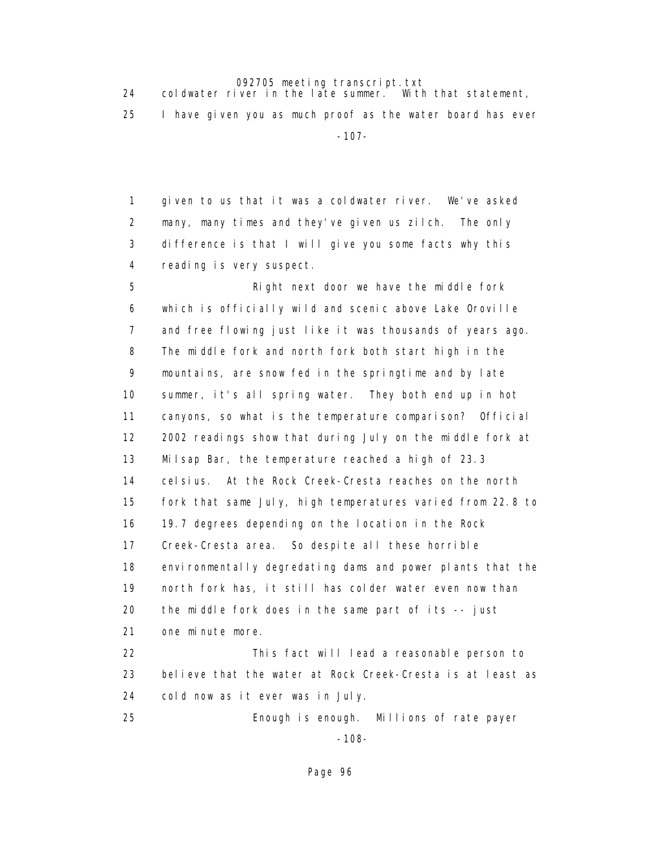24 coldwater river in the late summer. With that statement,

25 I have given you as much proof as the water board has ever

-107-

 1 given to us that it was a coldwater river. We've asked 2 many, many times and they've given us zilch. The only 3 difference is that I will give you some facts why this 4 reading is very suspect.

 5 Right next door we have the middle fork 6 which is officially wild and scenic above Lake Oroville 7 and free flowing just like it was thousands of years ago. 8 The middle fork and north fork both start high in the 9 mountains, are snow fed in the springtime and by late 10 summer, it's all spring water. They both end up in hot 11 canyons, so what is the temperature comparison? Official 12 2002 readings show that during July on the middle fork at 13 Milsap Bar, the temperature reached a high of 23.3 14 celsius. At the Rock Creek-Cresta reaches on the north 15 fork that same July, high temperatures varied from 22.8 to 16 19.7 degrees depending on the location in the Rock 17 Creek-Cresta area. So despite all these horrible 18 environmentally degredating dams and power plants that the 19 north fork has, it still has colder water even now than 20 the middle fork does in the same part of its -- just 21 one minute more. 22 This fact will lead a reasonable person to 23 believe that the water at Rock Creek-Cresta is at least as 24 cold now as it ever was in July.

 25 Enough is enough. Millions of rate payer -108-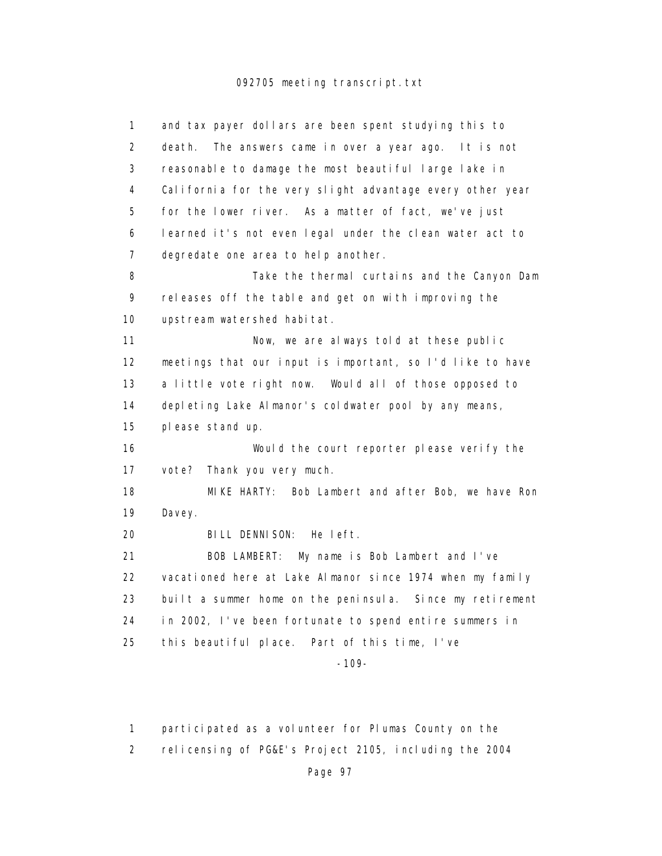| 1              | and tax payer dollars are been spent studying this to       |
|----------------|-------------------------------------------------------------|
| $\overline{2}$ | The answers came in over a year ago.<br>death.<br>It is not |
| 3              | reasonable to damage the most beautiful large lake in       |
| 4              | California for the very slight advantage every other year   |
| 5              | for the lower river. As a matter of fact, we've just        |
| 6              | learned it's not even legal under the clean water act to    |
| 7              | degredate one area to help another.                         |
| 8              | Take the thermal curtains and the Canyon Dam                |
| 9              | releases off the table and get on with improving the        |
| 10             | upstream watershed habitat.                                 |
| 11             | Now, we are always told at these public                     |
| 12             | meetings that our input is important, so I'd like to have   |
| 13             | a little vote right now. Would all of those opposed to      |
| 14             | depleting Lake Almanor's coldwater pool by any means,       |
| 15             | please stand up.                                            |
| 16             | Would the court reporter please verify the                  |
| 17             | vote? Thank you very much.                                  |
| 18             | MIKE HARTY: Bob Lambert and after Bob, we have Ron          |
| 19             | Davey.                                                      |
| 20             | BILL DENNI SON:<br>He left.                                 |
| 21             | BOB LAMBERT: My name is Bob Lambert and I've                |
| 22             | vacationed here at Lake Almanor since 1974 when my family   |
| 23             | built a summer home on the peninsula. Since my retirement   |
| 24             | in 2002, I've been fortunate to spend entire summers in     |
| 25             | this beautiful place. Part of this time, I've               |
|                | $-109-$                                                     |
|                |                                                             |

1 participated as a volunteer for Plumas County on the

2 relicensing of PG&E's Project 2105, including the 2004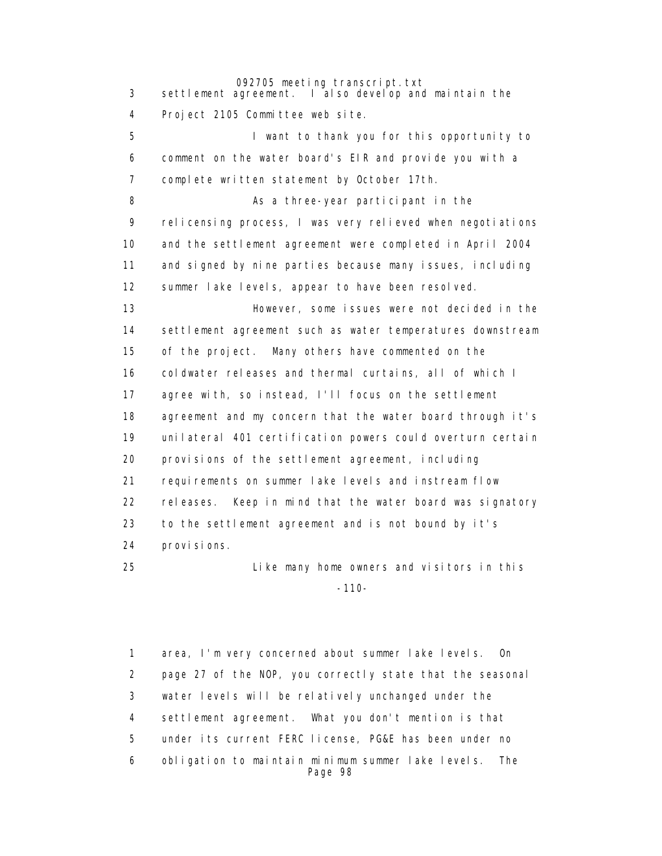3 settlement agreement. I also develop and maintain the

4 Project 2105 Committee web site.

 5 I want to thank you for this opportunity to 6 comment on the water board's EIR and provide you with a 7 complete written statement by October 17th.

8 As a three-year participant in the 9 relicensing process, I was very relieved when negotiations 10 and the settlement agreement were completed in April 2004 11 and signed by nine parties because many issues, including 12 summer lake levels, appear to have been resolved.

 13 However, some issues were not decided in the 14 settlement agreement such as water temperatures downstream 15 of the project. Many others have commented on the 16 coldwater releases and thermal curtains, all of which I 17 agree with, so instead, I'll focus on the settlement 18 agreement and my concern that the water board through it's 19 unilateral 401 certification powers could overturn certain 20 provisions of the settlement agreement, including 21 requirements on summer lake levels and instream flow 22 releases. Keep in mind that the water board was signatory 23 to the settlement agreement and is not bound by it's 24 provisions.

 25 Like many home owners and visitors in this -110-

> 1 area, I'm very concerned about summer lake levels. On 2 page 27 of the NOP, you correctly state that the seasonal 3 water levels will be relatively unchanged under the 4 settlement agreement. What you don't mention is that 5 under its current FERC license, PG&E has been under no 6 obligation to maintain minimum summer lake levels. The Page 98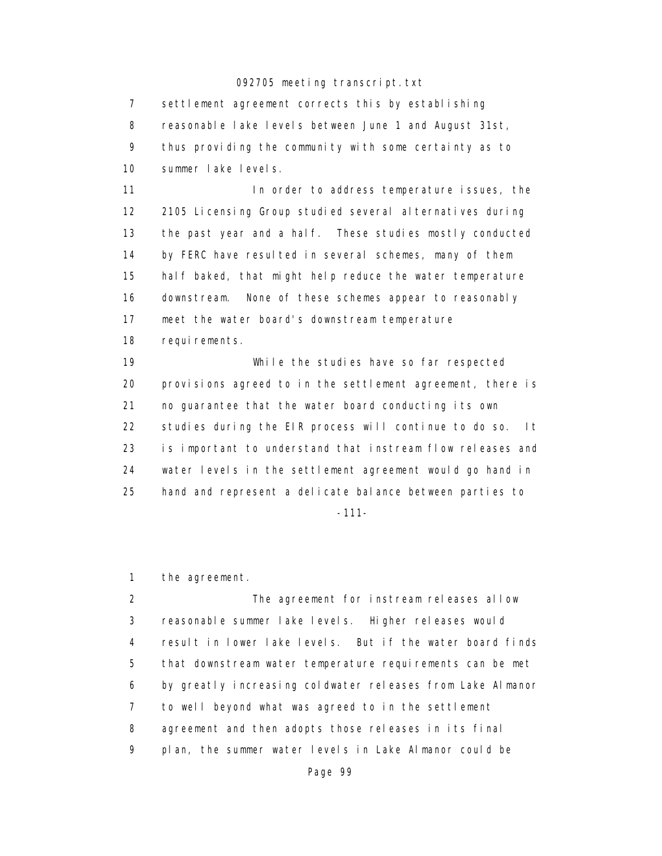7 settlement agreement corrects this by establishing 8 reasonable lake levels between June 1 and August 31st, 9 thus providing the community with some certainty as to 10 summer lake levels.

11 **In order to address temperature issues**, the 12 2105 Licensing Group studied several alternatives during 13 the past year and a half. These studies mostly conducted 14 by FERC have resulted in several schemes, many of them 15 half baked, that might help reduce the water temperature 16 downstream. None of these schemes appear to reasonably 17 meet the water board's downstream temperature 18 requirements.

 19 While the studies have so far respected 20 provisions agreed to in the settlement agreement, there is 21 no guarantee that the water board conducting its own 22 studies during the EIR process will continue to do so. It 23 is important to understand that instream flow releases and 24 water levels in the settlement agreement would go hand in 25 hand and represent a delicate balance between parties to

-111-

1 the agreement.

 2 The agreement for instream releases allow 3 reasonable summer lake levels. Higher releases would 4 result in lower lake levels. But if the water board finds 5 that downstream water temperature requirements can be met 6 by greatly increasing coldwater releases from Lake Almanor 7 to well beyond what was agreed to in the settlement 8 agreement and then adopts those releases in its final 9 plan, the summer water levels in Lake Almanor could be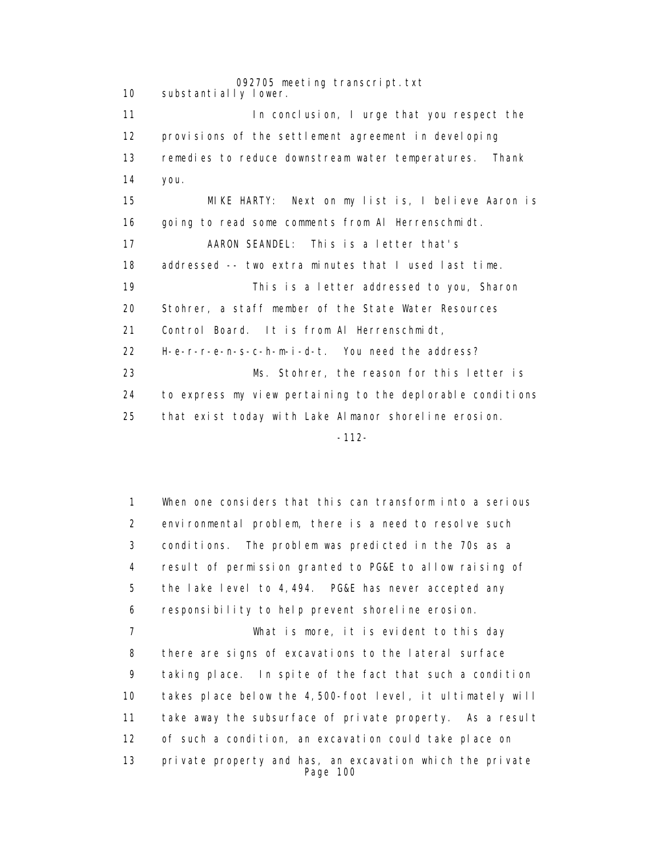092705 meeting transcript.txt 10 substantially lower. 11 **In conclusion, I urge that you respect the**  12 provisions of the settlement agreement in developing 13 remedies to reduce downstream water temperatures. Thank 14 you. 15 MIKE HARTY: Next on my list is, I believe Aaron is 16 going to read some comments from Al Herrenschmidt. 17 AARON SEANDEL: This is a letter that's 18 addressed -- two extra minutes that I used last time. 19 This is a letter addressed to you, Sharon 20 Stohrer, a staff member of the State Water Resources 21 Control Board. It is from Al Herrenschmidt, 22 H-e-r-r-e-n-s-c-h-m-i-d-t. You need the address? 23 Ms. Stohrer, the reason for this letter is 24 to express my view pertaining to the deplorable conditions 25 that exist today with Lake Almanor shoreline erosion. -112-

> 1 When one considers that this can transform into a serious 2 environmental problem, there is a need to resolve such 3 conditions. The problem was predicted in the 70s as a 4 result of permission granted to PG&E to allow raising of 5 the lake level to 4,494. PG&E has never accepted any 6 responsibility to help prevent shoreline erosion. 7 What is more, it is evident to this day 8 there are signs of excavations to the lateral surface 9 taking place. In spite of the fact that such a condition 10 takes place below the 4,500-foot level, it ultimately will 11 take away the subsurface of private property. As a result 12 of such a condition, an excavation could take place on 13 private property and has, an excavation which the private Page 100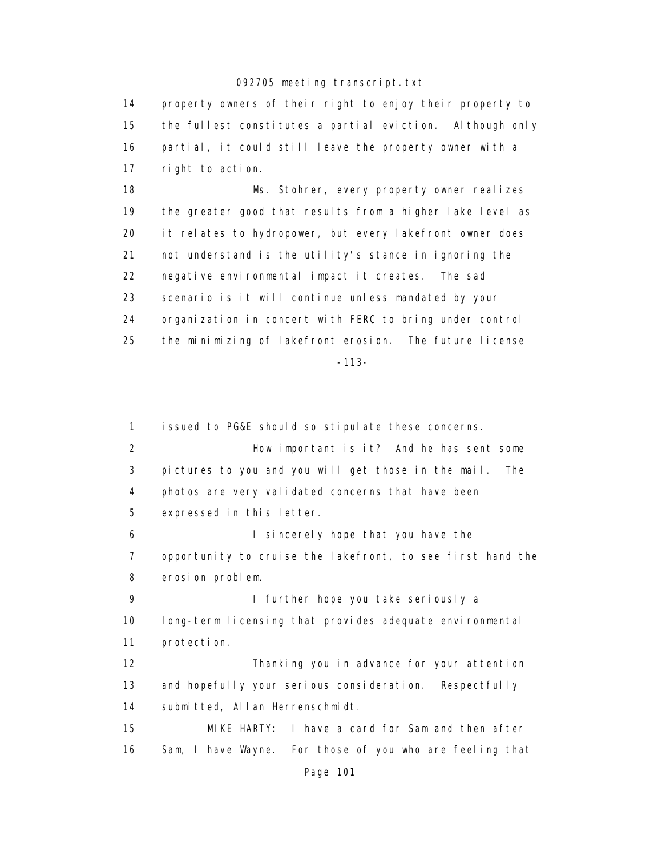14 property owners of their right to enjoy their property to 15 the fullest constitutes a partial eviction. Although only 16 partial, it could still leave the property owner with a 17 right to action.

 18 Ms. Stohrer, every property owner realizes 19 the greater good that results from a higher lake level as 20 it relates to hydropower, but every lakefront owner does 21 not understand is the utility's stance in ignoring the 22 negative environmental impact it creates. The sad 23 scenario is it will continue unless mandated by your 24 organization in concert with FERC to bring under control 25 the minimizing of lakefront erosion. The future license -113-

 1 issued to PG&E should so stipulate these concerns. 2 How important is it? And he has sent some 3 pictures to you and you will get those in the mail. The 4 photos are very validated concerns that have been 5 expressed in this letter. 6 I sincerely hope that you have the 7 opportunity to cruise the lakefront, to see first hand the 8 erosion problem. 9 I further hope you take seriously a 10 long-term licensing that provides adequate environmental 11 protection. 12 Thanking you in advance for your attention 13 and hopefully your serious consideration. Respectfully 14 submitted, Allan Herrenschmidt. 15 MIKE HARTY: I have a card for Sam and then after 16 Sam, I have Wayne. For those of you who are feeling that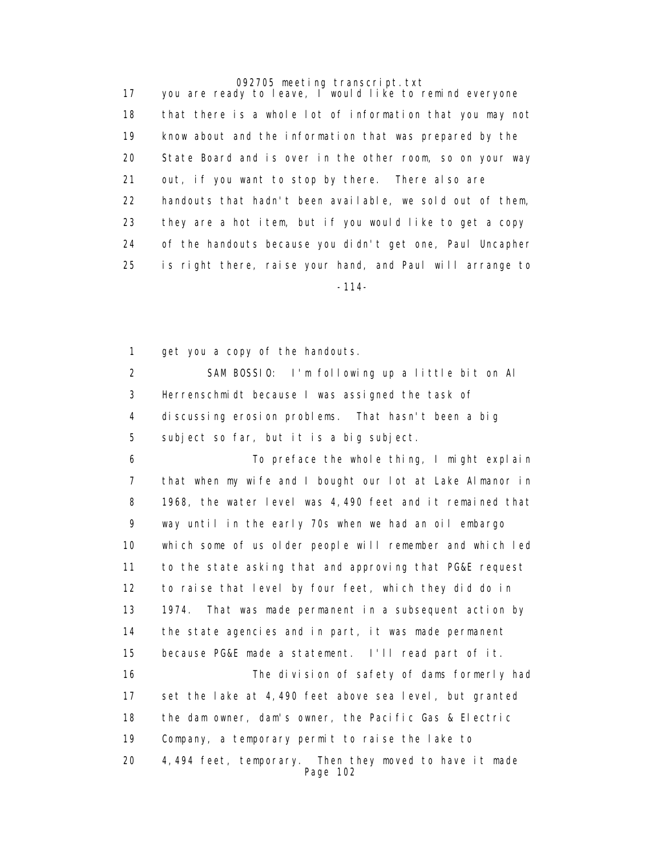17 you are ready to leave, I would like to remind everyone 18 that there is a whole lot of information that you may not 19 know about and the information that was prepared by the 20 State Board and is over in the other room, so on your way 21 out, if you want to stop by there. There also are 22 handouts that hadn't been available, we sold out of them, 23 they are a hot item, but if you would like to get a copy 24 of the handouts because you didn't get one, Paul Uncapher 25 is right there, raise your hand, and Paul will arrange to -114-

1 get you a copy of the handouts.

 2 SAM BOSSIO: I'm following up a little bit on Al 3 Herrenschmidt because I was assigned the task of 4 discussing erosion problems. That hasn't been a big 5 subject so far, but it is a big subject.

 6 To preface the whole thing, I might explain 7 that when my wife and I bought our lot at Lake Almanor in 8 1968, the water level was 4,490 feet and it remained that 9 way until in the early 70s when we had an oil embargo 10 which some of us older people will remember and which led 11 to the state asking that and approving that PG&E request 12 to raise that level by four feet, which they did do in 13 1974. That was made permanent in a subsequent action by 14 the state agencies and in part, it was made permanent 15 because PG&E made a statement. I'll read part of it. 16 The division of safety of dams formerly had 17 set the lake at 4,490 feet above sea level, but granted 18 the dam owner, dam's owner, the Pacific Gas & Electric 19 Company, a temporary permit to raise the lake to 20 4,494 feet, temporary. Then they moved to have it made Page 102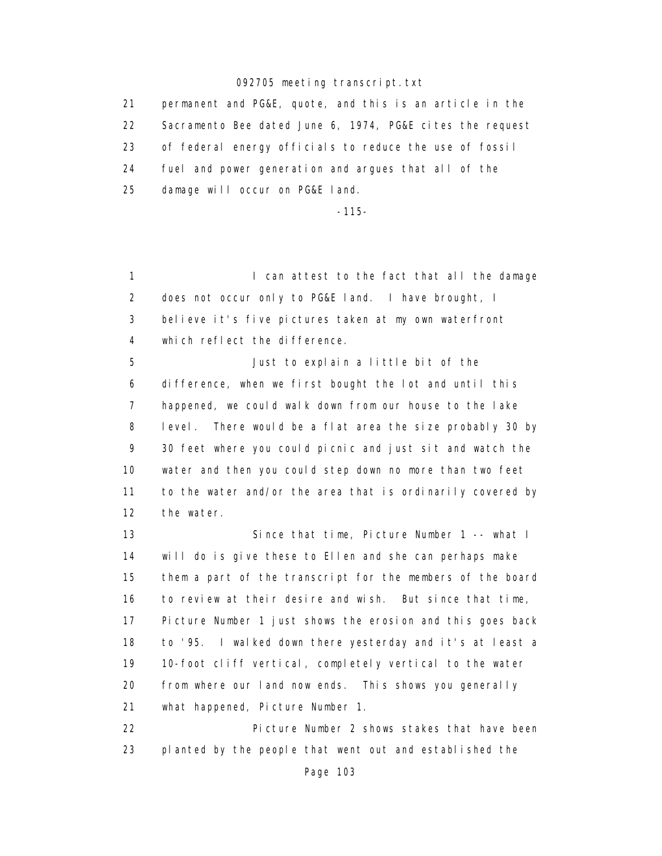21 permanent and PG&E, quote, and this is an article in the 22 Sacramento Bee dated June 6, 1974, PG&E cites the request 23 of federal energy officials to reduce the use of fossil 24 fuel and power generation and argues that all of the 25 damage will occur on PG&E land.

-115-

1 **I can attest to the fact that all the damage**  2 does not occur only to PG&E land. I have brought, I 3 believe it's five pictures taken at my own waterfront 4 which reflect the difference.

 5 Just to explain a little bit of the 6 difference, when we first bought the lot and until this 7 happened, we could walk down from our house to the lake 8 level. There would be a flat area the size probably 30 by 9 30 feet where you could picnic and just sit and watch the 10 water and then you could step down no more than two feet 11 to the water and/or the area that is ordinarily covered by 12 the water.

 13 Since that time, Picture Number 1 -- what I 14 will do is give these to Ellen and she can perhaps make 15 them a part of the transcript for the members of the board 16 to review at their desire and wish. But since that time, 17 Picture Number 1 just shows the erosion and this goes back 18 to '95. I walked down there yesterday and it's at least a 19 10-foot cliff vertical, completely vertical to the water 20 from where our land now ends. This shows you generally 21 what happened, Picture Number 1.

 22 Picture Number 2 shows stakes that have been 23 planted by the people that went out and established the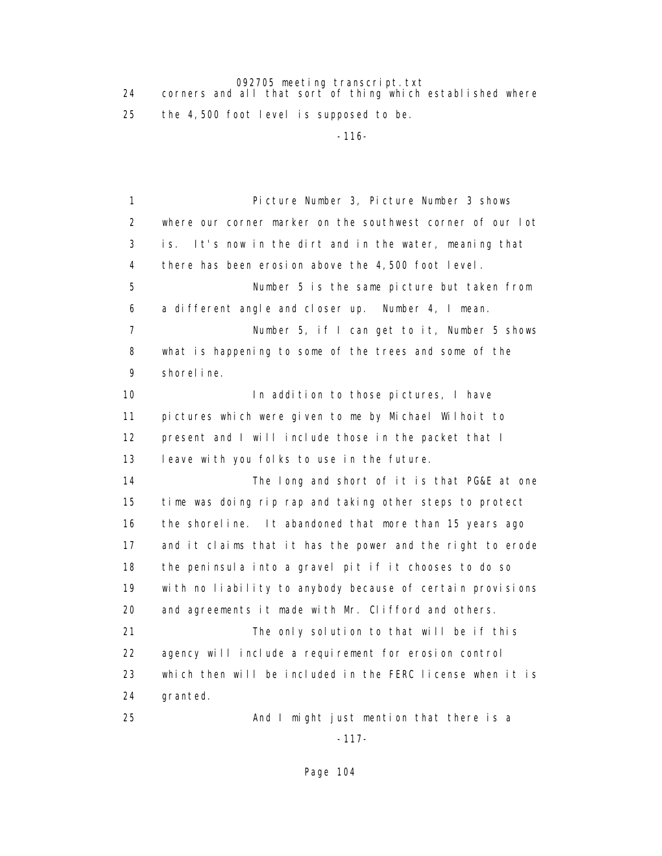24 corners and all that sort of thing which established where 25 the 4,500 foot level is supposed to be.

-116-

 1 Picture Number 3, Picture Number 3 shows 2 where our corner marker on the southwest corner of our lot 3 is. It's now in the dirt and in the water, meaning that 4 there has been erosion above the 4,500 foot level. 5 Number 5 is the same picture but taken from 6 a different angle and closer up. Number 4, I mean. 7 Number 5, if I can get to it, Number 5 shows 8 what is happening to some of the trees and some of the 9 shoreline. 10 **In addition to those pictures**, I have 11 pictures which were given to me by Michael Wilhoit to 12 present and I will include those in the packet that I 13 leave with you folks to use in the future. 14 The long and short of it is that PG&E at one 15 time was doing rip rap and taking other steps to protect 16 the shoreline. It abandoned that more than 15 years ago 17 and it claims that it has the power and the right to erode 18 the peninsula into a gravel pit if it chooses to do so 19 with no liability to anybody because of certain provisions 20 and agreements it made with Mr. Clifford and others. 21 The only solution to that will be if this 22 agency will include a requirement for erosion control 23 which then will be included in the FERC license when it is 24 granted. 25 And I might just mention that there is a

-117-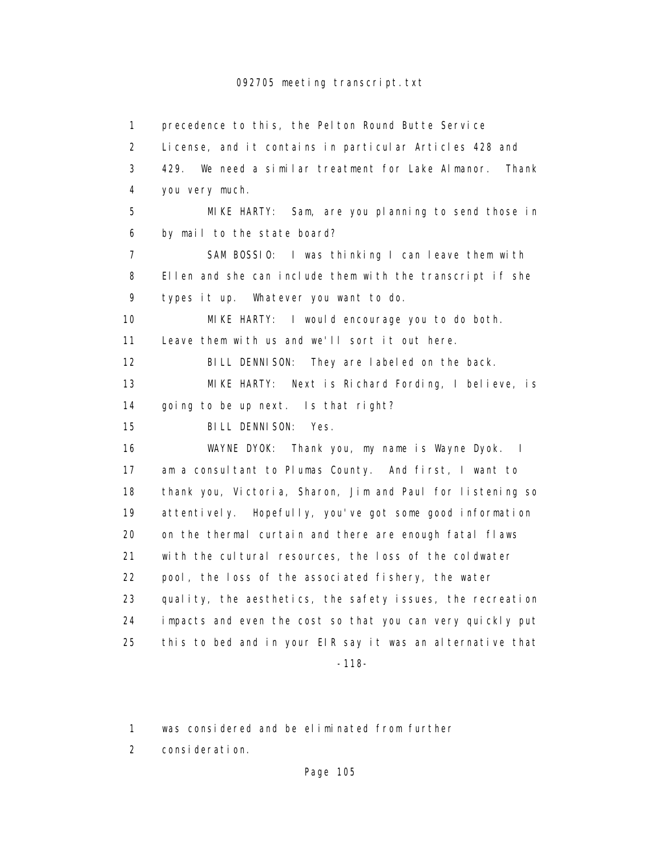1 precedence to this, the Pelton Round Butte Service 2 License, and it contains in particular Articles 428 and 3 429. We need a similar treatment for Lake Almanor. Thank 4 you very much. 5 MIKE HARTY: Sam, are you planning to send those in 6 by mail to the state board? 7 SAM BOSSIO: I was thinking I can leave them with 8 Ellen and she can include them with the transcript if she 9 types it up. Whatever you want to do. 10 MIKE HARTY: I would encourage you to do both. 11 Leave them with us and we'll sort it out here. 12 BILL DENNISON: They are labeled on the back. 13 MIKE HARTY: Next is Richard Fording, I believe, is 14 going to be up next. Is that right? 15 BILL DENNISON: Yes. 16 WAYNE DYOK: Thank you, my name is Wayne Dyok. I 17 am a consultant to Plumas County. And first, I want to 18 thank you, Victoria, Sharon, Jim and Paul for listening so 19 attentively. Hopefully, you've got some good information 20 on the thermal curtain and there are enough fatal flaws 21 with the cultural resources, the loss of the coldwater 22 pool, the loss of the associated fishery, the water 23 quality, the aesthetics, the safety issues, the recreation 24 impacts and even the cost so that you can very quickly put 25 this to bed and in your EIR say it was an alternative that -118-

1 was considered and be eliminated from further

2 consideration.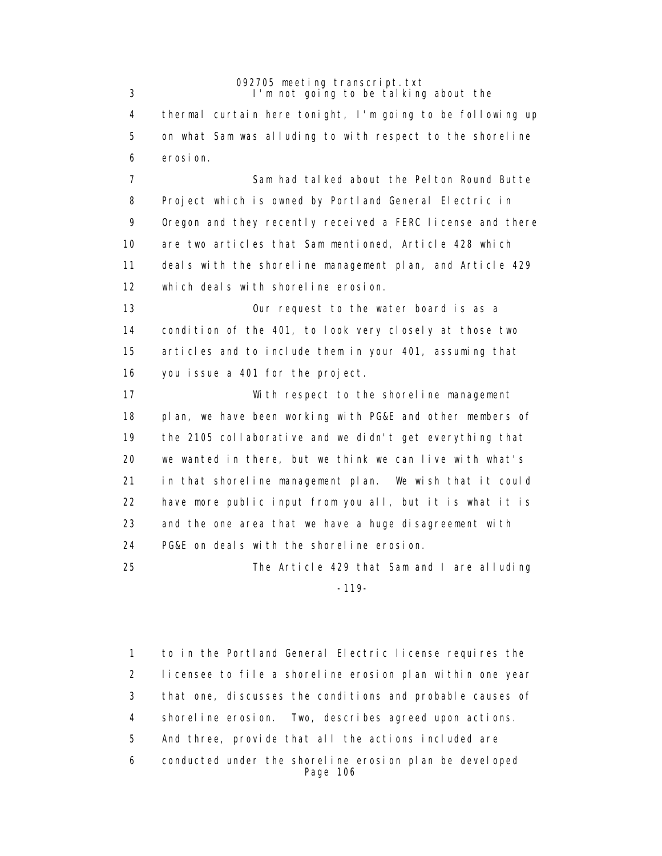092705 meeting transcript.txt 3 I'm not going to be talking about the 4 thermal curtain here tonight, I'm going to be following up 5 on what Sam was alluding to with respect to the shoreline 6 erosion. 7 Sam had talked about the Pelton Round Butte 8 Project which is owned by Portland General Electric in 9 Oregon and they recently received a FERC license and there 10 are two articles that Sam mentioned, Article 428 which 11 deals with the shoreline management plan, and Article 429 12 which deals with shoreline erosion. 13 Our request to the water board is as a 14 condition of the 401, to look very closely at those two 15 articles and to include them in your 401, assuming that 16 you issue a 401 for the project. 17 With respect to the shoreline management 18 plan, we have been working with PG&E and other members of 19 the 2105 collaborative and we didn't get everything that 20 we wanted in there, but we think we can live with what's 21 in that shoreline management plan. We wish that it could 22 have more public input from you all, but it is what it is 23 and the one area that we have a huge disagreement with 24 PG&E on deals with the shoreline erosion. 25 The Article 429 that Sam and I are alluding

-119-

 1 to in the Portland General Electric license requires the 2 licensee to file a shoreline erosion plan within one year 3 that one, discusses the conditions and probable causes of 4 shoreline erosion. Two, describes agreed upon actions. 5 And three, provide that all the actions included are 6 conducted under the shoreline erosion plan be developed Page 106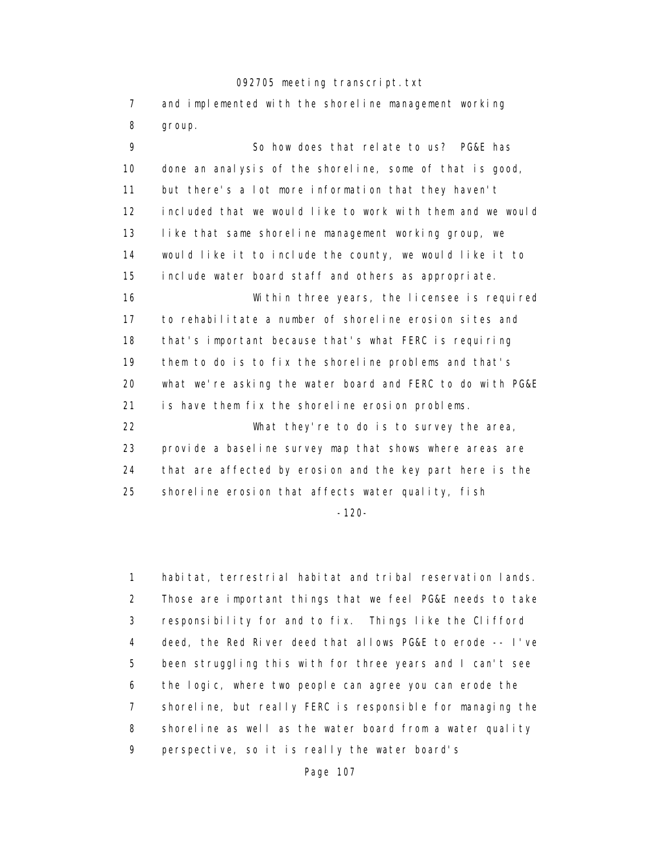7 and implemented with the shoreline management working 8 group.

 9 So how does that relate to us? PG&E has 10 done an analysis of the shoreline, some of that is good, 11 but there's a lot more information that they haven't 12 included that we would like to work with them and we would 13 like that same shoreline management working group, we 14 would like it to include the county, we would like it to 15 include water board staff and others as appropriate. 16 Within three years, the licensee is required 17 to rehabilitate a number of shoreline erosion sites and 18 that's important because that's what FERC is requiring 19 them to do is to fix the shoreline problems and that's 20 what we're asking the water board and FERC to do with PG&E 21 is have them fix the shoreline erosion problems. 22 What they're to do is to survey the area, 23 provide a baseline survey map that shows where areas are 24 that are affected by erosion and the key part here is the 25 shoreline erosion that affects water quality, fish

-120-

 1 habitat, terrestrial habitat and tribal reservation lands. 2 Those are important things that we feel PG&E needs to take 3 responsibility for and to fix. Things like the Clifford 4 deed, the Red River deed that allows PG&E to erode -- I've 5 been struggling this with for three years and I can't see 6 the logic, where two people can agree you can erode the 7 shoreline, but really FERC is responsible for managing the 8 shoreline as well as the water board from a water quality 9 perspective, so it is really the water board's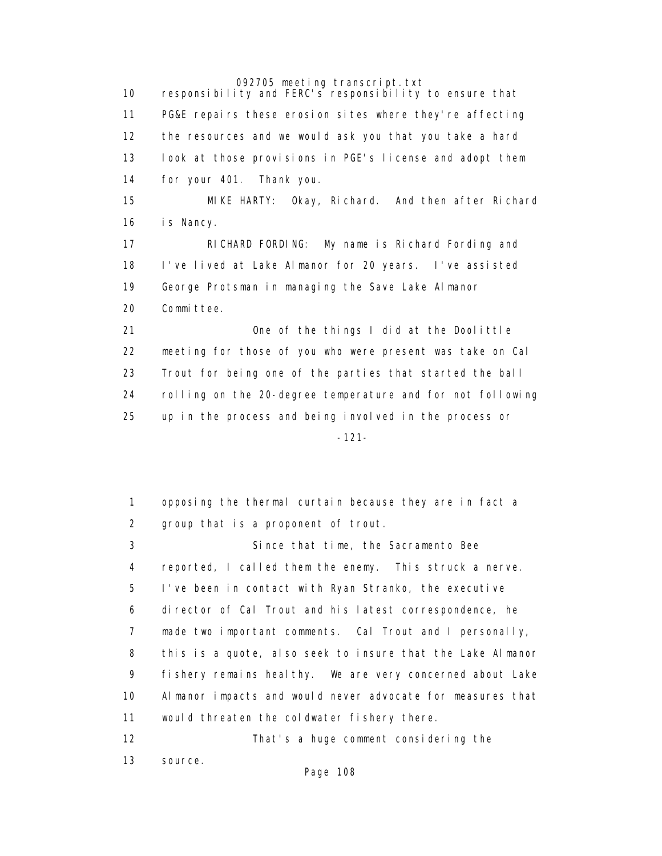10 responsibility and FERC's responsibility to ensure that 11 PG&E repairs these erosion sites where they're affecting 12 the resources and we would ask you that you take a hard 13 look at those provisions in PGE's license and adopt them 14 for your 401. Thank you. 15 MIKE HARTY: Okay, Richard. And then after Richard 16 is Nancy. 17 RICHARD FORDING: My name is Richard Fording and 18 I've lived at Lake Almanor for 20 years. I've assisted 19 George Protsman in managing the Save Lake Almanor 20 Committee. 21 One of the things I did at the Doolittle 22 meeting for those of you who were present was take on Cal 23 Trout for being one of the parties that started the ball 24 rolling on the 20-degree temperature and for not following 25 up in the process and being involved in the process or -121-

> 1 opposing the thermal curtain because they are in fact a 2 group that is a proponent of trout. 3 Since that time, the Sacramento Bee 4 reported, I called them the enemy. This struck a nerve. 5 I've been in contact with Ryan Stranko, the executive 6 director of Cal Trout and his latest correspondence, he 7 made two important comments. Cal Trout and I personally, 8 this is a quote, also seek to insure that the Lake Almanor 9 fishery remains healthy. We are very concerned about Lake 10 Almanor impacts and would never advocate for measures that 11 would threaten the coldwater fishery there. 12 That's a huge comment considering the

13 source.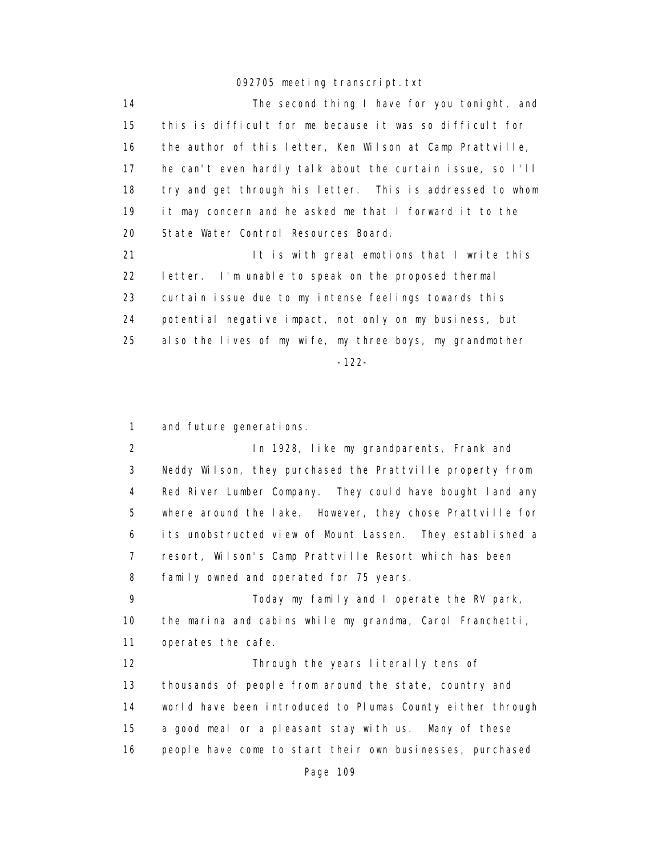14 The second thing I have for you tonight, and 15 this is difficult for me because it was so difficult for 16 the author of this letter, Ken Wilson at Camp Prattville, 17 he can't even hardly talk about the curtain issue, so I'll 18 try and get through his letter. This is addressed to whom 19 it may concern and he asked me that I forward it to the 20 State Water Control Resources Board.

21 It is with great emotions that I write this 22 letter. I'm unable to speak on the proposed thermal 23 curtain issue due to my intense feelings towards this 24 potential negative impact, not only on my business, but 25 also the lives of my wife, my three boys, my grandmother -122-

1 and future generations.

 2 In 1928, like my grandparents, Frank and 3 Neddy Wilson, they purchased the Prattville property from 4 Red River Lumber Company. They could have bought land any 5 where around the lake. However, they chose Prattville for 6 its unobstructed view of Mount Lassen. They established a 7 resort, Wilson's Camp Prattville Resort which has been 8 family owned and operated for 75 years.

 9 Today my family and I operate the RV park, 10 the marina and cabins while my grandma, Carol Franchetti, 11 operates the cafe.

 12 Through the years literally tens of 13 thousands of people from around the state, country and 14 world have been introduced to Plumas County either through 15 a good meal or a pleasant stay with us. Many of these 16 people have come to start their own businesses, purchased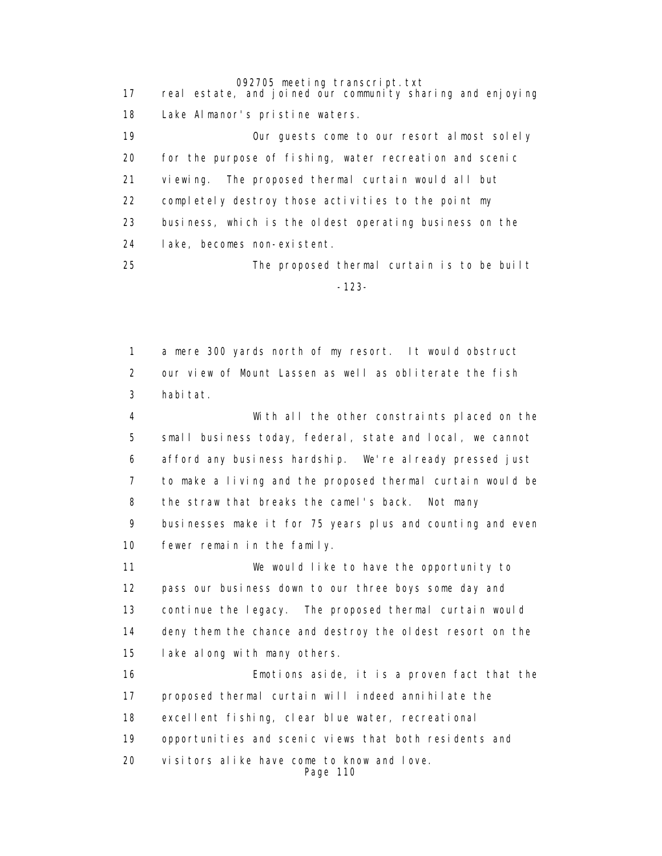17 real estate, and joined our community sharing and enjoying 18 Lake Almanor's pristine waters.

> 19 Our guests come to our resort almost solely 20 for the purpose of fishing, water recreation and scenic 21 viewing. The proposed thermal curtain would all but 22 completely destroy those activities to the point my 23 business, which is the oldest operating business on the 24 lake, becomes non-existent.

 25 The proposed thermal curtain is to be built -123-

> 1 a mere 300 yards north of my resort. It would obstruct 2 our view of Mount Lassen as well as obliterate the fish 3 habitat.

 4 With all the other constraints placed on the 5 small business today, federal, state and local, we cannot 6 afford any business hardship. We're already pressed just 7 to make a living and the proposed thermal curtain would be 8 the straw that breaks the camel's back. Not many 9 businesses make it for 75 years plus and counting and even 10 fewer remain in the family.

 11 We would like to have the opportunity to 12 pass our business down to our three boys some day and 13 continue the legacy. The proposed thermal curtain would 14 deny them the chance and destroy the oldest resort on the 15 lake along with many others.

 16 Emotions aside, it is a proven fact that the 17 proposed thermal curtain will indeed annihilate the 18 excellent fishing, clear blue water, recreational 19 opportunities and scenic views that both residents and 20 visitors alike have come to know and love. Page 110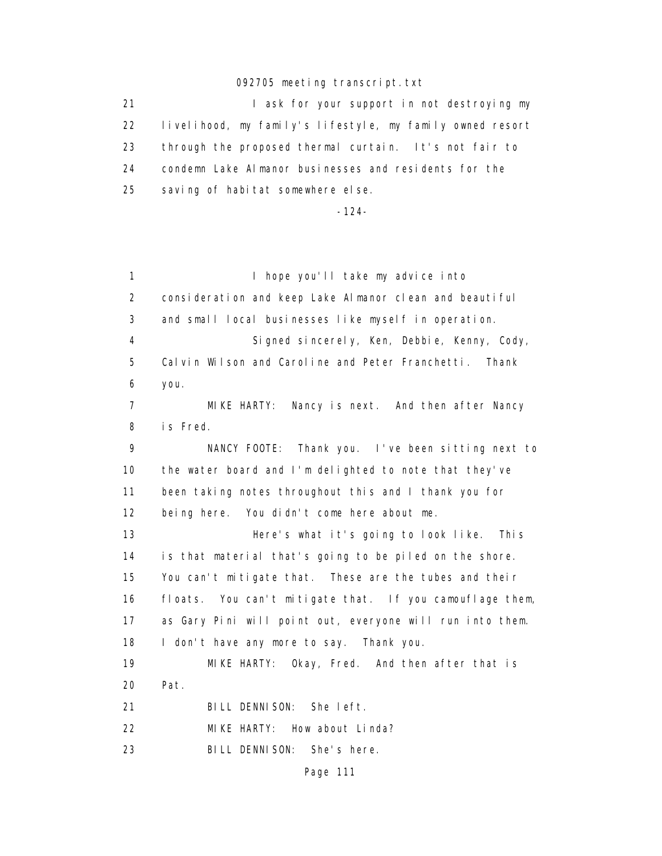21 **I** ask for your support in not destroying my 22 livelihood, my family's lifestyle, my family owned resort 23 through the proposed thermal curtain. It's not fair to 24 condemn Lake Almanor businesses and residents for the 25 saving of habitat somewhere else.

-124-

1 I hope you'll take my advice into 2 consideration and keep Lake Almanor clean and beautiful 3 and small local businesses like myself in operation. 4 Signed sincerely, Ken, Debbie, Kenny, Cody, 5 Calvin Wilson and Caroline and Peter Franchetti. Thank 6 you. 7 MIKE HARTY: Nancy is next. And then after Nancy 8 is Fred. 9 NANCY FOOTE: Thank you. I've been sitting next to 10 the water board and I'm delighted to note that they've 11 been taking notes throughout this and I thank you for 12 being here. You didn't come here about me. 13 Here's what it's going to look like. This 14 is that material that's going to be piled on the shore. 15 You can't mitigate that. These are the tubes and their 16 floats. You can't mitigate that. If you camouflage them, 17 as Gary Pini will point out, everyone will run into them. 18 I don't have any more to say. Thank you. 19 MIKE HARTY: Okay, Fred. And then after that is 20 Pat. 21 BILL DENNISON: She left. 22 MIKE HARTY: How about Linda? 23 BILL DENNISON: She's here.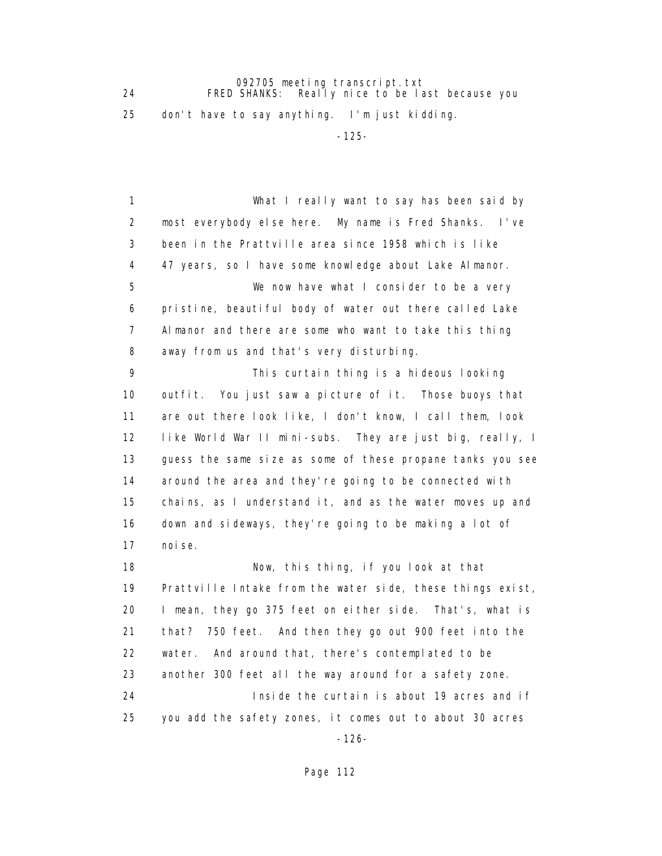092705 meeting transcript.txt 24 FRED SHANKS: Really nice to be last because you 25 don't have to say anything. I'm just kidding.

-125-

 1 What I really want to say has been said by 2 most everybody else here. My name is Fred Shanks. I've 3 been in the Prattville area since 1958 which is like 4 47 years, so I have some knowledge about Lake Almanor. 5 We now have what I consider to be a very 6 pristine, beautiful body of water out there called Lake 7 Almanor and there are some who want to take this thing 8 away from us and that's very disturbing. 9 This curtain thing is a hideous looking 10 outfit. You just saw a picture of it. Those buoys that 11 are out there look like, I don't know, I call them, look 12 like World War II mini-subs. They are just big, really, I 13 guess the same size as some of these propane tanks you see 14 around the area and they're going to be connected with 15 chains, as I understand it, and as the water moves up and 16 down and sideways, they're going to be making a lot of 17 noise. 18 Now, this thing, if you look at that 19 Prattville Intake from the water side, these things exist, 20 I mean, they go 375 feet on either side. That's, what is 21 that? 750 feet. And then they go out 900 feet into the 22 water. And around that, there's contemplated to be 23 another 300 feet all the way around for a safety zone. 24 Inside the curtain is about 19 acres and if 25 you add the safety zones, it comes out to about 30 acres

-126-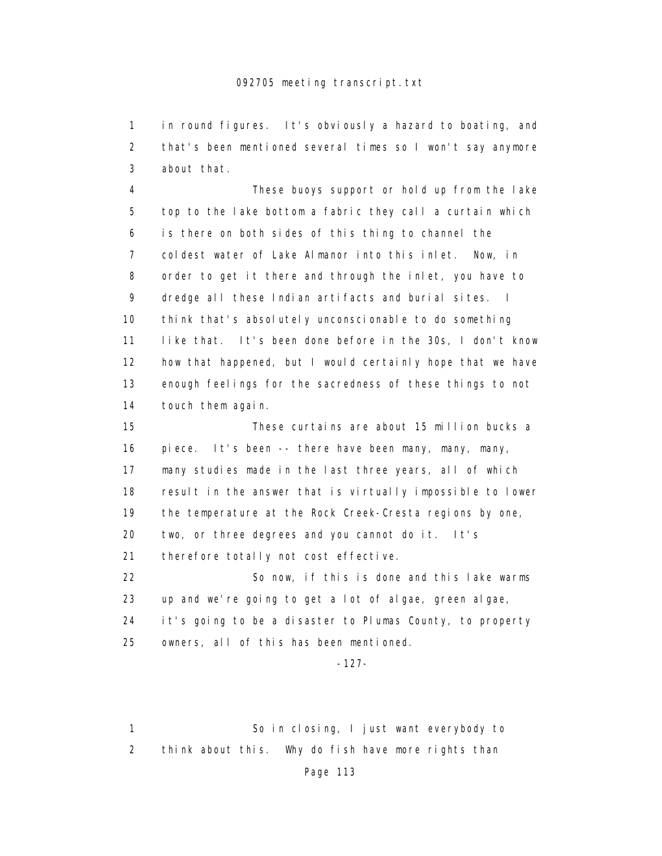1 in round figures. It's obviously a hazard to boating, and 2 that's been mentioned several times so I won't say anymore 3 about that.

 4 These buoys support or hold up from the lake 5 top to the lake bottom a fabric they call a curtain which 6 is there on both sides of this thing to channel the 7 coldest water of Lake Almanor into this inlet. Now, in 8 order to get it there and through the inlet, you have to 9 dredge all these Indian artifacts and burial sites. I 10 think that's absolutely unconscionable to do something 11 like that. It's been done before in the 30s, I don't know 12 how that happened, but I would certainly hope that we have 13 enough feelings for the sacredness of these things to not 14 touch them again.

 15 These curtains are about 15 million bucks a 16 piece. It's been -- there have been many, many, many, 17 many studies made in the last three years, all of which 18 result in the answer that is virtually impossible to lower 19 the temperature at the Rock Creek-Cresta regions by one, 20 two, or three degrees and you cannot do it. It's 21 therefore totally not cost effective. 22 So now, if this is done and this lake warms

 23 up and we're going to get a lot of algae, green algae, 24 it's going to be a disaster to Plumas County, to property 25 owners, all of this has been mentioned.

-127-

 1 So in closing, I just want everybody to 2 think about this. Why do fish have more rights than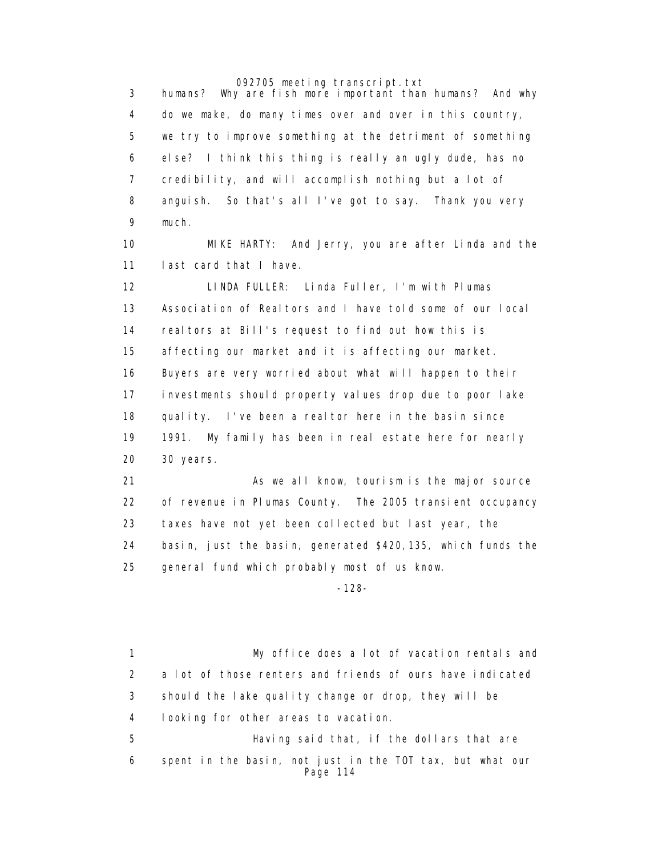3 humans? Why are fish more important than humans? And why 4 do we make, do many times over and over in this country, 5 we try to improve something at the detriment of something 6 else? I think this thing is really an ugly dude, has no 7 credibility, and will accomplish nothing but a lot of 8 anguish. So that's all I've got to say. Thank you very 9 much.

 10 MIKE HARTY: And Jerry, you are after Linda and the 11 last card that I have.

 12 LINDA FULLER: Linda Fuller, I'm with Plumas 13 Association of Realtors and I have told some of our local 14 realtors at Bill's request to find out how this is 15 affecting our market and it is affecting our market. 16 Buyers are very worried about what will happen to their 17 investments should property values drop due to poor lake 18 quality. I've been a realtor here in the basin since 19 1991. My family has been in real estate here for nearly 20 30 years.

21 As we all know, tourism is the major source 22 of revenue in Plumas County. The 2005 transient occupancy 23 taxes have not yet been collected but last year, the 24 basin, just the basin, generated \$420,135, which funds the 25 general fund which probably most of us know.

-128-

 1 My office does a lot of vacation rentals and 2 a lot of those renters and friends of ours have indicated 3 should the lake quality change or drop, they will be 4 looking for other areas to vacation. 5 Having said that, if the dollars that are 6 spent in the basin, not just in the TOT tax, but what our Page 114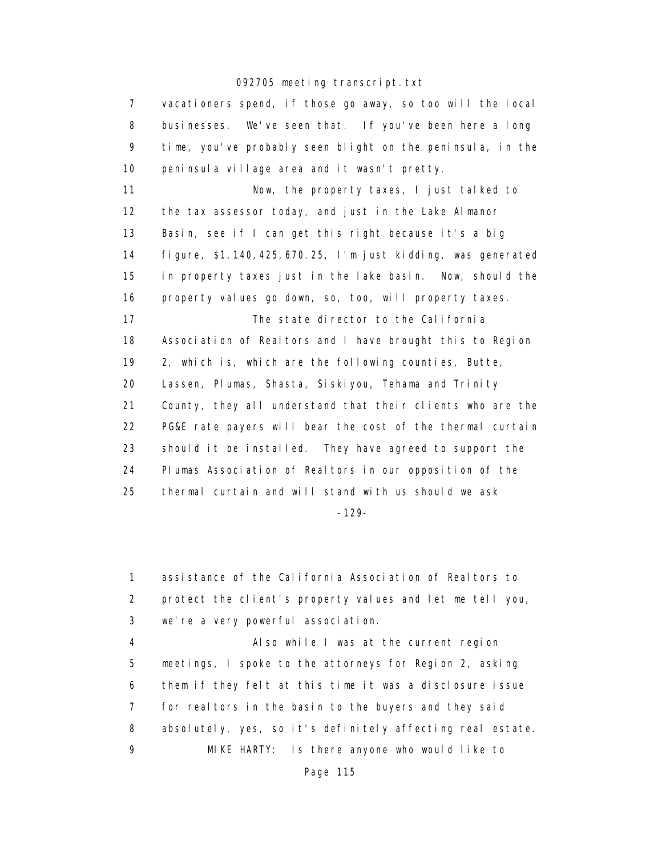| $\overline{7}$ | vacationers spend, if those go away, so too will the local       |
|----------------|------------------------------------------------------------------|
| 8              | businesses. We've seen that. If you've been here a long          |
| 9              | time, you've probably seen blight on the peninsula, in the       |
| 10             | peninsula village area and it wasn't pretty.                     |
| 11             | Now, the property taxes, I just talked to                        |
| 12             | the tax assessor today, and just in the Lake Almanor             |
| 13             | Basin, see if I can get this right because it's a big            |
| 14             | figure, $$1, 140, 425, 670. 25, 1 m$ just kidding, was generated |
| 15             | in property taxes just in the lake basin. Now, should the        |
| 16             | property values go down, so, too, will property taxes.           |
| 17             | The state director to the California                             |
| 18             | Association of Realtors and I have brought this to Region        |
| 19             | 2, which is, which are the following counties, Butte,            |
| 20             | Lassen, Plumas, Shasta, Siskiyou, Tehama and Trinity             |
| 21             | County, they all understand that their clients who are the       |
| 22             | PG&E rate payers will bear the cost of the thermal curtain       |
| 23             | should it be installed. They have agreed to support the          |
| 24             | Plumas Association of Realtors in our opposition of the          |
| 25             | thermal curtain and will stand with us should we ask             |
|                |                                                                  |

-129-

 1 assistance of the California Association of Realtors to 2 protect the client's property values and let me tell you, 3 we're a very powerful association.

 4 Also while I was at the current region 5 meetings, I spoke to the attorneys for Region 2, asking 6 them if they felt at this time it was a disclosure issue 7 for real tors in the basin to the buyers and they said 8 absolutely, yes, so it's definitely affecting real estate. 9 MIKE HARTY: Is there anyone who would like to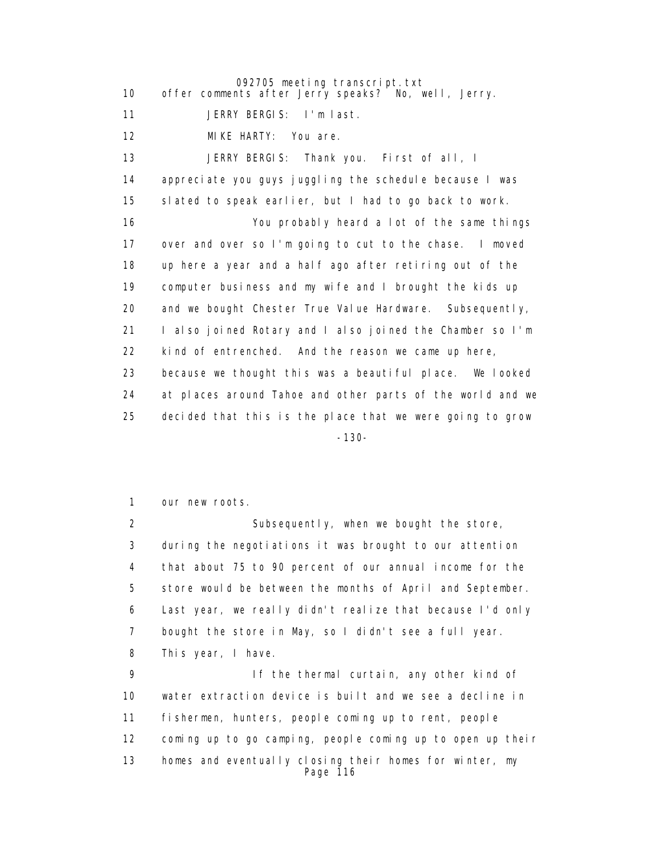092705 meeting transcript.txt 10 offer comments after Jerry speaks? No, well, Jerry. 11 JERRY BERGIS: I'm last. 12 MIKE HARTY: You are. 13 JERRY BERGIS: Thank you. First of all, I 14 appreciate you guys juggling the schedule because I was 15 slated to speak earlier, but I had to go back to work. 16 You probably heard a lot of the same things 17 over and over so I'm going to cut to the chase. I moved 18 up here a year and a half ago after retiring out of the 19 computer business and my wife and I brought the kids up 20 and we bought Chester True Value Hardware. Subsequently, 21 I also joined Rotary and I also joined the Chamber so I'm 22 kind of entrenched. And the reason we came up here, 23 because we thought this was a beautiful place. We looked 24 at places around Tahoe and other parts of the world and we 25 decided that this is the place that we were going to grow -130-

1 our new roots.

 2 Subsequently, when we bought the store, 3 during the negotiations it was brought to our attention 4 that about 75 to 90 percent of our annual income for the 5 store would be between the months of April and September. 6 Last year, we really didn't realize that because I'd only 7 bought the store in May, so I didn't see a full year. 8 This year, I have.

 9 If the thermal curtain, any other kind of 10 water extraction device is built and we see a decline in 11 fishermen, hunters, people coming up to rent, people 12 coming up to go camping, people coming up to open up their 13 homes and eventually closing their homes for winter, my Page 116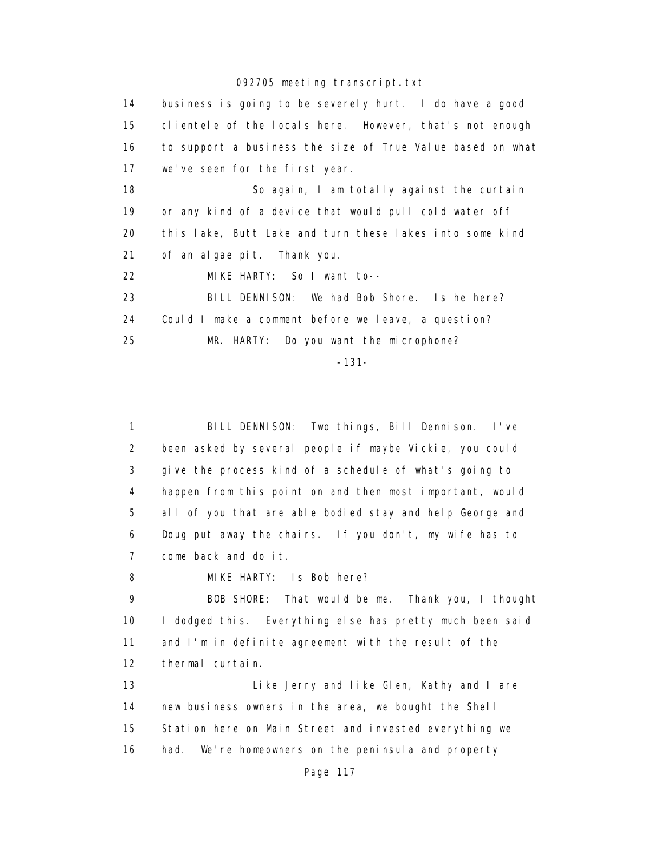14 business is going to be severely hurt. I do have a good 15 clientele of the locals here. However, that's not enough 16 to support a business the size of True Value based on what 17 we've seen for the first year. 18 So again, I am totally against the curtain 19 or any kind of a device that would pull cold water off 20 this lake, Butt Lake and turn these lakes into some kind 21 of an algae pit. Thank you. 22 MIKE HARTY: So I want to-- 23 BILL DENNISON: We had Bob Shore. Is he here? 24 Could I make a comment before we leave, a question? 25 MR. HARTY: Do you want the microphone?

-131-

 1 BILL DENNISON: Two things, Bill Dennison. I've 2 been asked by several people if maybe Vickie, you could 3 give the process kind of a schedule of what's going to 4 happen from this point on and then most important, would 5 all of you that are able bodied stay and help George and 6 Doug put away the chairs. If you don't, my wife has to 7 come back and do it.

8 MIKE HARTY: Is Bob here?

 9 BOB SHORE: That would be me. Thank you, I thought 10 I dodged this. Everything else has pretty much been said 11 and I'm in definite agreement with the result of the 12 thermal curtain.

 13 Like Jerry and like Glen, Kathy and I are 14 new business owners in the area, we bought the Shell 15 Station here on Main Street and invested everything we 16 had. We're homeowners on the peninsula and property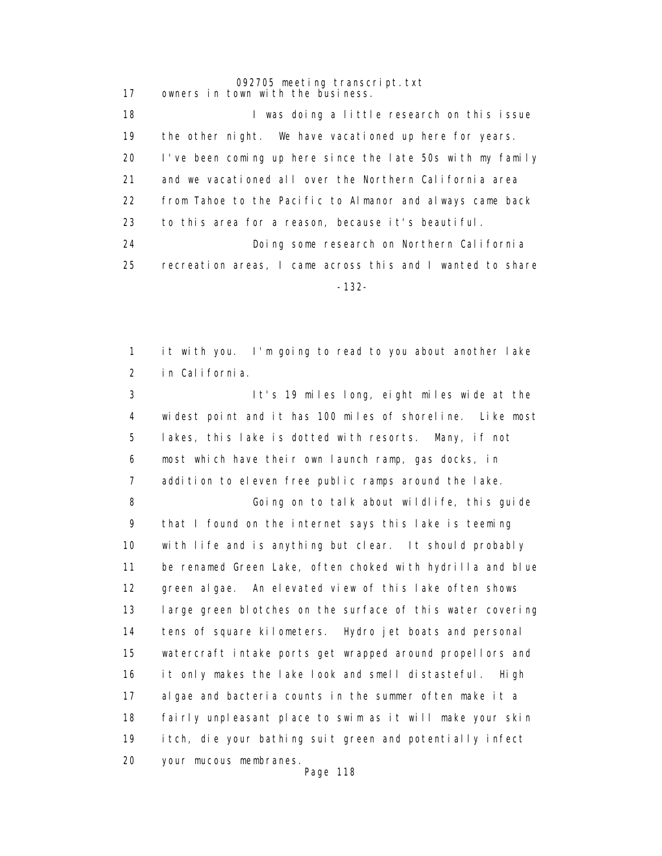092705 meeting transcript.txt 17 owners in town with the business. 18 **I was doing a little research on this issue**  19 the other night. We have vacationed up here for years. 20 I've been coming up here since the late 50s with my family 21 and we vacationed all over the Northern California area 22 from Tahoe to the Pacific to Almanor and always came back 23 to this area for a reason, because it's beautiful. 24 Doing some research on Northern California 25 recreation areas, I came across this and I wanted to share -132-

> 1 it with you. I'm going to read to you about another lake 2 in California.

 3 It's 19 miles long, eight miles wide at the 4 widest point and it has 100 miles of shoreline. Like most 5 lakes, this lake is dotted with resorts. Many, if not 6 most which have their own launch ramp, gas docks, in 7 addition to eleven free public ramps around the lake.

 8 Going on to talk about wildlife, this guide 9 that I found on the internet says this lake is teeming 10 with life and is anything but clear. It should probably 11 be renamed Green Lake, often choked with hydrilla and blue 12 green algae. An elevated view of this lake often shows 13 large green blotches on the surface of this water covering 14 tens of square kilometers. Hydro jet boats and personal 15 watercraft intake ports get wrapped around propellors and 16 it only makes the lake look and smell distasteful. High 17 algae and bacteria counts in the summer often make it a 18 fairly unpleasant place to swim as it will make your skin 19 itch, die your bathing suit green and potentially infect 20 your mucous membranes. Page 118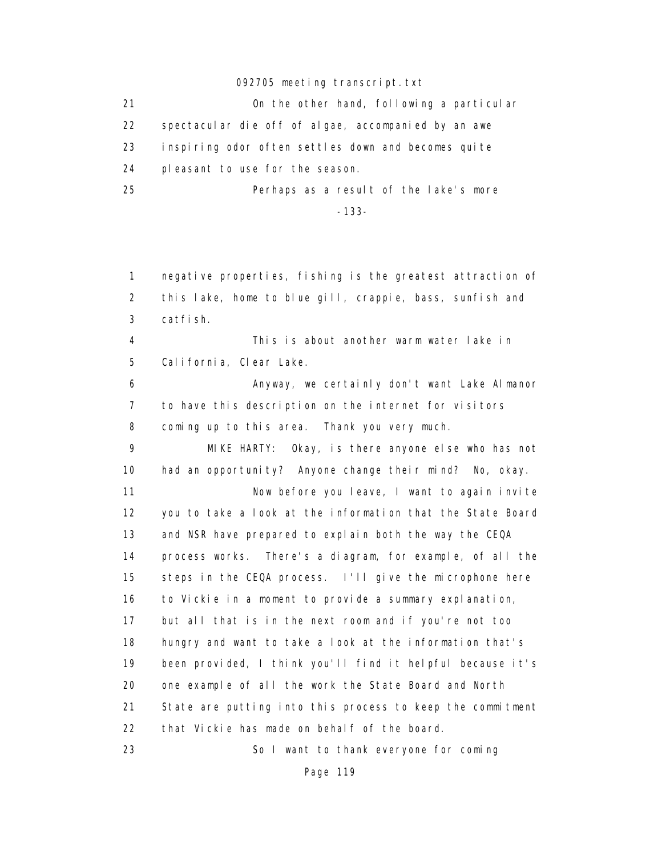21 On the other hand, following a particular 22 spectacular die off of algae, accompanied by an awe 23 inspiring odor often settles down and becomes quite 24 pleasant to use for the season. 25 Perhaps as a result of the lake's more

-133-

 1 negative properties, fishing is the greatest attraction of 2 this lake, home to blue gill, crappie, bass, sunfish and 3 catfish. 4 This is about another warm water lake in 5 California, Clear Lake. 6 Anyway, we certainly don't want Lake Almanor 7 to have this description on the internet for visitors 8 coming up to this area. Thank you very much. 9 MIKE HARTY: Okay, is there anyone else who has not 10 had an opportunity? Anyone change their mind? No, okay. 11 Now before you leave, I want to again invite 12 you to take a look at the information that the State Board 13 and NSR have prepared to explain both the way the CEQA 14 process works. There's a diagram, for example, of all the 15 steps in the CEQA process. I'll give the microphone here 16 to Vickie in a moment to provide a summary explanation, 17 but all that is in the next room and if you're not too 18 hungry and want to take a look at the information that's 19 been provided, I think you'll find it helpful because it's 20 one example of all the work the State Board and North 21 State are putting into this process to keep the commitment 22 that Vickie has made on behalf of the board. 23 So I want to thank everyone for coming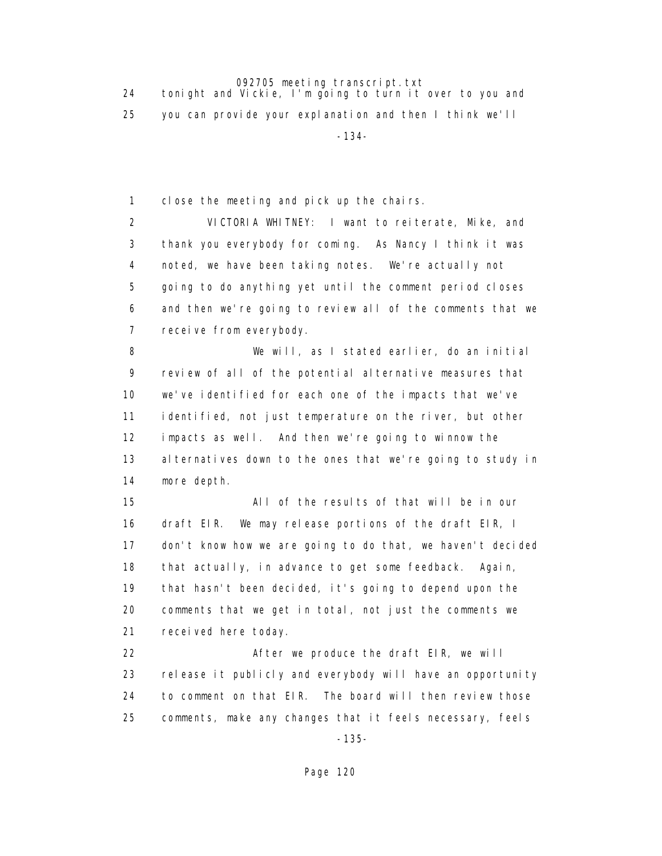24 tonight and Vickie, I'm going to turn it over to you and 25 you can provide your explanation and then I think we'll -134-

1 close the meeting and pick up the chairs.

 2 VICTORIA WHITNEY: I want to reiterate, Mike, and 3 thank you everybody for coming. As Nancy I think it was 4 noted, we have been taking notes. We're actually not 5 going to do anything yet until the comment period closes 6 and then we're going to review all of the comments that we 7 receive from everybody.

 8 We will, as I stated earlier, do an initial 9 review of all of the potential alternative measures that 10 we've identified for each one of the impacts that we've 11 identified, not just temperature on the river, but other 12 impacts as well. And then we're going to winnow the 13 alternatives down to the ones that we're going to study in 14 more depth.

 15 All of the results of that will be in our 16 draft EIR. We may release portions of the draft EIR, I 17 don't know how we are going to do that, we haven't decided 18 that actually, in advance to get some feedback. Again, 19 that hasn't been decided, it's going to depend upon the 20 comments that we get in total, not just the comments we 21 received here today.

22 After we produce the draft EIR, we will 23 release it publicly and everybody will have an opportunity 24 to comment on that EIR. The board will then review those 25 comments, make any changes that it feels necessary, feels

-135-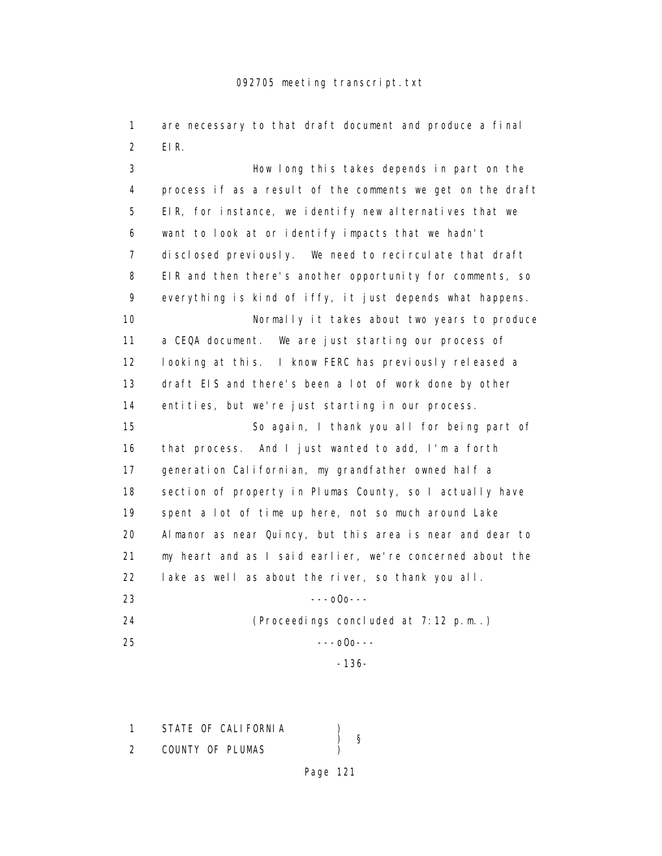1 are necessary to that draft document and produce a final 2 EIR.

 3 How long this takes depends in part on the 4 process if as a result of the comments we get on the draft 5 EIR, for instance, we identify new alternatives that we 6 want to look at or identify impacts that we hadn't 7 disclosed previously. We need to recirculate that draft 8 EIR and then there's another opportunity for comments, so 9 everything is kind of iffy, it just depends what happens. 10 Normally it takes about two years to produce 11 a CEQA document. We are just starting our process of 12 looking at this. I know FERC has previously released a 13 draft EIS and there's been a lot of work done by other 14 entities, but we're just starting in our process. 15 So again, I thank you all for being part of 16 that process. And I just wanted to add, I'm a forth 17 generation Californian, my grandfather owned half a 18 section of property in Plumas County, so I actually have 19 spent a lot of time up here, not so much around Lake 20 Almanor as near Quincy, but this area is near and dear to 21 my heart and as I said earlier, we're concerned about the 22 lake as well as about the river, so thank you all. 23 ---oOo---

 24 (Proceedings concluded at 7:12 p.m..) 25 ---oOo--- -136-

1 STATE OF CALIFORNIA ) § 2 COUNTY OF PLUMAS